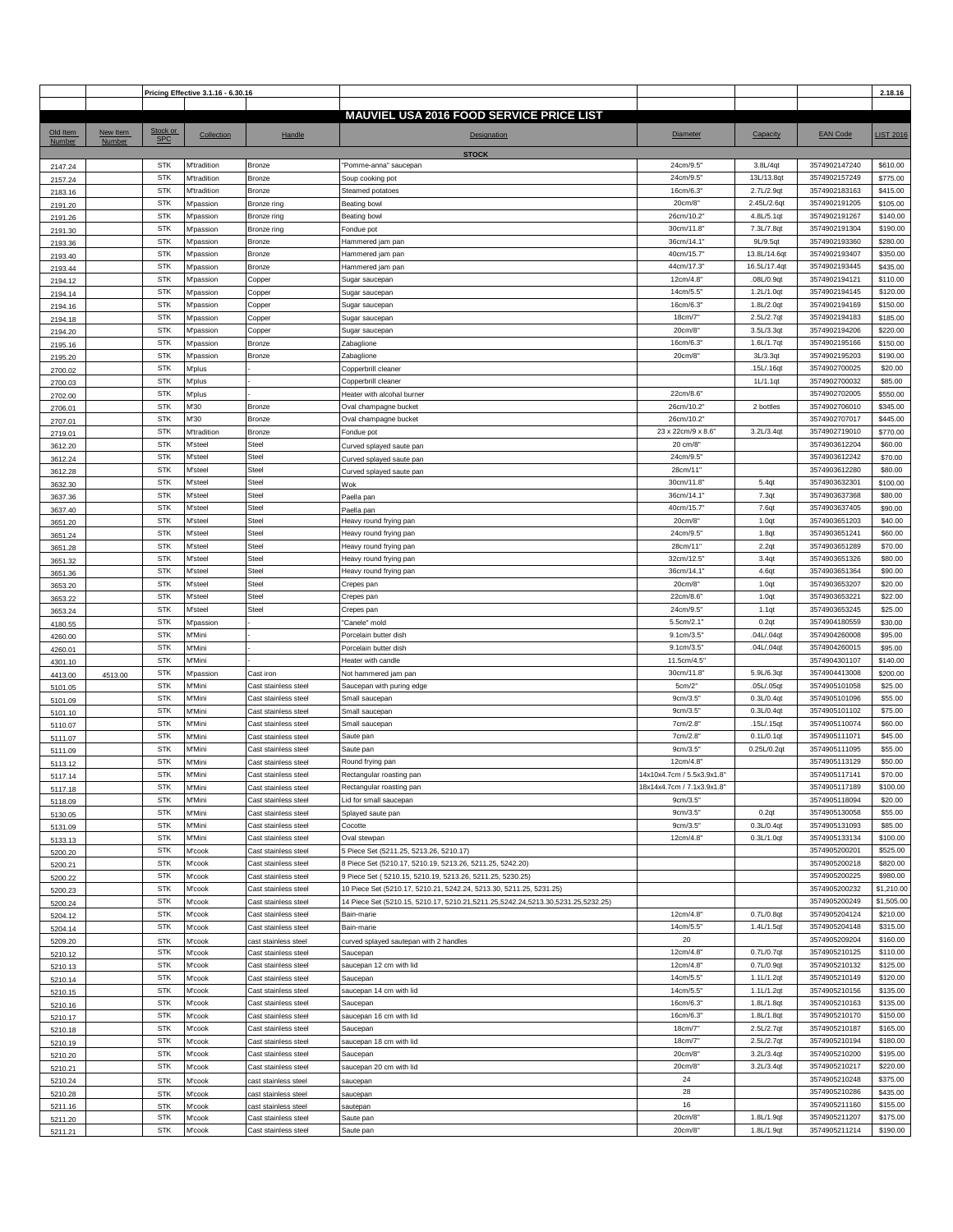|          |          |            | Pricing Effective 3.1.16 - 6.30.16 |                      |                                                                                  |                            |                   |                 | 2.18.16          |
|----------|----------|------------|------------------------------------|----------------------|----------------------------------------------------------------------------------|----------------------------|-------------------|-----------------|------------------|
|          |          |            |                                    |                      |                                                                                  |                            |                   |                 |                  |
|          |          |            |                                    |                      | <b>MAUVIEL USA 2016 FOOD SERVICE PRICE LIST</b>                                  |                            |                   |                 |                  |
| Old Item | New Item | Stock or   | Collection                         | Handle               | Designation                                                                      | <b>Diameter</b>            | Capacity          | <b>EAN Code</b> | <b>LIST 2016</b> |
| Number   | Number   | <b>SPC</b> |                                    |                      |                                                                                  |                            |                   |                 |                  |
|          |          |            |                                    |                      | <b>STOCK</b>                                                                     |                            |                   |                 |                  |
| 2147.24  |          | <b>STK</b> | M'tradition                        | Bronze               | "Pomme-anna" saucepan                                                            | 24cm/9.5                   | 3.8L/4qt          | 3574902147240   | \$610.00         |
| 2157.24  |          | <b>STK</b> | M'tradition                        | Bronze               | Soup cooking pot                                                                 | 24cm/9.5                   | 13L/13.8qt        | 3574902157249   | \$775.00         |
| 2183.16  |          | <b>STK</b> | M'tradition                        | Bronze               | Steamed potatoes                                                                 | 16cm/6.3                   | 2.7L/2.9qt        | 3574902183163   | \$415.00         |
| 2191.20  |          | <b>STK</b> | M'passion                          | Bronze ring          | Beating bowl                                                                     | 20cm/8"                    | 2.45L/2.6qt       | 3574902191205   | \$105.00         |
| 2191.26  |          | <b>STK</b> | M'passion                          | Bronze ring          | Beating bowl                                                                     | 26cm/10.2                  | 4.8L/5.1qt        | 3574902191267   | \$140.00         |
| 2191.30  |          | <b>STK</b> | M'passion                          | Bronze ring          | ondue pot                                                                        | 30cm/11.8                  | 7.3L/7.8qt        | 3574902191304   | \$190.00         |
|          |          | <b>STK</b> | M'passion                          | Bronze               | Hammered jam pan                                                                 | 36cm/14.1                  | 9L/9.5qt          | 3574902193360   | \$280.00         |
| 2193.36  |          | <b>STK</b> |                                    |                      |                                                                                  |                            |                   | 3574902193407   | \$350.00         |
| 2193.40  |          |            | M'passion                          | Bronze               | Hammered jam pan                                                                 | 40cm/15.7                  | 13.8L/14.6qt      |                 |                  |
| 2193.44  |          | <b>STK</b> | M'passion                          | Bronze               | Hammered jam pan                                                                 | 44cm/17.3'                 | 16.5L/17.4qt      | 3574902193445   | \$435.00         |
| 2194.12  |          | <b>STK</b> | M'passion                          | Copper               | Sugar saucepan                                                                   | 12cm/4.8                   | .08L/0.9qt        | 3574902194121   | \$110.00         |
| 2194.14  |          | <b>STK</b> | M'passion                          | Copper               | Sugar saucepan                                                                   | 14cm/5.5                   | 1.2L/1.0qt        | 3574902194145   | \$120.00         |
| 2194.16  |          | <b>STK</b> | <b>M'passion</b>                   | Copper               | Sugar saucepan                                                                   | 16cm/6.3                   | 1.8L/2.0qt        | 3574902194169   | \$150.00         |
| 2194.18  |          | <b>STK</b> | M'passion                          | Copper               | Sugar saucepan                                                                   | 18cm/7                     | 2.5L/2.7qt        | 3574902194183   | \$185.00         |
| 2194.20  |          | <b>STK</b> | M'passion                          | Copper               | Sugar saucepan                                                                   | 20cm/8                     | 3.5L/3.3qt        | 3574902194206   | \$220.00         |
| 2195.16  |          | <b>STK</b> | M'passion                          | Bronze               | Zabaglione                                                                       | 16cm/6.3                   | 1.6L/1.7qt        | 3574902195166   | \$150.00         |
| 2195.20  |          | <b>STK</b> | M'passion                          | Bronze               | Zabaglione                                                                       | 20cm/8"                    | 3L/3.3qt          | 3574902195203   | \$190.00         |
| 2700.02  |          | <b>STK</b> | M'plus                             |                      | Copperbrill cleaner                                                              |                            | .15L/.16qt        | 3574902700025   | \$20.00          |
| 2700.03  |          | <b>STK</b> | M'plus                             |                      | Copperbrill cleaner                                                              |                            | 1L/1.1qt          | 3574902700032   | \$85.00          |
| 2702.00  |          | <b>STK</b> | M'plus                             |                      | Heater with alcohal burner                                                       | 22cm/8.6'                  |                   | 3574902702005   | \$550.00         |
|          |          | <b>STK</b> | M'30                               | Bronze               | Oval champagne bucket                                                            | 26cm/10.2                  | 2 bottles         | 3574902706010   | \$345.00         |
| 2706.01  |          | <b>STK</b> |                                    |                      |                                                                                  | 26cm/10.2                  |                   | 3574902707017   |                  |
| 2707.01  |          |            | M'30                               | Bronze               | Oval champagne bucket                                                            |                            |                   |                 | \$445.00         |
| 2719.01  |          | <b>STK</b> | M'tradition                        | Bronze               | Fondue pot                                                                       | 23 x 22cm/9 x 8.6"         | 3.2L/3.4qt        | 3574902719010   | \$770.00         |
| 3612.20  |          | <b>STK</b> | M'steel                            | Steel                | Curved splayed saute pan                                                         | 20 cm/8"                   |                   | 3574903612204   | \$60.00          |
| 3612.24  |          | <b>STK</b> | M'steel                            | <b>Steel</b>         | Curved splayed saute pan                                                         | 24cm/9.5                   |                   | 3574903612242   | \$70.00          |
| 3612.28  |          | <b>STK</b> | M'steel                            | <b>Steel</b>         | Curved splayed saute pan                                                         | 28cm/11'                   |                   | 3574903612280   | \$80.00          |
| 3632.30  |          | <b>STK</b> | M'steel                            | <b>Steel</b>         | Wok                                                                              | 30cm/11.8                  | 5.4qt             | 3574903632301   | \$100.00         |
| 3637.36  |          | <b>STK</b> | M'steel                            | Steel                | Paella pan                                                                       | 36cm/14.1'                 | 7.3qt             | 3574903637368   | \$80.00          |
| 3637.40  |          | <b>STK</b> | M'steel                            | <b>Steel</b>         | Paella pan                                                                       | 40cm/15.7                  | 7.6qt             | 3574903637405   | \$90.00          |
| 3651.20  |          | <b>STK</b> | M'steel                            | <b>Steel</b>         | Heavy round frying pan                                                           | 20cm/8"                    | 1.0qt             | 3574903651203   | \$40.00          |
| 3651.24  |          | <b>STK</b> | M'steel                            | Steel                | Heavy round frying pan                                                           | 24cm/9.5                   | 1.8qt             | 3574903651241   | \$60.00          |
|          |          | <b>STK</b> | M'steel                            | Steel                | Heavy round frying pan                                                           | 28cm/11'                   | 2.2qt             | 3574903651289   | \$70.00          |
| 3651.28  |          | <b>STK</b> | M'steel                            | <b>Steel</b>         | Heavy round frying pan                                                           | 32cm/12.5                  | 3.4 <sub>qt</sub> | 3574903651326   | \$80.00          |
| 3651.32  |          | <b>STK</b> | M'steel                            | Steel                |                                                                                  | 36cm/14.1'                 |                   | 3574903651364   | \$90.00          |
| 3651.36  |          |            |                                    |                      | Heavy round frying pan                                                           |                            | 4.6qt             |                 |                  |
| 3653.20  |          | <b>STK</b> | M'steel                            | Steel                | Crepes pan                                                                       | 20cm/8"                    | 1.0qt             | 3574903653207   | \$20.00          |
| 3653.22  |          | <b>STK</b> | M'steel                            | <b>Steel</b>         | Crepes pan                                                                       | 22cm/8.6                   | 1.0qt             | 3574903653221   | \$22.00          |
| 3653.24  |          | <b>STK</b> | M'steel                            | Steel                | Crepes pan                                                                       | 24cm/9.5                   | 1.1qt             | 3574903653245   | \$25.00          |
| 4180.55  |          | <b>STK</b> | <b>M'passion</b>                   |                      | "Canele" mold                                                                    | 5.5cm/2.1"                 | 0.2qt             | 3574904180559   | \$30.00          |
| 4260.00  |          | <b>STK</b> | M'Mini                             |                      | Porcelain butter dish                                                            | 9.1cm/3.5                  | .04L/.04qt        | 3574904260008   | \$95.00          |
| 4260.01  |          | <b>STK</b> | M'Mini                             |                      | Porcelain butter dish                                                            | 9.1cm/3.5"                 | .04L/.04qt        | 3574904260015   | \$95.00          |
| 4301.10  |          | <b>STK</b> | M'Mini                             |                      | Heater with candle                                                               | 11.5cm/4.5                 |                   | 3574904301107   | \$140.00         |
| 4413.00  | 4513.00  | <b>STK</b> | M'passion                          | Cast iron            | Not hammered jam pan                                                             | 30cm/11.8                  | 5.9L/6.3qt        | 3574904413008   | \$200.00         |
| 5101.05  |          | <b>STK</b> | M'Mini                             | Cast stainless steel | Saucepan with puring edge                                                        | 5cm/2"                     | .05L/.05qt        | 3574905101058   | \$25.00          |
| 5101.09  |          | <b>STK</b> | M'Mini                             | Cast stainless steel | Small saucepan                                                                   | 9cm/3.5                    | 0.3L/0.4qt        | 3574905101096   | \$55.00          |
| 5101.10  |          | <b>STK</b> | M'Mini                             | Cast stainless steel | Small saucepan                                                                   | 9cm/3.5"                   | 0.3L/0.4qt        | 3574905101102   | \$75.00          |
|          |          | <b>STK</b> | M'Mini                             | Cast stainless steel | Small saucepan                                                                   | 7cm/2.8"                   | .15L/.15qt        | 3574905110074   | \$60.00          |
| 5110.07  |          | <b>STK</b> | M'Mini                             |                      | Saute pan                                                                        | 7cm/2.8"                   | 0.1L/0.1qt        | 3574905111071   | \$45.00          |
| 5111.07  |          |            |                                    | Cast stainless steel |                                                                                  |                            |                   |                 |                  |
| 5111.09  |          | <b>STK</b> | M'Mini                             | Cast stainless steel | Saute pan                                                                        | 9cm/3.5"                   | 0.25L/0.2qt       | 3574905111095   | \$55.00          |
| 5113.12  |          | <b>STK</b> | M'Mini                             | Cast stainless steel | Round frying pan                                                                 | 12cm/4.8                   |                   | 3574905113129   | \$50.00          |
| 5117.14  |          | <b>STK</b> | M'Mini                             | Cast stainless steel | Rectangular roasting pan                                                         | 14x10x4.7cm / 5.5x3.9x1.8" |                   | 3574905117141   | \$70.00          |
| 5117.18  |          | <b>STK</b> | M'Mini                             | Cast stainless steel | Rectangular roasting pan                                                         | 18x14x4.7cm / 7.1x3.9x1.8" |                   | 3574905117189   | \$100.00         |
| 5118.09  |          | <b>STK</b> | M'Mini                             | Cast stainless steel | Lid for small saucepan                                                           | 9cm/3.5"                   |                   | 3574905118094   | \$20.00          |
| 5130.05  |          | <b>STK</b> | M'Mini                             | Cast stainless steel | Splayed saute pan                                                                | 9cm/3.5"                   | 0.2qt             | 3574905130058   | \$55.00          |
| 5131.09  |          | <b>STK</b> | M'Mini                             | Cast stainless steel | Cocotte                                                                          | 9cm/3.5"                   | 0.3L/0.4qt        | 3574905131093   | \$85.00          |
| 5133.13  |          | <b>STK</b> | M'Mini                             | Cast stainless steel | Oval stewpan                                                                     | 12cm/4.8                   | 0.3L/1.0qt        | 3574905133134   | \$100.00         |
| 5200.20  |          | <b>STK</b> | M'cook                             | Cast stainless steel | 5 Piece Set (5211.25, 5213.26, 5210.17)                                          |                            |                   | 3574905200201   | \$525.00         |
| 5200.21  |          | <b>STK</b> | M'cook                             | Cast stainless steel | 8 Piece Set (5210.17, 5210.19, 5213.26, 5211.25, 5242.20)                        |                            |                   | 3574905200218   | \$820.00         |
| 5200.22  |          | <b>STK</b> | M'cook                             | Cast stainless steel | 9 Piece Set (5210.15, 5210.19, 5213.26, 5211.25, 5230.25)                        |                            |                   | 3574905200225   | \$980.00         |
| 5200.23  |          | <b>STK</b> | M'cook                             | Cast stainless steel | 10 Piece Set (5210.17, 5210.21, 5242.24, 5213.30, 5211.25, 5231.25)              |                            |                   | 3574905200232   | \$1,210.00       |
|          |          | <b>STK</b> | M'cook                             | Cast stainless steel | 14 Piece Set (5210.15, 5210.17, 5210.21,5211.25,5242.24,5213.30,5231.25,5232.25) |                            |                   | 3574905200249   | \$1,505.00       |
| 5200.24  |          | <b>STK</b> | M'cook                             |                      |                                                                                  |                            | 0.7L/0.8qt        | 3574905204124   | \$210.00         |
| 5204.12  |          |            |                                    | Cast stainless steel | Bain-marie<br>Bain-marie                                                         | 12cm/4.8'                  |                   |                 |                  |
| 5204.14  |          | <b>STK</b> | M'cook                             | Cast stainless steel |                                                                                  | 14cm/5.5'                  | 1.4L/1.5qt        | 3574905204148   | \$315.00         |
| 5209.20  |          | <b>STK</b> | M'cook                             | cast stainless steel | curved splayed sautepan with 2 handles                                           | $20\,$                     |                   | 3574905209204   | \$160.00         |
| 5210.12  |          | <b>STK</b> | M'cook                             | Cast stainless steel | Saucepan                                                                         | 12cm/4.8                   | 0.7L/0.7qt        | 3574905210125   | \$110.00         |
| 5210.13  |          | <b>STK</b> | M'cook                             | Cast stainless steel | saucepan 12 cm with lid                                                          | 12cm/4.8                   | 0.7L/0.9qt        | 3574905210132   | \$125.00         |
| 5210.14  |          | <b>STK</b> | M'cook                             | Cast stainless steel | Saucepan                                                                         | 14cm/5.5'                  | 1.1L/1.2qt        | 3574905210149   | \$120.00         |
| 5210.15  |          | <b>STK</b> | M'cook                             | Cast stainless steel | saucepan 14 cm with lid                                                          | 14cm/5.5"                  | 1.1L/1.2qt        | 3574905210156   | \$135.00         |
| 5210.16  |          | <b>STK</b> | M'cook                             | Cast stainless steel | Saucepan                                                                         | 16cm/6.3                   | 1.8L/1.8qt        | 3574905210163   | \$135.00         |
| 5210.17  |          | <b>STK</b> | M'cook                             | Cast stainless steel | saucepan 16 cm with lid                                                          | 16cm/6.3'                  | 1.8L/1.8qt        | 3574905210170   | \$150.00         |
| 5210.18  |          | <b>STK</b> | M'cook                             | Cast stainless steel | Saucepan                                                                         | 18cm/7"                    | 2.5L/2.7qt        | 3574905210187   | \$165.00         |
| 5210.19  |          | <b>STK</b> | M'cook                             | Cast stainless steel | saucepan 18 cm with lid                                                          | 18cm/7"                    | 2.5L/2.7qt        | 3574905210194   | \$180.00         |
|          |          | <b>STK</b> | M'cook                             | Cast stainless steel | Saucepan                                                                         | 20cm/8                     | 3.2L/3.4qt        | 3574905210200   | \$195.00         |
| 5210.20  |          | <b>STK</b> | M'cook                             | Cast stainless steel | saucepan 20 cm with lid                                                          | 20cm/8"                    | 3.2L/3.4qt        | 3574905210217   | \$220.00         |
| 5210.21  |          |            |                                    |                      |                                                                                  | 24                         |                   | 3574905210248   | \$375.00         |
| 5210.24  |          | <b>STK</b> | M'cook                             | cast stainless steel | saucepan                                                                         |                            |                   |                 |                  |
| 5210.28  |          | <b>STK</b> | M'cook                             | cast stainless steel | saucepan                                                                         | 28                         |                   | 3574905210286   | \$435.00         |
| 5211.16  |          | <b>STK</b> | M'cook                             | cast stainless steel | sautepan                                                                         | 16                         |                   | 3574905211160   | \$155.00         |
| 5211.20  |          | <b>STK</b> | M'cook                             | Cast stainless steel | Saute pan                                                                        | 20cm/8"                    | 1.8L/1.9qt        | 3574905211207   | \$175.00         |
| 5211.21  |          | STK        | M'cook                             | Cast stainless steel | Saute pan                                                                        | 20cm/8"                    | 1.8L/1.9qt        | 3574905211214   | \$190.00         |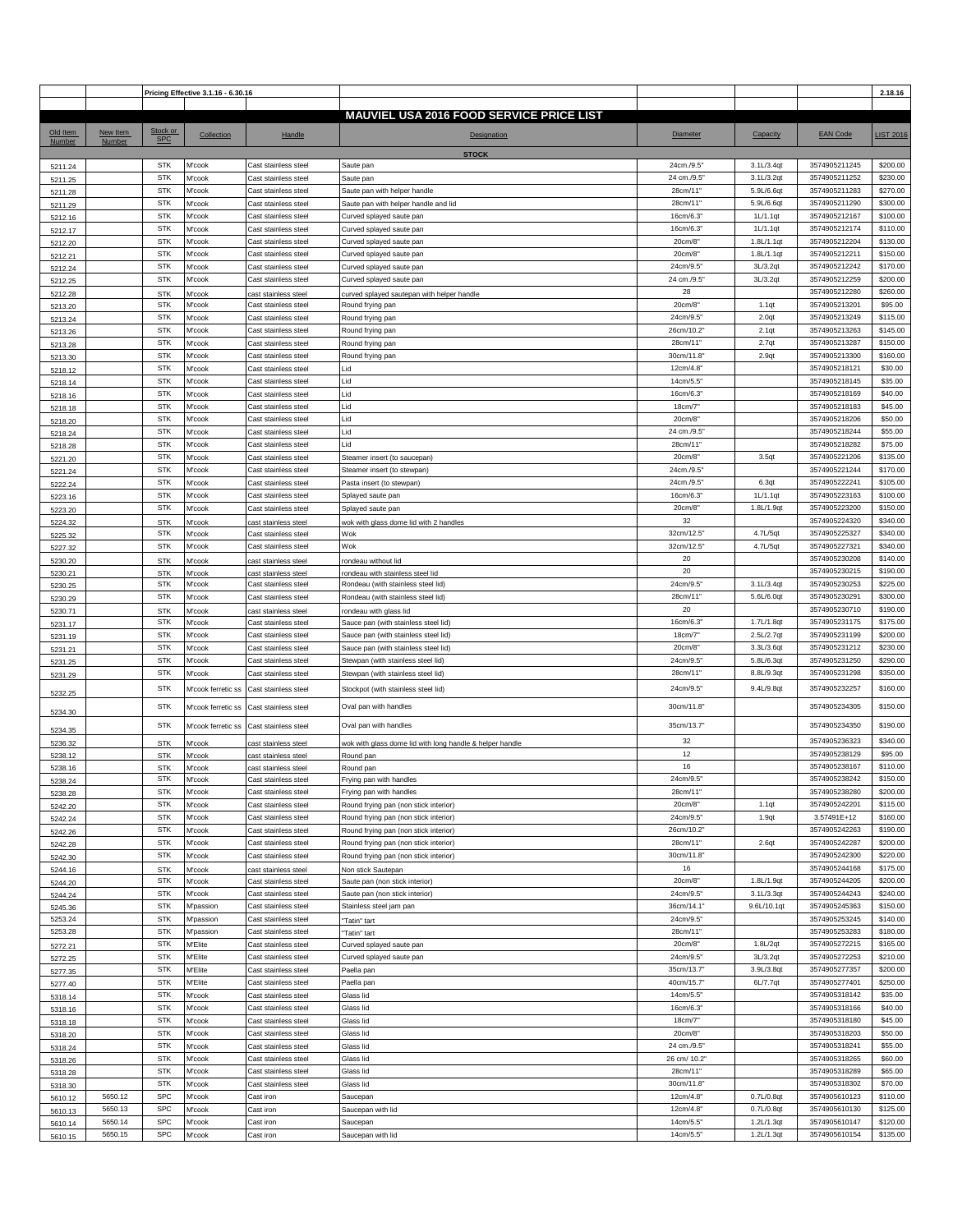|                    | Pricing Effective 3.1.16 - 6.30.16 |                          |                    |                                              |                                                                                |                             |                          |                                | 2.18.16              |
|--------------------|------------------------------------|--------------------------|--------------------|----------------------------------------------|--------------------------------------------------------------------------------|-----------------------------|--------------------------|--------------------------------|----------------------|
|                    |                                    |                          |                    |                                              |                                                                                |                             |                          |                                |                      |
|                    |                                    |                          |                    |                                              | <b>MAUVIEL USA 2016 FOOD SERVICE PRICE LIST</b>                                |                             |                          |                                |                      |
| Old Item           | New Item                           | Stock or                 | Collection         | Handle                                       | <b>Designation</b>                                                             | <b>Diameter</b>             | Capacity                 | <b>EAN Code</b>                | <b>LIST 2016</b>     |
| Number             | Number                             | <b>SPC</b>               |                    |                                              |                                                                                |                             |                          |                                |                      |
|                    |                                    |                          |                    |                                              | <b>STOCK</b>                                                                   |                             |                          |                                |                      |
| 5211.24            |                                    | STK<br><b>STK</b>        | M'cook             | Cast stainless steel                         | Saute pan                                                                      | 24cm./9.5<br>24 cm./9.5'    | 3.1L/3.4qt<br>3.1L/3.2qt | 3574905211245<br>3574905211252 | \$200.00<br>\$230.00 |
| 5211.25            |                                    | <b>STK</b>               | M'cook<br>M'cook   | Cast stainless steel                         | Saute pan                                                                      | 28cm/11'                    | 5.9L/6.6qt               | 3574905211283                  | \$270.00             |
| 5211.28            |                                    | <b>STK</b>               | M'cook             | Cast stainless steel<br>Cast stainless steel | Saute pan with helper handle<br>Saute pan with helper handle and lid           | 28cm/11'                    | 5.9L/6.6qt               | 3574905211290                  | \$300.00             |
| 5211.29<br>5212.16 |                                    | <b>STK</b>               | M'cook             | Cast stainless steel                         | Curved splayed saute pan                                                       | 16cm/6.3'                   | 1L/1.1qt                 | 3574905212167                  | \$100.00             |
| 5212.17            |                                    | <b>STK</b>               | M'cook             | Cast stainless steel                         | Curved splayed saute pan                                                       | 16cm/6.3                    | 1L/1.1qt                 | 3574905212174                  | \$110.00             |
| 5212.20            |                                    | <b>STK</b>               | M'cook             | Cast stainless steel                         | Curved splayed saute pan                                                       | 20cm/8                      | 1.8L/1.1qt               | 3574905212204                  | \$130.00             |
| 5212.21            |                                    | <b>STK</b>               | M'cook             | Cast stainless steel                         | Curved splayed saute pan                                                       | 20cm/8                      | 1.8L/1.1qt               | 3574905212211                  | \$150.00             |
| 5212.24            |                                    | <b>STK</b>               | M'cook             | Cast stainless steel                         | Curved splayed saute pan                                                       | 24cm/9.5'                   | 3L/3.2qt                 | 3574905212242                  | \$170.00             |
| 5212.25            |                                    | <b>STK</b>               | M'cook             | Cast stainless steel                         | Curved splayed saute pan                                                       | 24 cm./9.5                  | 3L/3.2qt                 | 3574905212259                  | \$200.00             |
| 5212.28            |                                    | <b>STK</b>               | M'cook             | ast stainless steel                          | curved splayed sautepan with helper handle                                     | 28                          |                          | 3574905212280                  | \$260.00             |
| 5213.20            |                                    | <b>STK</b>               | M'cook             | Cast stainless steel                         | Round frying pan                                                               | 20cm/8"                     | 1.1qt                    | 3574905213201                  | \$95.00              |
| 5213.24            |                                    | <b>STK</b>               | M'cook             | Cast stainless steel                         | Round frying pan                                                               | 24cm/9.5                    | 2.0 <sub>qt</sub>        | 3574905213249                  | \$115.00             |
| 5213.26            |                                    | <b>STK</b>               | M'cook             | Cast stainless steel                         | Round frying pan                                                               | 26cm/10.2'                  | 2.1qt                    | 3574905213263                  | \$145.00             |
| 5213.28            |                                    | <b>STK</b>               | M'cook             | Cast stainless steel                         | Round frying pan                                                               | 28cm/11"                    | 2.7qt                    | 3574905213287                  | \$150.00             |
| 5213.30            |                                    | <b>STK</b>               | M'cook             | Cast stainless steel                         | Round frying pan                                                               | 30cm/11.8"                  | 2.9qt                    | 3574905213300                  | \$160.00             |
| 5218.12            |                                    | <b>STK</b><br><b>STK</b> | M'cook<br>M'cook   | Cast stainless steel<br>Cast stainless steel | .id<br>Lid                                                                     | 12cm/4.8<br>14cm/5.5        |                          | 3574905218121<br>3574905218145 | \$30.00<br>\$35.00   |
| 5218.14            |                                    | <b>STK</b>               | M'cook             | Cast stainless steel                         | Lid                                                                            | 16cm/6.3'                   |                          | 3574905218169                  | \$40.00              |
| 5218.16<br>5218.18 |                                    | <b>STK</b>               | M'cook             | Cast stainless steel                         | Lid                                                                            | 18cm/7                      |                          | 3574905218183                  | \$45.00              |
| 5218.20            |                                    | <b>STK</b>               | M'cook             | Cast stainless steel                         | Lid                                                                            | 20cm/8                      |                          | 3574905218206                  | \$50.00              |
| 5218.24            |                                    | <b>STK</b>               | M'cook             | Cast stainless steel                         | Lid                                                                            | 24 cm./9.5'                 |                          | 3574905218244                  | \$55.00              |
| 5218.28            |                                    | <b>STK</b>               | M'cook             | Cast stainless steel                         | Lid                                                                            | 28cm/11"                    |                          | 3574905218282                  | \$75.00              |
| 5221.20            |                                    | <b>STK</b>               | M'cook             | Cast stainless steel                         | Steamer insert (to saucepan)                                                   | 20cm/8                      | 3.5 <sub>qt</sub>        | 3574905221206                  | \$135.00             |
| 5221.24            |                                    | <b>STK</b>               | M'cook             | Cast stainless steel                         | Steamer insert (to stewpan)                                                    | 24cm./9.5                   |                          | 3574905221244                  | \$170.00             |
| 5222.24            |                                    | <b>STK</b>               | M'cook             | Cast stainless steel                         | Pasta insert (to stewpan)                                                      | 24cm./9.5                   | 6.3qt                    | 3574905222241                  | \$105.00             |
| 5223.16            |                                    | <b>STK</b>               | M'cook             | Cast stainless steel                         | Splayed saute pan                                                              | 16cm/6.3                    | 1L/1.1qt                 | 3574905223163                  | \$100.00             |
| 5223.20            |                                    | <b>STK</b>               | M'cook             | Cast stainless steel                         | Splayed saute pan                                                              | 20cm/8                      | 1.8L/1.9qt               | 3574905223200                  | \$150.00             |
| 5224.32            |                                    | <b>STK</b>               | M'cook             | cast stainless steel                         | wok with glass dome lid with 2 handles                                         | 32                          |                          | 3574905224320                  | \$340.00             |
| 5225.32            |                                    | <b>STK</b>               | M'cook             | Cast stainless steel                         | Wok                                                                            | 32cm/12.5"                  | 4.7L/5qt                 | 3574905225327                  | \$340.00             |
| 5227.32            |                                    | <b>STK</b>               | M'cook             | Cast stainless steel                         | Wok                                                                            | 32cm/12.5'                  | 4.7L/5qt                 | 3574905227321                  | \$340.00             |
| 5230.20            |                                    | <b>STK</b>               | M'cook             | cast stainless steel                         | rondeau without lid                                                            | 20                          |                          | 3574905230208                  | \$140.00             |
| 5230.21            |                                    | <b>STK</b>               | M'cook             | ast stainless steel                          | rondeau with stainless steel lid                                               | 20<br>24cm/9.5'             | 3.1L/3.4qt               | 3574905230215<br>3574905230253 | \$190.00<br>\$225.00 |
| 5230.25            |                                    | STK<br><b>STK</b>        | M'cook<br>M'cook   | Cast stainless steel<br>Cast stainless steel | Rondeau (with stainless steel lid)<br>Rondeau (with stainless steel lid)       | 28cm/11                     | 5.6L/6.0qt               | 3574905230291                  | \$300.00             |
| 5230.29<br>5230.71 |                                    | <b>STK</b>               | M'cook             |                                              |                                                                                | 20                          |                          | 3574905230710                  | \$190.00             |
| 5231.17            |                                    | <b>STK</b>               | M'cook             | ast stainless steel<br>Cast stainless steel  | rondeau with glass lid<br>Sauce pan (with stainless steel lid)                 | 16cm/6.3'                   | 1.7L/1.8qt               | 3574905231175                  | \$175.00             |
| 5231.19            |                                    | <b>STK</b>               | M'cook             | Cast stainless steel                         | Sauce pan (with stainless steel lid)                                           | 18cm/7                      | 2.5L/2.7qt               | 3574905231199                  | \$200.00             |
| 5231.21            |                                    | <b>STK</b>               | M'cook             | Cast stainless steel                         | Sauce pan (with stainless steel lid)                                           | 20cm/8"                     | 3.3L/3.6qt               | 3574905231212                  | \$230.00             |
| 5231.25            |                                    | <b>STK</b>               | M'cook             | Cast stainless steel                         | Stewpan (with stainless steel lid)                                             | 24cm/9.5                    | 5.8L/6.3qt               | 3574905231250                  | \$290.00             |
| 5231.29            |                                    | <b>STK</b>               | M'cook             | Cast stainless steel                         | Stewpan (with stainless steel lid)                                             | 28cm/11"                    | 8.8L/9.3qt               | 3574905231298                  | \$350.00             |
|                    |                                    | <b>STK</b>               | M'cook ferretic ss | Cast stainless steel                         | Stockpot (with stainless steel lid)                                            | 24cm/9.5                    | 9.4L/9.8qt               | 3574905232257                  | \$160.00             |
| 5232.25            |                                    |                          |                    |                                              |                                                                                |                             |                          |                                |                      |
| 5234.30            |                                    | <b>STK</b>               | M'cook ferretic ss | Cast stainless steel                         | Oval pan with handles                                                          | 30cm/11.8"                  |                          | 3574905234305                  | \$150.00             |
| 5234.35            |                                    | STK                      |                    | M'cook ferretic ss Cast stainless steel      | Oval pan with handles                                                          | 35cm/13.7'                  |                          | 3574905234350                  | \$190.00             |
| 5236.32            |                                    | <b>STK</b>               | M'cook             | cast stainless steel                         | wok with glass dome lid with long handle & helper handle                       | 32                          |                          | 3574905236323                  | \$340.00             |
| 5238.12            |                                    | <b>STK</b>               | M'cook             | cast stainless steel                         | Round pan                                                                      | 12                          |                          | 3574905238129                  | \$95.00              |
| 5238.16            |                                    | <b>STK</b>               | M'cook             | cast stainless steel                         | Round pan                                                                      | 16                          |                          | 3574905238167                  | \$110.00             |
| 5238.24            |                                    | <b>STK</b>               | M COOK             | Cast stainless steer                         | Frying pan with handles                                                        | 24cm/9.5                    |                          | 3574905238242                  | \$150.00             |
| 5238.28            |                                    | <b>STK</b>               | M'cook             | Cast stainless steel                         | Frying pan with handles                                                        | 28cm/11"                    |                          | 3574905238280                  | \$200.00             |
| 5242.20            |                                    | <b>STK</b>               | M'cook             | Cast stainless steel                         | Round frying pan (non stick interior)                                          | 20cm/8"                     | 1.1qt                    | 3574905242201                  | \$115.00             |
| 5242.24            |                                    | <b>STK</b>               | M'cook             | Cast stainless steel                         | Round frying pan (non stick interior)                                          | 24cm/9.5"                   | 1.9qt                    | 3.57491E+12                    | \$160.00             |
| 5242.26            |                                    | <b>STK</b><br><b>STK</b> | M'cook             | Cast stainless steel                         | Round frying pan (non stick interior)                                          | 26cm/10.2"                  |                          | 3574905242263                  | \$190.00             |
| 5242.28            |                                    | <b>STK</b>               | M'cook             | Cast stainless steel                         | Round frying pan (non stick interior)<br>Round frying pan (non stick interior) | 28cm/11"<br>30cm/11.8"      | 2.6qt                    | 3574905242287<br>3574905242300 | \$200.00<br>\$220.00 |
| 5242.30<br>5244.16 |                                    | <b>STK</b>               | M'cook             | Cast stainless steel<br>cast stainless steel |                                                                                | 16                          |                          | 3574905244168                  | \$175.00             |
| 5244.20            |                                    | <b>STK</b>               | M'cook<br>M'cook   | Cast stainless steel                         | Non stick Sautepan<br>Saute pan (non stick interior)                           | 20cm/8"                     | 1.8L/1.9qt               | 3574905244205                  | \$200.00             |
| 5244.24            |                                    | <b>STK</b>               | M'cook             | Cast stainless steel                         | Saute pan (non stick interior)                                                 | 24cm/9.5'                   | 3.1L/3.3qt               | 3574905244243                  | \$240.00             |
| 5245.36            |                                    | STK                      | M'passion          | Cast stainless steel                         | Stainless steel jam pan                                                        | 36cm/14.1"                  | 9.6L/10.1qt              | 3574905245363                  | \$150.00             |
| 5253.24            |                                    | <b>STK</b>               | M'passion          | Cast stainless steel                         | "Tatin" tart                                                                   | 24cm/9.5                    |                          | 3574905253245                  | \$140.00             |
| 5253.28            |                                    | <b>STK</b>               | M'passion          | Cast stainless steel                         | "Tatin" tart                                                                   | 28cm/11"                    |                          | 3574905253283                  | \$180.00             |
| 5272.21            |                                    | <b>STK</b>               | M'Elite            | Cast stainless steel                         | Curved splayed saute pan                                                       | 20cm/8"                     | 1.8L/2qt                 | 3574905272215                  | \$165.00             |
| 5272.25            |                                    | <b>STK</b>               | M'Elite            | Cast stainless steel                         | Curved splayed saute pan                                                       | 24cm/9.5'                   | 3L/3.2qt                 | 3574905272253                  | \$210.00             |
| 5277.35            |                                    | <b>STK</b>               | M'Elite            | Cast stainless steel                         | Paella pan                                                                     | 35cm/13.7'                  | 3.9L/3.8qt               | 3574905277357                  | \$200.00             |
| 5277.40            |                                    | <b>STK</b>               | M'Elite            | Cast stainless steel                         | Paella pan                                                                     | 40cm/15.7"                  | 6L/7.7qt                 | 3574905277401                  | \$250.00             |
| 5318.14            |                                    | <b>STK</b>               | M'cook             | Cast stainless steel                         | Glass lid                                                                      | 14cm/5.5"                   |                          | 3574905318142                  | \$35.00              |
| 5318.16            |                                    | <b>STK</b>               | M'cook             | Cast stainless steel                         | Glass lid                                                                      | 16cm/6.3'                   |                          | 3574905318166                  | \$40.00              |
| 5318.18            |                                    | <b>STK</b>               | M'cook             | Cast stainless steel                         | Glass lid                                                                      | 18cm/7"                     |                          | 3574905318180                  | \$45.00              |
| 5318.20            |                                    | <b>STK</b><br><b>STK</b> | M'cook             | Cast stainless steel                         | Glass lid                                                                      | 20cm/8"                     |                          | 3574905318203                  | \$50.00<br>\$55.00   |
| 5318.24            |                                    | <b>STK</b>               | M'cook             | Cast stainless steel                         | Glass lid                                                                      | 24 cm./9.5'<br>26 cm/ 10.2" |                          | 3574905318241<br>3574905318265 | \$60.00              |
| 5318.26            |                                    | <b>STK</b>               | M'cook<br>M'cook   | Cast stainless steel<br>Cast stainless steel | Glass lid<br>Glass lid                                                         | 28cm/11"                    |                          | 3574905318289                  | \$65.00              |
| 5318.28<br>5318.30 |                                    | <b>STK</b>               | M'cook             | Cast stainless steel                         | Glass lid                                                                      | 30cm/11.8"                  |                          | 3574905318302                  | \$70.00              |
| 5610.12            | 5650.12                            | <b>SPC</b>               | M'cook             | Cast iron                                    | Saucepan                                                                       | 12cm/4.8                    | 0.7L/0.8qt               | 3574905610123                  | \$110.00             |
| 5610.13            | 5650.13                            | <b>SPC</b>               | M'cook             | Cast iron                                    | Saucepan with lid                                                              | 12cm/4.8                    | 0.7L/0.8qt               | 3574905610130                  | \$125.00             |
| 5610.14            | 5650.14                            | <b>SPC</b>               | M'cook             | Cast iron                                    | Saucepan                                                                       | 14cm/5.5'                   | 1.2L/1.3qt               | 3574905610147                  | \$120.00             |
| 5610.15            | 5650.15                            | <b>SPC</b>               | M'cook             | Cast iron                                    | Saucepan with lid                                                              | 14cm/5.5"                   | 1.2L/1.3qt               | 3574905610154                  | \$135.00             |
|                    |                                    |                          |                    |                                              |                                                                                |                             |                          |                                |                      |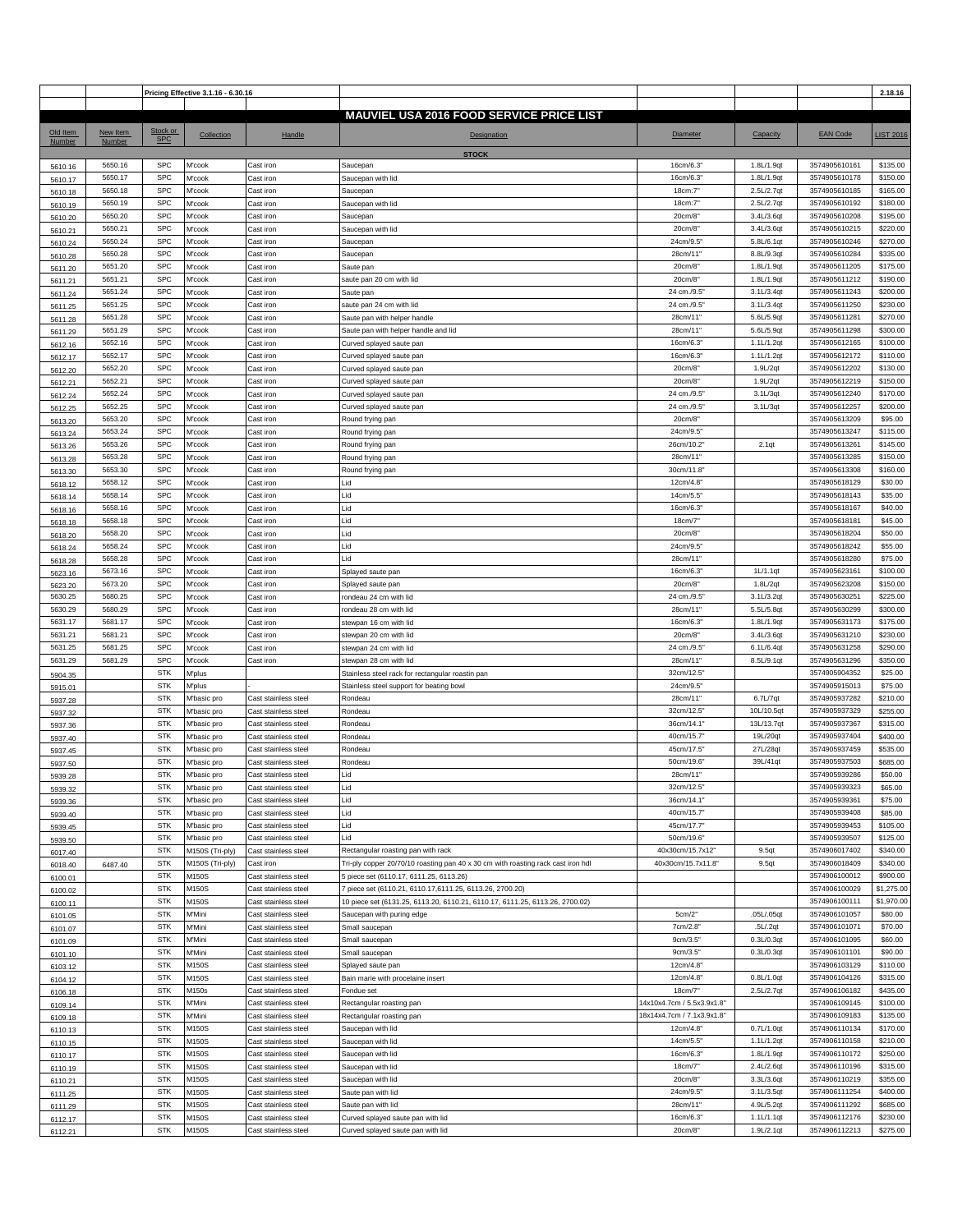|          |          |                        | Pricing Effective 3.1.16 - 6.30.16 |                      |                                                                                  |                            |            |                 | 2.18.16          |
|----------|----------|------------------------|------------------------------------|----------------------|----------------------------------------------------------------------------------|----------------------------|------------|-----------------|------------------|
|          |          |                        |                                    |                      | <b>MAUVIEL USA 2016 FOOD SERVICE PRICE LIST</b>                                  |                            |            |                 |                  |
|          |          |                        |                                    |                      |                                                                                  |                            |            |                 |                  |
| Old Item | New Item | Stock or<br><b>SPC</b> | Collection                         | Handle               | <b>Designation</b>                                                               | Diameter                   | Capacity   | <b>EAN Code</b> | <b>LIST 2016</b> |
| Number   | Number   |                        |                                    |                      |                                                                                  |                            |            |                 |                  |
|          | 5650.16  | <b>SPC</b>             | M'cook                             | Cast iron            | <b>STOCK</b><br>Saucepan                                                         | 16cm/6.3                   | 1.8L/1.9qt | 3574905610161   | \$135.00         |
| 5610.16  | 5650.17  | <b>SPC</b>             | M'cook                             | Cast iron            | Saucepan with lid                                                                | 16cm/6.3'                  | 1.8L/1.9qt | 3574905610178   | \$150.00         |
| 5610.17  |          | <b>SPC</b>             |                                    |                      |                                                                                  |                            | 2.5L/2.7qt | 3574905610185   | \$165.00         |
| 5610.18  | 5650.18  |                        | M'cook                             | Cast iron            | Saucepan                                                                         | 18cm:7'                    |            |                 |                  |
| 5610.19  | 5650.19  | <b>SPC</b>             | M'cook                             | Cast iron            | Saucepan with lid                                                                | 18cm:7                     | 2.5L/2.7qt | 3574905610192   | \$180.00         |
| 5610.20  | 5650.20  | SPC                    | M'cook                             | Cast iron            | Saucepan                                                                         | 20cm/8"                    | 3.4L/3.6qt | 3574905610208   | \$195.00         |
| 5610.21  | 5650.21  | <b>SPC</b>             | M'cook                             | Cast iron            | Saucepan with lid                                                                | 20cm/8"                    | 3.4L/3.6qt | 3574905610215   | \$220.00         |
| 5610.24  | 5650.24  | <b>SPC</b>             | M'cook                             | Cast iron            | Saucepan                                                                         | 24cm/9.5                   | 5.8L/6.1qt | 3574905610246   | \$270.00         |
| 5610.28  | 5650.28  | <b>SPC</b>             | M'cook                             | Cast iron            | Saucepan                                                                         | 28cm/11"                   | 8.8L/9.3qt | 3574905610284   | \$335.00         |
| 5611.20  | 5651.20  | <b>SPC</b>             | M'cook                             | Cast iron            | Saute pan                                                                        | 20cm/8"                    | 1.8L/1.9qt | 3574905611205   | \$175.00         |
| 5611.21  | 5651.21  | <b>SPC</b>             | M'cook                             | Cast iron            | saute pan 20 cm with lid                                                         | 20cm/8                     | 1.8L/1.9qt | 3574905611212   | \$190.00         |
| 5611.24  | 5651.24  | <b>SPC</b>             | M'cook                             | Cast iron            | Saute pan                                                                        | 24 cm./9.5'                | 3.1L/3.4qt | 3574905611243   | \$200.00         |
| 5611.25  | 5651.25  | <b>SPC</b>             | M'cook                             | Cast iron            | saute pan 24 cm with lid                                                         | 24 cm./9.5'                | 3.1L/3.4qt | 3574905611250   | \$230.00         |
| 5611.28  | 5651.28  | <b>SPC</b>             | M'cook                             | Cast iron            | Saute pan with helper handle                                                     | 28cm/11'                   | 5.6L/5.9qt | 3574905611281   | \$270.00         |
|          | 5651.29  | <b>SPC</b>             | M'cook                             | Cast iron            | Saute pan with helper handle and lid                                             | 28cm/11'                   | 5.6L/5.9qt | 3574905611298   | \$300.00         |
| 5611.29  | 5652.16  | <b>SPC</b>             | M'cook                             | Cast iron            |                                                                                  | 16cm/6.3                   | 1.1L/1.2qt | 3574905612165   | \$100.00         |
| 5612.16  |          | <b>SPC</b>             |                                    |                      | Curved splayed saute pan                                                         |                            |            | 3574905612172   | \$110.00         |
| 5612.17  | 5652.17  |                        | M'cook                             | Cast iron            | Curved splayed saute pan                                                         | 16cm/6.3                   | 1.1L/1.2qt |                 |                  |
| 5612.20  | 5652.20  | <b>SPC</b>             | M'cook                             | Cast iron            | Curved splayed saute pan                                                         | 20cm/8                     | 1.9L/2qt   | 3574905612202   | \$130.00         |
| 5612.21  | 5652.21  | <b>SPC</b>             | M'cook                             | Cast iron            | Curved splayed saute pan                                                         | 20cm/8                     | 1.9L/2qt   | 3574905612219   | \$150.00         |
| 5612.24  | 5652.24  | <b>SPC</b>             | M'cook                             | Cast iron            | Curved splayed saute pan                                                         | 24 cm./9.5'                | 3.1L/3qt   | 3574905612240   | \$170.00         |
| 5612.25  | 5652.25  | <b>SPC</b>             | M'cook                             | Cast iron            | Curved splayed saute pan                                                         | 24 cm./9.5'                | 3.1L/3qt   | 3574905612257   | \$200.00         |
| 5613.20  | 5653.20  | <b>SPC</b>             | M'cook                             | Cast iron            | Round frying pan                                                                 | 20cm/8                     |            | 3574905613209   | \$95.00          |
| 5613.24  | 5653.24  | <b>SPC</b>             | M'cook                             | Cast iron            | Round frying pan                                                                 | 24cm/9.5                   |            | 3574905613247   | \$115.00         |
| 5613.26  | 5653.26  | <b>SPC</b>             | M'cook                             | Cast iron            | Round frying pan                                                                 | 26cm/10.2                  | 2.1qt      | 3574905613261   | \$145.00         |
| 5613.28  | 5653.28  | <b>SPC</b>             | M'cook                             | Cast iron            | Round frying pan                                                                 | 28cm/11'                   |            | 3574905613285   | \$150.00         |
| 5613.30  | 5653.30  | <b>SPC</b>             | M'cook                             | Cast iron            | Round frying pan                                                                 | 30cm/11.8                  |            | 3574905613308   | \$160.00         |
| 5618.12  | 5658.12  | <b>SPC</b>             | M'cook                             | Cast iron            | Lid                                                                              | 12cm/4.8                   |            | 3574905618129   | \$30.00          |
|          | 5658.14  | <b>SPC</b>             | M'cook                             | Cast iron            | Lid                                                                              | 14cm/5.5                   |            | 3574905618143   | \$35.00          |
| 5618.14  | 5658.16  | <b>SPC</b>             |                                    |                      |                                                                                  |                            |            | 3574905618167   | \$40.00          |
| 5618.16  |          |                        | M'cook                             | Cast iron            | Lid                                                                              | 16cm/6.3                   |            |                 |                  |
| 5618.18  | 5658.18  | <b>SPC</b>             | M'cook                             | Cast iron            | Lid                                                                              | 18cm/7                     |            | 3574905618181   | \$45.00          |
| 5618.20  | 5658.20  | <b>SPC</b>             | M'cook                             | Cast iron            | Lid                                                                              | 20cm/8"                    |            | 3574905618204   | \$50.00          |
| 5618.24  | 5658.24  | <b>SPC</b>             | M'cook                             | Cast iron            | Lid                                                                              | 24cm/9.5'                  |            | 3574905618242   | \$55.00          |
| 5618.28  | 5658.28  | <b>SPC</b>             | M'cook                             | Cast iron            | Lid                                                                              | 28cm/11"                   |            | 3574905618280   | \$75.00          |
| 5623.16  | 5673.16  | <b>SPC</b>             | M'cook                             | Cast iron            | Splayed saute pan                                                                | 16cm/6.3                   | 1L/1.1qt   | 3574905623161   | \$100.00         |
| 5623.20  | 5673.20  | <b>SPC</b>             | M'cook                             | Cast iron            | Splayed saute pan                                                                | 20cm/8"                    | 1.8L/2qt   | 3574905623208   | \$150.00         |
| 5630.25  | 5680.25  | <b>SPC</b>             | M'cook                             | Cast iron            | rondeau 24 cm with lid                                                           | 24 cm./9.5'                | 3.1L/3.2qt | 3574905630251   | \$225.00         |
| 5630.29  | 5680.29  | <b>SPC</b>             | M'cook                             | Cast iron            | rondeau 28 cm with lid                                                           | 28cm/11'                   | 5.5L/5.8qt | 3574905630299   | \$300.00         |
| 5631.17  | 5681.17  | SPC                    | M'cook                             | Cast iron            | stewpan 16 cm with lid                                                           | 16cm/6.3                   | 1.8L/1.9qt | 3574905631173   | \$175.00         |
| 5631.21  | 5681.21  | <b>SPC</b>             | M'cook                             | Cast iron            | stewpan 20 cm with lid                                                           | 20cm/8"                    | 3.4L/3.6qt | 3574905631210   | \$230.00         |
| 5631.25  | 5681.25  | <b>SPC</b>             | M'cook                             | Cast iron            | stewpan 24 cm with lid                                                           | 24 cm./9.5                 | 6.1L/6.4qt | 3574905631258   | \$290.00         |
|          |          | <b>SPC</b>             |                                    | Cast iron            | stewpan 28 cm with lid                                                           | 28cm/11'                   |            |                 | \$350.00         |
| 5631.29  | 5681.29  |                        | M'cook                             |                      |                                                                                  |                            | 8.5L/9.1qt | 3574905631296   |                  |
| 5904.35  |          | <b>STK</b>             | M'plus                             |                      | Stainless steel rack for rectangular roastin pan                                 | 32cm/12.5'                 |            | 3574905904352   | \$25.00          |
| 5915.01  |          | <b>STK</b>             | M'plus                             |                      | Stainless steel support for beating bowl                                         | 24cm/9.5                   |            | 3574905915013   | \$75.00          |
| 5937.28  |          | <b>STK</b>             | M'basic pro                        | Cast stainless steel | Rondeau                                                                          | 28cm/11"                   | 6.7L/7qt   | 3574905937282   | \$210.00         |
| 5937.32  |          | <b>STK</b>             | M'basic pro                        | Cast stainless steel | Rondeau                                                                          | 32cm/12.5'                 | 10L/10.5qt | 3574905937329   | \$255.00         |
| 5937.36  |          | <b>STK</b>             | M'basic pro                        | Cast stainless steel | Rondeau                                                                          | 36cm/14.1'                 | 13L/13.7qt | 3574905937367   | \$315.00         |
| 5937.40  |          | <b>STK</b>             | M'basic pro                        | Cast stainless steel | Rondeau                                                                          | 40cm/15.7                  | 19L/20qt   | 3574905937404   | \$400.00         |
| 5937.45  |          | <b>STK</b>             | M'basic pro                        | Cast stainless steel | Rondeau                                                                          | 45cm/17.5'                 | 27L/28qt   | 3574905937459   | \$535.00         |
| 5937.50  |          | <b>STK</b>             | M'basic pro                        | Cast stainless steel | Rondeau                                                                          | 50cm/19.6'                 | 39L/41qt   | 3574905937503   | \$685.00         |
| 5939.28  |          | <b>STK</b>             | M'basic pro                        | Cast stainless steel | Lid                                                                              | 28cm/11"                   |            | 3574905939286   | \$50.00          |
| 5939.32  |          | <b>STK</b>             | M'basic pro                        | Cast stainless steel | Lid                                                                              | 32cm/12.5'                 |            | 3574905939323   | \$65.00          |
| 5939.36  |          | <b>STK</b>             | M'basic pro                        | Cast stainless steel | Lid                                                                              | 36cm/14.1'                 |            | 3574905939361   | \$75.00          |
| 5939.40  |          | <b>STK</b>             | M'basic pro                        | Cast stainless steel | Lid                                                                              | 40cm/15.7"                 |            | 3574905939408   | \$85.00          |
|          |          | <b>STK</b>             | M'basic pro                        | Cast stainless steel | Lid                                                                              | 45cm/17.7'                 |            | 3574905939453   | \$105.00         |
| 5939.45  |          | <b>STK</b>             | M'basic pro                        | Cast stainless steel | Lid                                                                              | 50cm/19.6'                 |            | 3574905939507   | \$125.00         |
| 5939.50  |          | STK                    |                                    |                      |                                                                                  |                            |            | 3574906017402   | \$340.00         |
| 6017.40  |          |                        | M150S (Tri-ply)                    | Cast stainless steel | Rectangular roasting pan with rack                                               | 40x30cm/15.7x12"           | 9.5qt      |                 |                  |
| 6018.40  | 6487.40  | <b>STK</b>             | M150S (Tri-ply)                    | Cast iron            | Tri-ply copper 20/70/10 roasting pan 40 x 30 cm with roasting rack cast iron hdl | 40x30cm/15.7x11.8"         | 9.5qt      | 3574906018409   | \$340.00         |
| 6100.01  |          | <b>STK</b>             | M150S                              | Cast stainless steel | 5 piece set (6110.17, 6111.25, 6113.26)                                          |                            |            | 3574906100012   | \$900.00         |
| 6100.02  |          | <b>STK</b>             | M150S                              | Cast stainless steel | 7 piece set (6110.21, 6110.17,6111.25, 6113.26, 2700.20)                         |                            |            | 3574906100029   | \$1,275.00       |
| 6100.11  |          | <b>STK</b>             | M150S                              | Cast stainless steel | 10 piece set (6131.25, 6113.20, 6110.21, 6110.17, 6111.25, 6113.26, 2700.02)     |                            |            | 3574906100111   | \$1,970.00       |
| 6101.05  |          | <b>STK</b>             | M'Mini                             | Cast stainless steel | Saucepan with puring edge                                                        | 5cm/2"                     | .05L/.05qt | 3574906101057   | \$80.00          |
| 6101.07  |          | <b>STK</b>             | M'Mini                             | Cast stainless steel | Small saucepan                                                                   | 7cm/2.8"                   | .5L/.2qt   | 3574906101071   | \$70.00          |
| 6101.09  |          | <b>STK</b>             | M'Mini                             | Cast stainless steel | Small saucepan                                                                   | 9cm/3.5"                   | 0.3L/0.3qt | 3574906101095   | \$60.00          |
| 6101.10  |          | <b>STK</b>             | M'Mini                             | Cast stainless steel | Small saucepan                                                                   | 9cm/3.5"                   | 0.3L/0.3qt | 3574906101101   | \$90.00          |
| 6103.12  |          | <b>STK</b>             | M150S                              | Cast stainless steel | Splayed saute pan                                                                | 12cm/4.8'                  |            | 3574906103129   | \$110.00         |
| 6104.12  |          | <b>STK</b>             | M150S                              | Cast stainless steel | Bain marie with procelaine insert                                                | 12cm/4.8"                  | 0.8L/1.0qt | 3574906104126   | \$315.00         |
| 6106.18  |          | <b>STK</b>             | M150s                              | Cast stainless steel | Fondue set                                                                       | 18cm/7"                    | 2.5L/2.7qt | 3574906106182   | \$435.00         |
|          |          | <b>STK</b>             | M'Mini                             | Cast stainless steel | Rectangular roasting pan                                                         | 14x10x4.7cm / 5.5x3.9x1.8" |            | 3574906109145   | \$100.00         |
| 6109.14  |          | <b>STK</b>             | M'Mini                             |                      |                                                                                  | 18x14x4.7cm / 7.1x3.9x1.8  |            | 3574906109183   | \$135.00         |
| 6109.18  |          |                        |                                    | Cast stainless steel | Rectangular roasting pan                                                         |                            |            |                 |                  |
| 6110.13  |          | <b>STK</b>             | M150S                              | Cast stainless steel | Saucepan with lid                                                                | 12cm/4.8                   | 0.7L/1.0qt | 3574906110134   | \$170.00         |
| 6110.15  |          | <b>STK</b>             | M150S                              | Cast stainless steel | Saucepan with lid                                                                | 14cm/5.5"                  | 1.1L/1.2qt | 3574906110158   | \$210.00         |
| 6110.17  |          | <b>STK</b>             | M150S                              | Cast stainless steel | Saucepan with lid                                                                | 16cm/6.3                   | 1.8L/1.9qt | 3574906110172   | \$250.00         |
| 6110.19  |          | <b>STK</b>             | M150S                              | Cast stainless steel | Saucepan with lid                                                                | 18cm/7                     | 2.4L/2.6qt | 3574906110196   | \$315.00         |
| 6110.21  |          | <b>STK</b>             | M150S                              | Cast stainless steel | Saucepan with lid                                                                | 20cm/8"                    | 3.3L/3.6qt | 3574906110219   | \$355.00         |
| 6111.25  |          | <b>STK</b>             | M150S                              | Cast stainless steel | Saute pan with lid                                                               | 24cm/9.5                   | 3.1L/3.5qt | 3574906111254   | \$400.00         |
| 6111.29  |          | <b>STK</b>             | M150S                              | Cast stainless steel | Saute pan with lid                                                               | 28cm/11"                   | 4.9L/5.2qt | 3574906111292   | \$685.00         |
| 6112.17  |          | <b>STK</b>             | M150S                              | Cast stainless steel | Curved splayed saute pan with lid                                                | 16cm/6.3                   | 1.1L/1.1qt | 3574906112176   | \$230.00         |
| 6112.21  |          | <b>STK</b>             | M150S                              | Cast stainless steel | Curved splayed saute pan with lid                                                | 20cm/8"                    | 1.9L/2.1qt | 3574906112213   | \$275.00         |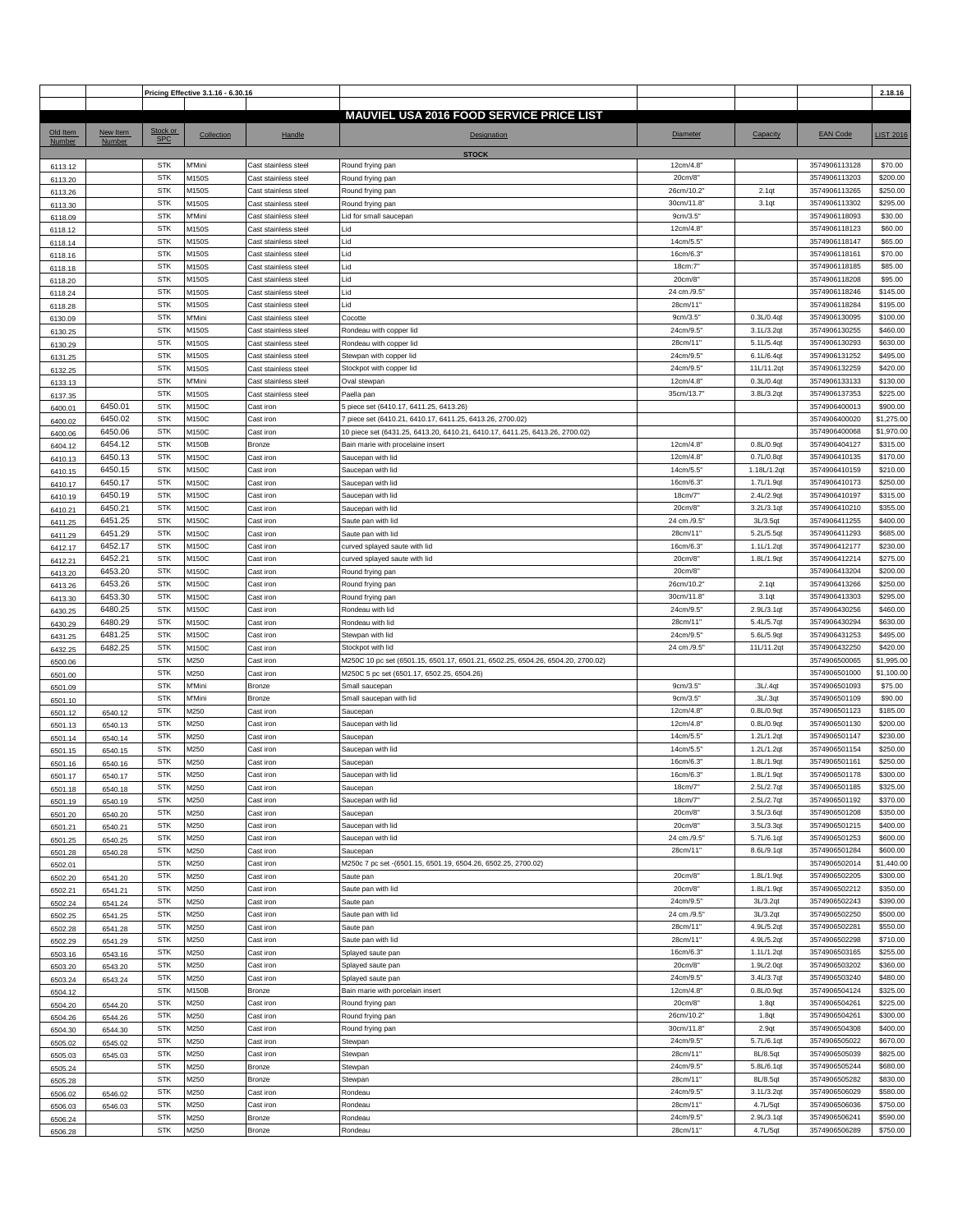|          |          |                          | Pricing Effective 3.1.16 - 6.30.16 |                      |                                                                                 |                     |               |                                | 2.18.16             |
|----------|----------|--------------------------|------------------------------------|----------------------|---------------------------------------------------------------------------------|---------------------|---------------|--------------------------------|---------------------|
|          |          |                          |                                    |                      |                                                                                 |                     |               |                                |                     |
|          |          |                          |                                    |                      | <b>MAUVIEL USA 2016 FOOD SERVICE PRICE LIST</b>                                 |                     |               |                                |                     |
| Old Item | New Item | Stock or<br><b>SPC</b>   | Collection                         | Handle               | <b>Designation</b>                                                              | Diameter            | Capacity      | <b>EAN Code</b>                | <b>LIST 2016</b>    |
| Number   | Number   |                          |                                    |                      |                                                                                 |                     |               |                                |                     |
|          |          |                          |                                    | Cast stainless steel | <b>STOCK</b>                                                                    |                     |               |                                |                     |
| 6113.12  |          | <b>STK</b><br><b>STK</b> | M'Mini                             |                      | Round frying pan                                                                | 12cm/4.8<br>20cm/8" |               | 3574906113128<br>3574906113203 | \$70.00<br>\$200.00 |
| 6113.20  |          |                          | M150S                              | Cast stainless steel | Round frying pan                                                                |                     |               |                                |                     |
| 6113.26  |          | <b>STK</b>               | M150S                              | Cast stainless steel | Round frying pan                                                                | 26cm/10.2           | 2.1qt         | 3574906113265                  | \$250.00            |
| 6113.30  |          | <b>STK</b>               | M150S                              | Cast stainless steel | Round frying pan                                                                | 30cm/11.8           | 3.1qt         | 3574906113302                  | \$295.00            |
| 6118.09  |          | <b>STK</b>               | M'Mini                             | Cast stainless steel | Lid for small saucepan                                                          | 9cm/3.5"            |               | 3574906118093                  | \$30.00             |
| 6118.12  |          | <b>STK</b>               | M150S                              | Cast stainless steel | Lid                                                                             | 12cm/4.8            |               | 3574906118123                  | \$60.00             |
| 6118.14  |          | <b>STK</b>               | M150S                              | Cast stainless steel | Lid                                                                             | 14cm/5.5            |               | 3574906118147                  | \$65.00             |
| 6118.16  |          | <b>STK</b>               | M150S                              | Cast stainless steel | Lid                                                                             | 16cm/6.3            |               | 3574906118161                  | \$70.00             |
| 6118.18  |          | <b>STK</b>               | M150S                              | Cast stainless steel | Lid                                                                             | 18cm:7'             |               | 3574906118185                  | \$85.00             |
| 6118.20  |          | <b>STK</b>               | M150S                              | Cast stainless steel | Lid                                                                             | 20cm/8              |               | 3574906118208                  | \$95.00             |
| 6118.24  |          | <b>STK</b>               | M150S                              | Cast stainless steel | Lid                                                                             | 24 cm./9.5'         |               | 3574906118246                  | \$145.00            |
| 6118.28  |          | <b>STK</b>               | M150S                              | Cast stainless steel | Lid                                                                             | 28cm/11'            |               | 3574906118284                  | \$195.00            |
| 6130.09  |          | <b>STK</b>               | M'Mini                             | Cast stainless steel | Cocotte                                                                         | 9cm/3.5"            | 0.3L/0.4qt    | 3574906130095                  | \$100.00            |
| 6130.25  |          | <b>STK</b>               | M150S                              | Cast stainless steel | Rondeau with copper lid                                                         | 24cm/9.5            | 3.1L/3.2qt    | 3574906130255                  | \$460.00            |
| 6130.29  |          | <b>STK</b>               | M150S                              | Cast stainless steel | Rondeau with copper lid                                                         | 28cm/11"            | 5.1L/5.4qt    | 3574906130293                  | \$630.00            |
| 6131.25  |          | <b>STK</b>               | M150S                              | Cast stainless steel | Stewpan with copper lid                                                         | 24cm/9.5            | 6.1L/6.4qt    | 3574906131252                  | \$495.00            |
| 6132.25  |          | <b>STK</b>               | M150S                              | Cast stainless steel | Stockpot with copper lid                                                        | 24cm/9.5            | 11L/11.2qt    | 3574906132259                  | \$420.00            |
| 6133.13  |          | <b>STK</b>               | M'Mini                             | Cast stainless steel | Oval stewpan                                                                    | 12cm/4.8            | 0.3L/0.4qt    | 3574906133133                  | \$130.00            |
| 6137.35  |          | <b>STK</b>               | M150S                              | Cast stainless steel | Paella pan                                                                      | 35cm/13.7'          | 3.8L/3.2qt    | 3574906137353                  | \$225.00            |
| 6400.01  | 6450.01  | <b>STK</b>               | M150C                              | Cast iron            | 5 piece set (6410.17, 6411.25, 6413.26)                                         |                     |               | 3574906400013                  | \$900.00            |
| 6400.02  | 6450.02  | <b>STK</b>               | M150C                              | Cast iron            | piece set (6410.21, 6410.17, 6411.25, 6413.26, 2700.02)                         |                     |               | 3574906400020                  | \$1,275.00          |
| 6400.06  | 6450.06  | <b>STK</b>               | M150C                              | Cast iron            | 10 piece set (6431.25, 6413.20, 6410.21, 6410.17, 6411.25, 6413.26, 2700.02)    |                     |               | 3574906400068                  | \$1,970.00          |
| 6404.12  | 6454.12  | <b>STK</b>               | M150B                              | Bronze               | Bain marie with procelaine insert                                               | 12cm/4.8            | 0.8L/0.9qt    | 3574906404127                  | \$315.00            |
| 6410.13  | 6450.13  | <b>STK</b>               | M150C                              | Cast iron            | Saucepan with lid                                                               | 12cm/4.8            | 0.7L/0.8qt    | 3574906410135                  | \$170.00            |
| 6410.15  | 6450.15  | <b>STK</b>               | M150C                              | Cast iron            | Saucepan with lid                                                               | 14cm/5.5            | 1.18L/1.2qt   | 3574906410159                  | \$210.00            |
| 6410.17  | 6450.17  | <b>STK</b>               | M150C                              | Cast iron            | Saucepan with lid                                                               | 16cm/6.3            | 1.7L/1.9qt    | 3574906410173                  | \$250.00            |
| 6410.19  | 6450.19  | <b>STK</b>               | M150C                              | Cast iron            | Saucepan with lid                                                               | 18cm/7"             | 2.4L/2.9qt    | 3574906410197                  | \$315.00            |
| 6410.21  | 6450.21  | <b>STK</b>               | M150C                              | Cast iron            | Saucepan with lid                                                               | 20cm/8              | 3.2L/3.1qt    | 3574906410210                  | \$355.00            |
| 6411.25  | 6451.25  | <b>STK</b>               | M150C                              | Cast iron            | Saute pan with lid                                                              | 24 cm./9.5'         | 3L/3.5qt      | 3574906411255                  | \$400.00            |
| 6411.29  | 6451.29  | <b>STK</b>               | M150C                              | Cast iron            | Saute pan with lid                                                              | 28cm/11"            | 5.2L/5.5qt    | 3574906411293                  | \$685.00            |
| 6412.17  | 6452.17  | <b>STK</b>               | M150C                              | Cast iron            | curved splayed saute with lid                                                   | 16cm/6.3'           | 1.1L/1.2qt    | 3574906412177                  | \$230.00            |
| 6412.21  | 6452.21  | <b>STK</b>               | M150C                              | Cast iron            | curved splayed saute with lid                                                   | 20cm/8              | 1.8L/1.9qt    | 3574906412214                  | \$275.00            |
| 6413.20  | 6453.20  | <b>STK</b>               | M150C                              | Cast iron            | Round frying pan                                                                | 20cm/8"             |               | 3574906413204                  | \$200.00            |
| 6413.26  | 6453.26  | <b>STK</b>               | M150C                              | Cast iron            | Round frying pan                                                                | 26cm/10.2           | 2.1qt         | 3574906413266                  | \$250.00            |
| 6413.30  | 6453.30  | <b>STK</b>               | M150C                              | Cast iron            | Round frying pan                                                                | 30cm/11.8           | 3.1qt         | 3574906413303                  | \$295.00            |
|          | 6480.25  | <b>STK</b>               | M150C                              | Cast iron            | Rondeau with lid                                                                | 24cm/9.5            | 2.9L/3.1qt    | 3574906430256                  | \$460.00            |
| 6430.25  | 6480.29  | <b>STK</b>               | M150C                              | Cast iron            | Rondeau with lid                                                                | 28cm/11'            | 5.4L/5.7qt    | 3574906430294                  | \$630.00            |
| 6430.29  | 6481.25  | <b>STK</b>               | M150C                              | Cast iron            | Stewpan with lid                                                                | 24cm/9.5'           | 5.6L/5.9qt    | 3574906431253                  | \$495.00            |
| 6431.25  | 6482.25  | <b>STK</b>               | M150C                              | Cast iron            | Stockpot with lid                                                               | 24 cm./9.5'         | 11L/11.2qt    | 3574906432250                  | \$420.00            |
| 6432.25  |          | <b>STK</b>               | M250                               | Cast iron            |                                                                                 |                     |               |                                | \$1,995.00          |
| 6500.06  |          | <b>STK</b>               |                                    |                      | M250C 10 pc set (6501.15, 6501.17, 6501.21, 6502.25, 6504.26, 6504.20, 2700.02) |                     |               | 3574906500065<br>3574906501000 | \$1,100.00          |
| 6501.00  |          | <b>STK</b>               | M250                               | Cast iron            | M250C 5 pc set (6501.17, 6502.25, 6504.26)                                      |                     |               |                                |                     |
| 6501.09  |          |                          | M'Mini                             | Bronze               | Small saucepan                                                                  | 9cm/3.5"            | .3L/.4qt      | 3574906501093                  | \$75.00             |
| 6501.10  |          | <b>STK</b>               | M'Mini                             | Bronze               | Small saucepan with lid                                                         | 9cm/3.5"            | .3L/.3qt      | 3574906501109                  | \$90.00             |
| 6501.12  | 6540.12  | <b>STK</b>               | M250                               | Cast iron            | Saucepan                                                                        | 12cm/4.8            | 0.8L/0.9qt    | 3574906501123                  | \$185.00            |
| 6501.13  | 6540.13  | <b>STK</b>               | M250                               | Cast iron            | Saucepan with lid                                                               | 12cm/4.8            | $0.8L/0.9$ at | 3574906501130                  | \$200.00            |
| 6501.14  | 6540.14  | <b>STK</b>               | M250                               | Cast iron            | Saucepan                                                                        | 14cm/5.5            | 1.2L/1.2qt    | 3574906501147                  | \$230.00            |
| 6501.15  | 6540.15  | <b>STK</b>               | M250                               | Cast iron            | Saucepan with lid                                                               | 14cm/5.5            | 1.2L/1.2qt    | 3574906501154                  | \$250.00            |
| 6501.16  | 6540.16  | <b>STK</b>               | M250                               | Cast iron            | Saucepan                                                                        | 16cm/6.3            | 1.8L/1.9qt    | 3574906501161                  | \$250.00            |
| 6501.17  | 6540.17  | <b>STK</b>               | M250                               | Cast iron            | Saucepan with lid                                                               | 16cm/6.3            | 1.8L/1.9qt    | 3574906501178                  | \$300.00            |
| 6501.18  | 6540.18  | <b>STK</b>               | M250                               | Cast iron            | Saucepan                                                                        | 18cm/7'             | 2.5L/2.7qt    | 3574906501185                  | \$325.00            |
| 6501.19  | 6540.19  | <b>STK</b>               | M250                               | Cast iron            | Saucepan with lid                                                               | 18cm/7"             | 2.5L/2.7qt    | 3574906501192                  | \$370.00            |
| 6501.20  | 6540.20  | <b>STK</b>               | M250                               | Cast iron            | Saucepan                                                                        | 20cm/8"             | 3.5L/3.6qt    | 3574906501208                  | \$350.00            |
| 6501.21  | 6540.21  | <b>STK</b>               | M250                               | Cast iron            | Saucepan with lid                                                               | 20cm/8"             | 3.5L/3.3qt    | 3574906501215                  | \$400.00            |
| 6501.25  | 6540.25  | <b>STK</b>               | M250                               | Cast iron            | Saucepan with lid                                                               | 24 cm./9.5'         | 5.7L/6.1qt    | 3574906501253                  | \$600.00            |
| 6501.28  | 6540.28  | <b>STK</b>               | M250                               | Cast iron            | Saucepan                                                                        | 28cm/11'            | 8.6L/9.1qt    | 3574906501284                  | \$600.00            |
| 6502.01  |          | <b>STK</b>               | M250                               | Cast iron            | M250c 7 pc set -(6501.15, 6501.19, 6504.26, 6502.25, 2700.02)                   |                     |               | 3574906502014                  | \$1,440.00          |
| 6502.20  | 6541.20  | <b>STK</b>               | M250                               | Cast iron            | Saute pan                                                                       | 20cm/8"             | 1.8L/1.9qt    | 3574906502205                  | \$300.00            |
| 6502.21  | 6541.21  | <b>STK</b>               | M250                               | Cast iron            | Saute pan with lid                                                              | 20cm/8"             | 1.8L/1.9qt    | 3574906502212                  | \$350.00            |
| 6502.24  | 6541.24  | <b>STK</b>               | M250                               | Cast iron            | Saute pan                                                                       | 24cm/9.5'           | 3L/3.2qt      | 3574906502243                  | \$390.00            |
| 6502.25  | 6541.25  | <b>STK</b>               | M250                               | Cast iron            | Saute pan with lid                                                              | 24 cm./9.5'         | 3L/3.2qt      | 3574906502250                  | \$500.00            |
| 6502.28  | 6541.28  | <b>STK</b>               | M250                               | Cast iron            | Saute pan                                                                       | 28cm/11"            | 4.9L/5.2qt    | 3574906502281                  | \$550.00            |
| 6502.29  | 6541.29  | <b>STK</b>               | M250                               | Cast iron            | Saute pan with lid                                                              | 28cm/11"            | 4.9L/5.2qt    | 3574906502298                  | \$710.00            |
| 6503.16  | 6543.16  | <b>STK</b>               | M250                               | Cast iron            | Splayed saute pan                                                               | 16cm/6.3"           | 1.1L/1.2qt    | 3574906503165                  | \$255.00            |
| 6503.20  | 6543.20  | <b>STK</b>               | M250                               | Cast iron            | Splayed saute pan                                                               | 20cm/8              | 1.9L/2.0qt    | 3574906503202                  | \$360.00            |
| 6503.24  | 6543.24  | <b>STK</b>               | M250                               | Cast iron            | Splayed saute pan                                                               | 24cm/9.5'           | 3.4L/3.7qt    | 3574906503240                  | \$480.00            |
| 6504.12  |          | <b>STK</b>               | M150B                              | Bronze               | Bain marie with porcelain insert                                                | 12cm/4.8'           | 0.8L/0.9qt    | 3574906504124                  | \$325.00            |
| 6504.20  | 6544.20  | <b>STK</b>               | M250                               | Cast iron            | Round frying pan                                                                | 20cm/8"             | 1.8qt         | 3574906504261                  | \$225.00            |
| 6504.26  | 6544.26  | <b>STK</b>               | M250                               | Cast iron            | Round frying pan                                                                | 26cm/10.2           | 1.8qt         | 3574906504261                  | \$300.00            |
| 6504.30  | 6544.30  | <b>STK</b>               | M250                               | Cast iron            | Round frying pan                                                                | 30cm/11.8           | 2.9qt         | 3574906504308                  | \$400.00            |
| 6505.02  | 6545.02  | <b>STK</b>               | M250                               | Cast iron            | Stewpan                                                                         | 24cm/9.5"           | 5.7L/6.1qt    | 3574906505022                  | \$670.00            |
| 6505.03  | 6545.03  | <b>STK</b>               | M250                               | Cast iron            | Stewpan                                                                         | 28cm/11'            | 8L/8.5qt      | 3574906505039                  | \$825.00            |
| 6505.24  |          | <b>STK</b>               | M250                               | Bronze               | Stewpan                                                                         | 24cm/9.5            | 5.8L/6.1qt    | 3574906505244                  | \$680.00            |
| 6505.28  |          | <b>STK</b>               | M250                               | Bronze               | Stewpan                                                                         | 28cm/11'            | 8L/8.5qt      | 3574906505282                  | \$830.00            |
| 6506.02  | 6546.02  | <b>STK</b>               | M250                               | Cast iron            | Rondeau                                                                         | 24cm/9.5            | 3.1L/3.2qt    | 3574906506029                  | \$580.00            |
|          |          | <b>STK</b>               | M250                               | Cast iron            | Rondeau                                                                         | 28cm/11"            | 4.7L/5qt      | 3574906506036                  | \$750.00            |
| 6506.03  | 6546.03  | <b>STK</b>               | M250                               | Bronze               | Rondeau                                                                         | 24cm/9.5            | 2.9L/3.1qt    | 3574906506241                  | \$590.00            |
| 6506.24  |          | <b>STK</b>               | M250                               | Bronze               | Rondeau                                                                         | 28cm/11"            | 4.7L/5qt      | 3574906506289                  | \$750.00            |
| 6506.28  |          |                          |                                    |                      |                                                                                 |                     |               |                                |                     |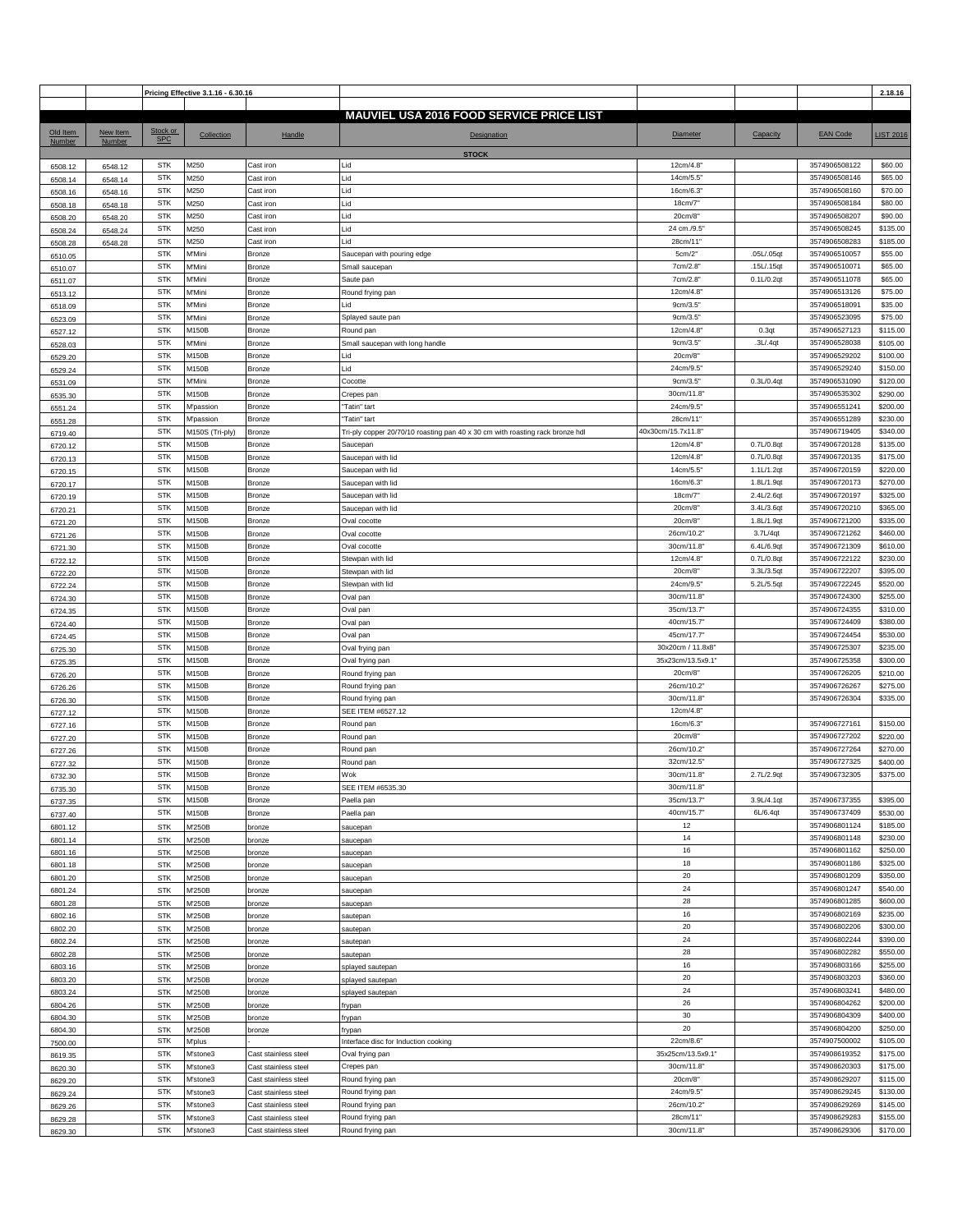|                    |                    |                        | Pricing Effective 3.1.16 - 6.30.16 |                      |                                                                               |                   |            |                                | 2.18.16              |
|--------------------|--------------------|------------------------|------------------------------------|----------------------|-------------------------------------------------------------------------------|-------------------|------------|--------------------------------|----------------------|
|                    |                    |                        |                                    |                      | <b>MAUVIEL USA 2016 FOOD SERVICE PRICE LIST</b>                               |                   |            |                                |                      |
|                    |                    |                        |                                    |                      |                                                                               |                   |            |                                |                      |
| Old Item<br>Number | New Item<br>Number | Stock or<br><b>SPC</b> | Collection                         | Handle               | Designation                                                                   | Diameter          | Capacity   | <b>EAN Code</b>                | <b>LIST 2016</b>     |
|                    |                    |                        |                                    |                      | <b>STOCK</b>                                                                  |                   |            |                                |                      |
| 6508.12            | 6548.12            | <b>STK</b>             | M250                               | Cast iron            | Lid                                                                           | 12cm/4.8"         |            | 3574906508122                  | \$60.00              |
|                    |                    | <b>STK</b>             | M250                               | Cast iron            | Lid                                                                           | 14cm/5.5"         |            | 3574906508146                  | \$65.00              |
| 6508.14            | 6548.14            | <b>STK</b>             | M250                               | Cast iron            | Lid                                                                           | 16cm/6.3          |            | 3574906508160                  | \$70.00              |
| 6508.16            | 6548.16            |                        |                                    |                      |                                                                               |                   |            |                                | \$80.00              |
| 6508.18            | 6548.18            | <b>STK</b>             | M250                               | Cast iron            | Lid                                                                           | 18cm/7            |            | 3574906508184                  |                      |
| 6508.20            | 6548.20            | <b>STK</b>             | M250                               | Cast iron            | Lid                                                                           | 20cm/8            |            | 3574906508207                  | \$90.00              |
| 6508.24            | 6548.24            | <b>STK</b>             | M250                               | Cast iron            | Lid                                                                           | 24 cm./9.5'       |            | 3574906508245                  | \$135.00             |
| 6508.28            | 6548.28            | <b>STK</b>             | M250                               | Cast iron            | Lid                                                                           | 28cm/11'          |            | 3574906508283                  | \$185.00             |
| 6510.05            |                    | <b>STK</b>             | M'Mini                             | <b>Bronze</b>        | Saucepan with pouring edge                                                    | 5cm/2"            | .05L/.05qt | 3574906510057                  | \$55.00              |
| 6510.07            |                    | <b>STK</b>             | M'Mini                             | Bronze               | Small saucepan                                                                | 7cm/2.8"          | .15L/.15qt | 3574906510071                  | \$65.00              |
| 6511.07            |                    | <b>STK</b>             | M'Mini                             | Bronze               | Saute pan                                                                     | 7cm/2.8           | 0.1L/0.2qt | 3574906511078                  | \$65.00              |
| 6513.12            |                    | <b>STK</b>             | M'Mini                             | <b>Bronze</b>        | Round frying pan                                                              | 12cm/4.8          |            | 3574906513126                  | \$75.00              |
| 6518.09            |                    | <b>STK</b>             | M'Mini                             | Bronze               | Lid                                                                           | 9cm/3.5"          |            | 3574906518091                  | \$35.00              |
| 6523.09            |                    | <b>STK</b>             | M'Mini                             | Bronze               | Splayed saute pan                                                             | 9cm/3.5"          |            | 3574906523095                  | \$75.00              |
| 6527.12            |                    | <b>STK</b>             | M150B                              | Bronze               | Round pan                                                                     | 12cm/4.8          | 0.3qt      | 3574906527123                  | \$115.00             |
| 6528.03            |                    | <b>STK</b>             | M'Mini                             | <b>Bronze</b>        | Small saucepan with long handle                                               | 9cm/3.5"          | .3L/.4qt   | 3574906528038                  | \$105.00             |
|                    |                    | <b>STK</b>             | M150B                              | Bronze               | Lid                                                                           | 20cm/8"           |            | 3574906529202                  | \$100.00             |
| 6529.20            |                    | <b>STK</b>             | M150B                              | Bronze               | Lid                                                                           | 24cm/9.5          |            | 3574906529240                  | \$150.00             |
| 6529.24            |                    | <b>STK</b>             | M'Mini                             |                      |                                                                               |                   |            |                                |                      |
| 6531.09            |                    |                        |                                    | <b>Bronze</b>        | Cocotte                                                                       | 9cm/3.5"          | 0.3L/0.4qt | 3574906531090                  | \$120.00             |
| 6535.30            |                    | <b>STK</b>             | M150B                              | Bronze               | Crepes pan                                                                    | 30cm/11.8         |            | 3574906535302                  | \$290.00             |
| 6551.24            |                    | <b>STK</b>             | M'passion                          | <b>Bronze</b>        | "Tatin" tart                                                                  | 24cm/9.5"         |            | 3574906551241                  | \$200.00             |
| 6551.28            |                    | <b>STK</b>             | M'passion                          | Bronze               | "Tatin" tart                                                                  | 28cm/11'          |            | 3574906551289                  | \$230.00             |
| 6719.40            |                    | <b>STK</b>             | M150S (Tri-ply)                    | <b>Bronze</b>        | Tri-ply copper 20/70/10 roasting pan 40 x 30 cm with roasting rack bronze hdl | 40x30cm/15.7x11.8 |            | 3574906719405                  | \$340.00             |
| 6720.12            |                    | <b>STK</b>             | M150B                              | <b>Bronze</b>        | Saucepan                                                                      | 12cm/4.8          | 0.7L/0.8qt | 3574906720128                  | \$135.00             |
| 6720.13            |                    | <b>STK</b>             | M150B                              | Bronze               | Saucepan with lid                                                             | 12cm/4.8          | 0.7L/0.8qt | 3574906720135                  | \$175.00             |
| 6720.15            |                    | <b>STK</b>             | M150B                              | <b>Bronze</b>        | Saucepan with lid                                                             | 14cm/5.5          | 1.1L/1.2qt | 3574906720159                  | \$220.00             |
| 6720.17            |                    | <b>STK</b>             | M150B                              | Bronze               | Saucepan with lid                                                             | 16cm/6.3          | 1.8L/1.9qt | 3574906720173                  | \$270.00             |
| 6720.19            |                    | <b>STK</b>             | M150B                              | Bronze               | Saucepan with lid                                                             | 18cm/7"           | 2.4L/2.6qt | 3574906720197                  | \$325.00             |
| 6720.21            |                    | <b>STK</b>             | M150B                              | Bronze               | Saucepan with lid                                                             | 20cm/8            | 3.4L/3.6qt | 3574906720210                  | \$365.00             |
|                    |                    | <b>STK</b>             | M150B                              | <b>Bronze</b>        | Oval cocotte                                                                  | 20cm/8            | 1.8L/1.9qt | 3574906721200                  | \$335.00             |
| 6721.20            |                    | <b>STK</b>             | M150B                              | Bronze               | Oval cocotte                                                                  | 26cm/10.2         | 3.7L/4qt   | 3574906721262                  | \$460.00             |
| 6721.26            |                    | <b>STK</b>             | M150B                              | Bronze               |                                                                               |                   | 6.4L/6.9qt | 3574906721309                  | \$610.00             |
| 6721.30            |                    |                        |                                    |                      | Oval cocotte                                                                  | 30cm/11.8         |            |                                |                      |
| 6722.12            |                    | <b>STK</b>             | M150B                              | Bronze               | Stewpan with lid                                                              | 12cm/4.8          | 0.7L/0.8qt | 3574906722122                  | \$230.00             |
| 6722.20            |                    | <b>STK</b>             | M150B                              | Bronze               | Stewpan with lid                                                              | 20cm/8"           | 3.3L/3.5qt | 3574906722207                  | \$395.00             |
| 6722.24            |                    | <b>STK</b>             | M150B                              | <b>Bronze</b>        | Stewpan with lid                                                              | 24cm/9.5          | 5.2L/5.5qt | 3574906722245                  | \$520.00             |
| 6724.30            |                    | <b>STK</b>             | M150B                              | Bronze               | Oval pan                                                                      | 30cm/11.8         |            | 3574906724300                  | \$255.00             |
| 6724.35            |                    | <b>STK</b>             | M150B                              | <b>Bronze</b>        | Oval pan                                                                      | 35cm/13.7'        |            | 3574906724355                  | \$310.00             |
| 6724.40            |                    | <b>STK</b>             | M150B                              | Bronze               | Oval pan                                                                      | 40cm/15.7         |            | 3574906724409                  | \$380.00             |
| 6724.45            |                    | <b>STK</b>             | M150B                              | Bronze               | Oval pan                                                                      | 45cm/17.7'        |            | 3574906724454                  | \$530.00             |
| 6725.30            |                    | <b>STK</b>             | M150B                              | Bronze               | Oval frying pan                                                               | 30x20cm / 11.8x8' |            | 3574906725307                  | \$235.00             |
| 6725.35            |                    | <b>STK</b>             | M150B                              | <b>Bronze</b>        | Oval frying pan                                                               | 35x23cm/13.5x9.1' |            | 3574906725358                  | \$300.00             |
| 6726.20            |                    | <b>STK</b>             | M150B                              | Bronze               | Round frying pan                                                              | 20cm/8            |            | 3574906726205                  | \$210.00             |
| 6726.26            |                    | <b>STK</b>             | M150B                              | Bronze               | Round frying pan                                                              | 26cm/10.2         |            | 3574906726267                  | \$275.00             |
| 6726.30            |                    | <b>STK</b>             | M150B                              | Bronze               | Round frying pan                                                              | 30cm/11.8         |            | 3574906726304                  | \$335.00             |
|                    |                    | <b>STK</b>             | M150B                              | Bronze               | SEE ITEM #6527.12                                                             | 12cm/4.8          |            |                                |                      |
| 6727.12            |                    | <b>STK</b>             | M150B                              | <b>Bronze</b>        |                                                                               | 16cm/6.3"         |            | 3574906727161                  | \$150.00             |
| 6727.16            |                    |                        |                                    |                      | Round pan                                                                     |                   |            |                                |                      |
| 6727.20            |                    | <b>STK</b>             | M150B                              | Bronze               | Round pan                                                                     | 20cm/8            |            | 3574906727202                  | \$220.00             |
| 6727.26            |                    | <b>STK</b>             | M150B                              | Bronze               | Round pan                                                                     | 26cm/10.2         |            | 3574906727264                  | \$270.00             |
| 6727.32            |                    | <b>STK</b>             | M150B                              | <b>Bronze</b>        | Round pan                                                                     | 32cm/12.5'        |            | 3574906727325                  | \$400.00             |
| 6732.30            |                    | <b>STK</b>             | M150B                              | Bronze               | Wok                                                                           | 30cm/11.8         | 2.7L/2.9qt | 3574906732305                  | \$375.00             |
| 6735.30            |                    | <b>STK</b>             | M150B                              | <b>Bronze</b>        | SEE ITEM #6535.30                                                             | 30cm/11.8         |            |                                |                      |
| 6737.35            |                    | <b>STK</b>             | M150B                              | <b>Bronze</b>        | Paella pan                                                                    | 35cm/13.7'        | 3.9L/4.1qt | 3574906737355                  | \$395.00             |
| 6737.40            |                    | <b>STK</b>             | M150B                              | Bronze               | Paella pan                                                                    | 40cm/15.7"        | 6L/6.4qt   | 3574906737409                  | \$530.00             |
| 6801.12            |                    | <b>STK</b>             | M'250B                             | bronze               | saucepan                                                                      | 12                |            | 3574906801124                  | \$185.00             |
| 6801.14            |                    | <b>STK</b>             | M'250B                             | bronze               | saucepan                                                                      | 14                |            | 3574906801148                  | \$230.00             |
| 6801.16            |                    | <b>STK</b>             | M'250B                             | bronze               | saucepan                                                                      | $16\,$            |            | 3574906801162                  | \$250.00             |
| 6801.18            |                    | <b>STK</b>             | M'250B                             | bronze               | saucepan                                                                      | 18                |            | 3574906801186                  | \$325.00             |
| 6801.20            |                    | <b>STK</b>             | M'250B                             | bronze               | saucepan                                                                      | 20                |            | 3574906801209                  | \$350.00             |
| 6801.24            |                    | <b>STK</b>             | M'250B                             | bronze               | saucepan                                                                      | 24                |            | 3574906801247                  | \$540.00             |
| 6801.28            |                    | <b>STK</b>             | M'250B                             | bronze               | saucepan                                                                      | 28                |            | 3574906801285                  | \$600.00             |
| 6802.16            |                    | <b>STK</b>             | M'250B                             |                      |                                                                               | 16                |            | 3574906802169                  | \$235.00             |
|                    |                    |                        |                                    | bronze               | sautepan                                                                      | 20                |            |                                |                      |
| 6802.20            |                    | <b>STK</b>             | M'250B                             | bronze               | sautepan                                                                      | 24                |            | 3574906802206<br>3574906802244 | \$300.00<br>\$390.00 |
| 6802.24            |                    | <b>STK</b>             | M'250B                             | bronze               | sautepan                                                                      |                   |            |                                |                      |
| 6802.28            |                    | <b>STK</b>             | M'250B                             | bronze               | sautepan                                                                      | 28                |            | 3574906802282                  | \$550.00             |
| 6803.16            |                    | <b>STK</b>             | M'250B                             | bronze               | splayed sautepan                                                              | $16\,$            |            | 3574906803166                  | \$255.00             |
| 6803.20            |                    | <b>STK</b>             | M'250B                             | bronze               | splayed sautepan                                                              | 20                |            | 3574906803203                  | \$360.00             |
| 6803.24            |                    | <b>STK</b>             | M'250B                             | bronze               | splayed sautepan                                                              | 24                |            | 3574906803241                  | \$480.00             |
| 6804.26            |                    | STK                    | M'250B                             | bronze               | frypan                                                                        | 26                |            | 3574906804262                  | \$200.00             |
| 6804.30            |                    | <b>STK</b>             | M'250B                             | bronze               | frypan                                                                        | 30                |            | 3574906804309                  | \$400.00             |
| 6804.30            |                    | <b>STK</b>             | M'250B                             | bronze               | frypan                                                                        | 20                |            | 3574906804200                  | \$250.00             |
| 7500.00            |                    | <b>STK</b>             | M'plus                             |                      | Interface disc for Induction cooking                                          | 22cm/8.6"         |            | 3574907500002                  | \$105.00             |
| 8619.35            |                    | <b>STK</b>             | M'stone3                           | Cast stainless steel | Oval frying pan                                                               | 35x25cm/13.5x9.1' |            | 3574908619352                  | \$175.00             |
| 8620.30            |                    | <b>STK</b>             | M'stone3                           | Cast stainless steel | Crepes pan                                                                    | 30cm/11.8         |            | 3574908620303                  | \$175.00             |
| 8629.20            |                    | <b>STK</b>             | M'stone3                           | Cast stainless steel | Round frying pan                                                              | 20cm/8"           |            | 3574908629207                  | \$115.00             |
| 8629.24            |                    | <b>STK</b>             | M'stone3                           | Cast stainless steel | Round frying pan                                                              | 24cm/9.5          |            | 3574908629245                  | \$130.00             |
| 8629.26            |                    | <b>STK</b>             | M'stone3                           | Cast stainless steel | Round frying pan                                                              | 26cm/10.2         |            | 3574908629269                  | \$145.00             |
|                    |                    | <b>STK</b>             | M'stone3                           | Cast stainless steel | Round frying pan                                                              | 28cm/11"          |            | 3574908629283                  | \$155.00             |
| 8629.28            |                    | <b>STK</b>             | M'stone3                           |                      |                                                                               | 30cm/11.8         |            | 3574908629306                  | \$170.00             |
| 8629.30            |                    |                        |                                    | Cast stainless steel | Round frying pan                                                              |                   |            |                                |                      |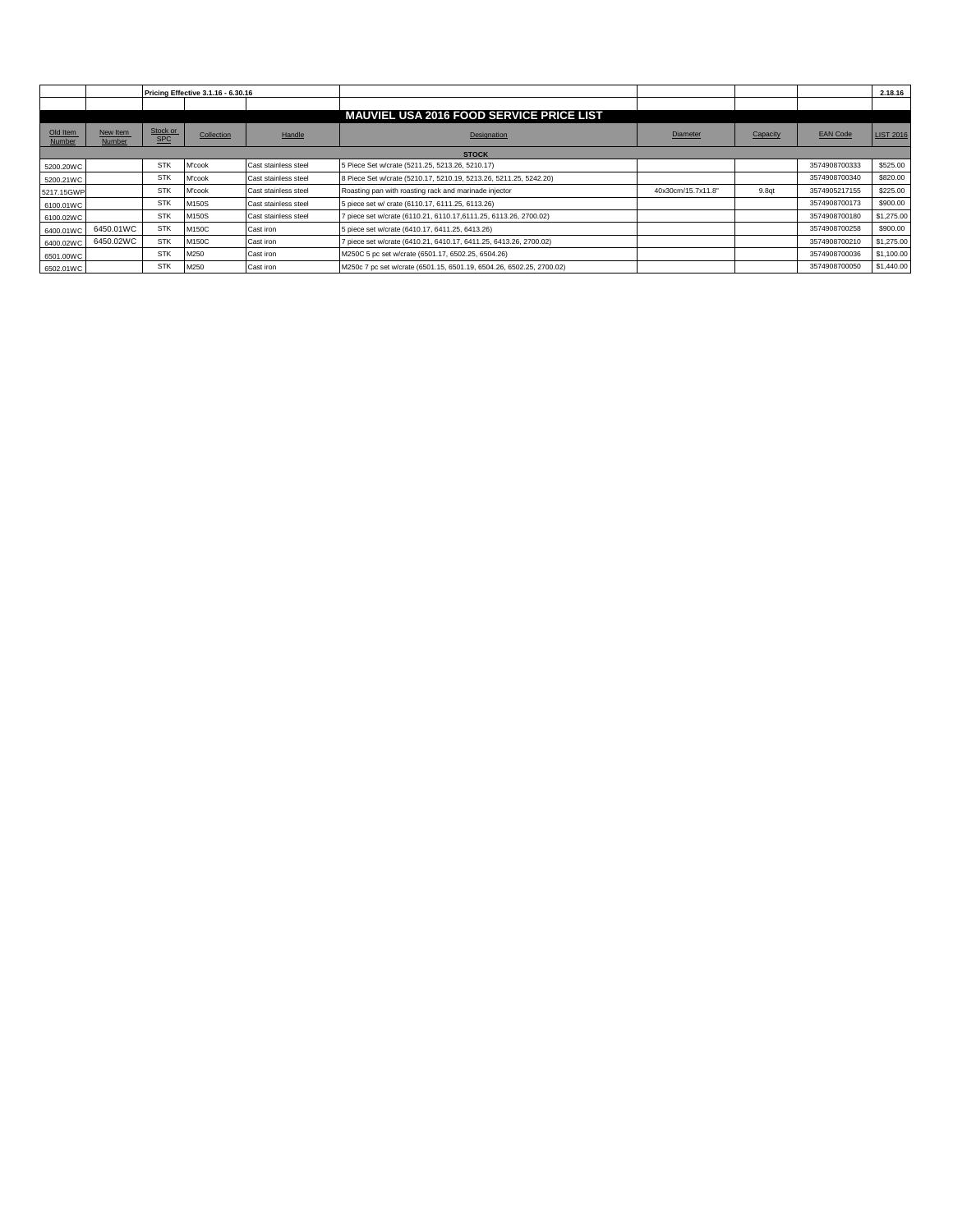|                    |                    |                        | <b>Pricing Effective 3.1.16 - 6.30.16</b> |                      |                                                                      |                    |                   |                 | 2.18.16          |
|--------------------|--------------------|------------------------|-------------------------------------------|----------------------|----------------------------------------------------------------------|--------------------|-------------------|-----------------|------------------|
|                    |                    |                        |                                           |                      |                                                                      |                    |                   |                 |                  |
|                    |                    |                        |                                           |                      | <b>MAUVIEL USA 2016 FOOD SERVICE PRICE LIST</b>                      |                    |                   |                 |                  |
| Old Item<br>Number | New Item<br>Number | Stock or<br><b>SPC</b> | Collection                                | Handle               | Designation                                                          | Diameter           | Capacity          | <b>EAN Code</b> | <b>LIST 2016</b> |
|                    |                    |                        |                                           |                      | <b>STOCK</b>                                                         |                    |                   |                 |                  |
| 5200.20WC          |                    | STK                    | M'cook                                    | Cast stainless steel | 5 Piece Set w/crate (5211.25, 5213.26, 5210.17)                      |                    |                   | 3574908700333   | \$525.00         |
| 5200.21WC          |                    | STK                    | M'cook                                    | Cast stainless steel | 8 Piece Set w/crate (5210.17, 5210.19, 5213.26, 5211.25, 5242.20)    |                    |                   | 3574908700340   | \$820.00         |
| 5217.15GWP         |                    | STK                    | M'cook                                    | Cast stainless steel | Roasting pan with roasting rack and marinade injector                | 40x30cm/15.7x11.8" | 9.8 <sub>at</sub> | 3574905217155   | \$225.00         |
| 6100.01WC          |                    | STK                    | M150S                                     | Cast stainless steel | 5 piece set w/ crate (6110.17, 6111.25, 6113.26)                     |                    |                   | 3574908700173   | \$900.00         |
| 6100.02WC          |                    | STK                    | M150S                                     | Cast stainless steel | piece set w/crate (6110.21, 6110.17,6111.25, 6113.26, 2700.02)       |                    |                   | 3574908700180   | \$1,275.00       |
| 6400.01WC          | 6450.01WC          | <b>STK</b>             | M150C                                     | Cast iron            | 5 piece set w/crate (6410.17, 6411.25, 6413.26)                      |                    |                   | 3574908700258   | \$900.00         |
| 6400.02WC          | 6450.02WC          | <b>STK</b>             | M150C                                     | Cast iron            | piece set w/crate (6410.21, 6410.17, 6411.25, 6413.26, 2700.02)      |                    |                   | 3574908700210   | \$1,275.00       |
| 6501.00WC          |                    | STK                    | M250                                      | Cast iron            | M250C 5 pc set w/crate (6501.17, 6502.25, 6504.26)                   |                    |                   | 3574908700036   | \$1,100.00       |
| 6502.01WC          |                    | <b>STK</b>             | M250                                      | Cast iron            | M250c 7 pc set w/crate (6501.15, 6501.19, 6504.26, 6502.25, 2700.02) |                    |                   | 3574908700050   | \$1,440.00       |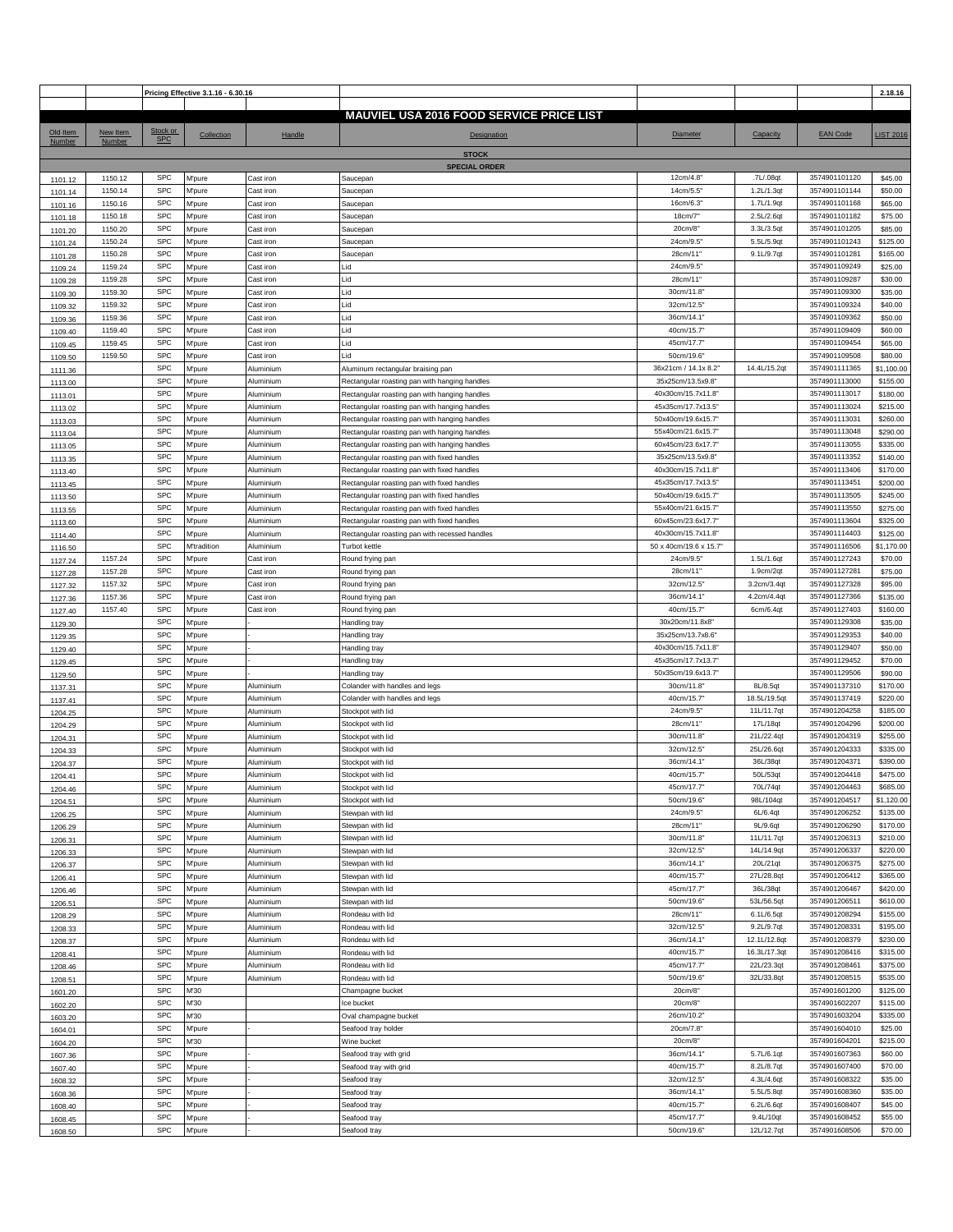|                    |                    |                          | Pricing Effective 3.1.16 - 6.30.16 |                        |                                                                                            |                                         |                          |                                | 2.18.16                |
|--------------------|--------------------|--------------------------|------------------------------------|------------------------|--------------------------------------------------------------------------------------------|-----------------------------------------|--------------------------|--------------------------------|------------------------|
|                    |                    |                          |                                    |                        | <b>MAUVIEL USA 2016 FOOD SERVICE PRICE LIST</b>                                            |                                         |                          |                                |                        |
| Old Item           | New Item           | Stock or                 |                                    |                        |                                                                                            |                                         |                          |                                |                        |
| Number             | Number             | <b>SPC</b>               | Collection                         | Handle                 | Designation                                                                                | Diameter                                | Capacity                 | <b>EAN Code</b>                | <b>LIST 2016</b>       |
|                    |                    |                          |                                    |                        | <b>STOCK</b>                                                                               |                                         |                          |                                |                        |
| 1101.12            | 1150.12            | <b>SPC</b>               | <b>M'pure</b>                      | Cast iron              | <b>SPECIAL ORDER</b><br>Saucepan                                                           | 12cm/4.8                                | .7L/.08qt                | 3574901101120                  | \$45.00                |
| 1101.14            | 1150.14            | <b>SPC</b>               | M'pure                             | Cast iron              | Saucepan                                                                                   | 14cm/5.5                                | 1.2L/1.3qt               | 3574901101144                  | \$50.00                |
| 1101.16            | 1150.16            | <b>SPC</b>               | M'pure                             | Cast iron              | Saucepan                                                                                   | 16cm/6.3                                | 1.7L/1.9qt               | 3574901101168                  | \$65.00                |
| 1101.18            | 1150.18            | <b>SPC</b>               | <b>M'pure</b>                      | Cast iron              | Saucepan                                                                                   | 18cm/7"                                 | 2.5L/2.6qt               | 3574901101182                  | \$75.00                |
| 1101.20            | 1150.20            | <b>SPC</b>               | M'pure                             | Cast iron              | Saucepan                                                                                   | 20cm/8"                                 | 3.3L/3.5qt               | 3574901101205                  | \$85.00                |
| 1101.24            | 1150.24            | <b>SPC</b>               | M'pure                             | Cast iron              | Saucepan                                                                                   | 24cm/9.5                                | 5.5L/5.9qt               | 3574901101243                  | \$125.00               |
| 1101.28            | 1150.28<br>1159.24 | <b>SPC</b><br><b>SPC</b> | M'pure<br>M'pure                   | Cast iron<br>Cast iron | Saucepan<br>Lid                                                                            | 28cm/11'<br>24cm/9.5"                   | 9.1L/9.7qt               | 3574901101281<br>3574901109249 | \$165.00<br>\$25.00    |
| 1109.24<br>1109.28 | 1159.28            | <b>SPC</b>               | M'pure                             | Cast iron              | Lid                                                                                        | 28cm/11'                                |                          | 3574901109287                  | \$30.00                |
| 1109.30            | 1159.30            | <b>SPC</b>               | M'pure                             | Cast iron              | Lid                                                                                        | 30cm/11.8                               |                          | 3574901109300                  | \$35.00                |
| 1109.32            | 1159.32            | <b>SPC</b>               | M'pure                             | Cast iron              | Lid                                                                                        | 32cm/12.5'                              |                          | 3574901109324                  | \$40.00                |
| 1109.36            | 1159.36            | <b>SPC</b>               | M'pure                             | Cast iron              | Lid                                                                                        | 36cm/14.1"                              |                          | 3574901109362                  | \$50.00                |
| 1109.40            | 1159.40            | <b>SPC</b>               | M'pure                             | Cast iron              | Lid                                                                                        | 40cm/15.7                               |                          | 3574901109409                  | \$60.00                |
| 1109.45            | 1159.45            | <b>SPC</b>               | <b>M'pure</b>                      | Cast iron              | Lid                                                                                        | 45cm/17.7'                              |                          | 3574901109454                  | \$65.00                |
| 1109.50            | 1159.50            | <b>SPC</b><br><b>SPC</b> | M'pure                             | Cast iron              | Lid                                                                                        | 50cm/19.6<br>36x21cm / 14.1x 8.2"       | 14.4L/15.2qt             | 3574901109508<br>3574901111365 | \$80.00                |
| 1111.36<br>1113.00 |                    | <b>SPC</b>               | M'pure<br><b>M'pure</b>            | Aluminium<br>Aluminium | Aluminum rectangular braising pan<br>Rectangular roasting pan with hanging handles         | 35x25cm/13.5x9.8'                       |                          | 3574901113000                  | \$1,100.00<br>\$155.00 |
| 1113.01            |                    | <b>SPC</b>               | M'pure                             | Aluminium              | Rectangular roasting pan with hanging handles                                              | 40x30cm/15.7x11.8"                      |                          | 3574901113017                  | \$180.00               |
| 1113.02            |                    | <b>SPC</b>               | M'pure                             | Aluminium              | Rectangular roasting pan with hanging handles                                              | 45x35cm/17.7x13.5"                      |                          | 3574901113024                  | \$215.00               |
| 1113.03            |                    | <b>SPC</b>               | M'pure                             | Aluminium              | Rectangular roasting pan with hanging handles                                              | 50x40cm/19.6x15.7                       |                          | 3574901113031                  | \$260.00               |
| 1113.04            |                    | <b>SPC</b>               | M'pure                             | Aluminium              | Rectangular roasting pan with hanging handles                                              | 55x40cm/21.6x15.7"                      |                          | 3574901113048                  | \$290.00               |
| 1113.05            |                    | <b>SPC</b>               | M'pure                             | Aluminium              | Rectangular roasting pan with hanging handles                                              | 60x45cm/23.6x17.7"                      |                          | 3574901113055                  | \$335.00               |
| 1113.35            |                    | <b>SPC</b><br><b>SPC</b> | M'pure                             | Aluminium              | Rectangular roasting pan with fixed handles                                                | 35x25cm/13.5x9.8'<br>40x30cm/15.7x11.8" |                          | 3574901113352                  | \$140.00               |
| 1113.40            |                    | <b>SPC</b>               | M'pure<br><b>M'pure</b>            | Aluminium<br>Aluminium | Rectangular roasting pan with fixed handles<br>Rectangular roasting pan with fixed handles | 45x35cm/17.7x13.5"                      |                          | 3574901113406<br>3574901113451 | \$170.00<br>\$200.00   |
| 1113.45<br>1113.50 |                    | <b>SPC</b>               | M'pure                             | Aluminium              | Rectangular roasting pan with fixed handles                                                | 50x40cm/19.6x15.7"                      |                          | 3574901113505                  | \$245.00               |
| 1113.55            |                    | <b>SPC</b>               | M'pure                             | Aluminium              | Rectangular roasting pan with fixed handles                                                | 55x40cm/21.6x15.7                       |                          | 3574901113550                  | \$275.00               |
| 1113.60            |                    | <b>SPC</b>               | M'pure                             | Aluminium              | Rectangular roasting pan with fixed handles                                                | 60x45cm/23.6x17.7                       |                          | 3574901113604                  | \$325.00               |
| 1114.40            |                    | <b>SPC</b>               | <b>M'pure</b>                      | Aluminium              | Rectangular roasting pan with recessed handles                                             | 40x30cm/15.7x11.8"                      |                          | 3574901114403                  | \$125.00               |
| 1116.50            |                    | <b>SPC</b>               | M'tradition                        | Aluminium              | Turbot kettle                                                                              | 50 x 40cm/19.6 x 15.7"                  |                          | 3574901116506                  | \$1,170.00             |
| 1127.24            | 1157.24            | <b>SPC</b><br><b>SPC</b> | M'pure                             | Cast iron              | Round frying pan                                                                           | 24cm/9.5                                | 1.5L/1.6qt               | 3574901127243                  | \$70.00                |
| 1127.28            | 1157.28<br>1157.32 | <b>SPC</b>               | M'pure<br>M'pure                   | Cast iron<br>Cast iron | Round frying pan<br>Round frying pan                                                       | 28cm/11'<br>32cm/12.5                   | 1.9cm/2qt<br>3.2cm/3.4qt | 3574901127281<br>3574901127328 | \$75.00<br>\$95.00     |
| 1127.32<br>1127.36 | 1157.36            | <b>SPC</b>               | M'pure                             | Cast iron              | Round frying pan                                                                           | 36cm/14.1"                              | 4.2cm/4.4qt              | 3574901127366                  | \$135.00               |
| 1127.40            | 1157.40            | <b>SPC</b>               | M'pure                             | Cast iron              | Round frying pan                                                                           | 40cm/15.7                               | 6cm/6.4qt                | 3574901127403                  | \$160.00               |
| 1129.30            |                    | <b>SPC</b>               | M'pure                             |                        | Handling tray                                                                              | 30x20cm/11.8x8'                         |                          | 3574901129308                  | \$35.00                |
| 1129.35            |                    | <b>SPC</b>               | M'pure                             |                        | Handling tray                                                                              | 35x25cm/13.7x8.6'                       |                          | 3574901129353                  | \$40.00                |
| 1129.40            |                    | <b>SPC</b>               | M'pure                             |                        | Handling tray                                                                              | 40x30cm/15.7x11.8                       |                          | 3574901129407                  | \$50.00                |
| 1129.45            |                    | <b>SPC</b>               | M'pure                             |                        | Handling tray                                                                              | 45x35cm/17.7x13.7"                      |                          | 3574901129452<br>3574901129506 | \$70.00                |
| 1129.50            |                    | <b>SPC</b><br><b>SPC</b> | <b>M'pure</b><br>M'pure            | Aluminium              | Handling tray<br>Colander with handles and legs                                            | 50x35cm/19.6x13.7"<br>30cm/11.8         | 8L/8.5qt                 | 3574901137310                  | \$90.00<br>\$170.00    |
| 1137.31<br>1137.41 |                    | <b>SPC</b>               | M'pure                             | Aluminium              | Colander with handles and legs                                                             | 40cm/15.7                               | 18.5L/19.5qt             | 3574901137419                  | \$220.00               |
| 1204.25            |                    | <b>SPC</b>               | M'pure                             | Aluminium              | Stockpot with lid                                                                          | 24cm/9.5"                               | 11L/11.7qt               | 3574901204258                  | \$185.00               |
| 1204.29            |                    | <b>SPC</b>               | M'pure                             | Aluminium              | Stockpot with lid                                                                          | 28cm/11"                                | 17L/18qt                 | 3574901204296                  | \$200.00               |
| 1204.31            |                    | <b>SPC</b>               | M'pure                             | Aluminium              | Stockpot with lid                                                                          | 30cm/11.8                               | 21L/22.4qt               | 3574901204319                  | \$255.00               |
| 1204.33            |                    | <b>SPC</b>               | M'pure                             | Aluminium              | Stockpot with lid                                                                          | 32cm/12.5                               | 25L/26.6qt               | 3574901204333                  | \$335.00               |
| 1204.37            |                    | <b>SPC</b><br>SPC        | M'pure<br>M'pure                   | Aluminium<br>Aluminium | Stockpot with lid<br>Stockpot with lid                                                     | 36cm/14.1'<br>40cm/15.7"                | 36L/38qt<br>50L/53qt     | 3574901204371<br>3574901204418 | \$390.00<br>\$475.00   |
| 1204.41            |                    | <b>SPC</b>               | M'pure                             | Aluminium              | Stockpot with lid                                                                          | 45cm/17.7'                              | 70L/74qt                 | 3574901204463                  | \$685.00               |
| 1204.46<br>1204.51 |                    | <b>SPC</b>               | <b>M'pure</b>                      | Aluminium              | Stockpot with lid                                                                          | 50cm/19.6'                              | 98L/104qt                | 3574901204517                  | \$1,120.00             |
| 1206.25            |                    | <b>SPC</b>               | M'pure                             | Aluminium              | Stewpan with lid                                                                           | 24cm/9.5"                               | 6L/6.4qt                 | 3574901206252                  | \$135.00               |
| 1206.29            |                    | <b>SPC</b>               | M'pure                             | Aluminium              | Stewpan with lid                                                                           | 28cm/11'                                | 9L/9.6qt                 | 3574901206290                  | \$170.00               |
| 1206.31            |                    | <b>SPC</b>               | M'pure                             | Aluminium              | Stewpan with lid                                                                           | 30cm/11.8                               | 11L/11.7qt               | 3574901206313                  | \$210.00               |
| 1206.33            |                    | <b>SPC</b>               | M'pure                             | Aluminium              | Stewpan with lid                                                                           | 32cm/12.5"                              | 14L/14.9qt               | 3574901206337                  | \$220.00               |
| 1206.37            |                    | <b>SPC</b><br><b>SPC</b> | M'pure                             | Aluminium              | Stewpan with lid                                                                           | 36cm/14.1"<br>40cm/15.7'                | 20L/21qt<br>27L/28.8qt   | 3574901206375<br>3574901206412 | \$275.00<br>\$365.00   |
| 1206.41            |                    | <b>SPC</b>               | M'pure<br>M'pure                   | Aluminium<br>Aluminium | Stewpan with lid<br>Stewpan with lid                                                       | 45cm/17.7'                              | 36L/38qt                 | 3574901206467                  | \$420.00               |
| 1206.46<br>1206.51 |                    | <b>SPC</b>               | <b>M'pure</b>                      | Aluminium              | Stewpan with lid                                                                           | 50cm/19.6                               | 53L/56.5qt               | 3574901206511                  | \$610.00               |
| 1208.29            |                    | <b>SPC</b>               | M'pure                             | Aluminium              | Rondeau with lid                                                                           | 28cm/11'                                | 6.1L/6.5qt               | 3574901208294                  | \$155.00               |
| 1208.33            |                    | <b>SPC</b>               | M'pure                             | Aluminium              | Rondeau with lid                                                                           | 32cm/12.5"                              | 9.2L/9.7qt               | 3574901208331                  | \$195.00               |
| 1208.37            |                    | <b>SPC</b>               | <b>M'pure</b>                      | Aluminium              | Rondeau with lid                                                                           | 36cm/14.1"                              | 12.1L/12.8qt             | 3574901208379                  | \$230.00               |
| 1208.41            |                    | <b>SPC</b>               | M'pure                             | Aluminium              | Rondeau with lid                                                                           | 40cm/15.7"                              | 16.3L/17.3qt             | 3574901208416                  | \$315.00               |
| 1208.46            |                    | <b>SPC</b>               | M'pure                             | Aluminium              | Rondeau with lid                                                                           | 45cm/17.7'                              | 22L/23.3qt               | 3574901208461                  | \$375.00               |
| 1208.51            |                    | <b>SPC</b><br><b>SPC</b> | M'pure<br>M'30                     | Aluminium              | Rondeau with lid                                                                           | 50cm/19.6<br>20cm/8"                    | 32L/33.8qt               | 3574901208515<br>3574901601200 | \$535.00<br>\$125.00   |
| 1601.20<br>1602.20 |                    | <b>SPC</b>               | M'30                               |                        | Champagne bucket<br>Ice bucket                                                             | 20cm/8"                                 |                          | 3574901602207                  | \$115.00               |
| 1603.20            |                    | <b>SPC</b>               | M'30                               |                        | Oval champagne bucket                                                                      | 26cm/10.2                               |                          | 3574901603204                  | \$335.00               |
| 1604.01            |                    | <b>SPC</b>               | M'pure                             |                        | Seafood tray holder                                                                        | 20cm/7.8"                               |                          | 3574901604010                  | \$25.00                |
| 1604.20            |                    | <b>SPC</b>               | M'30                               |                        | Wine bucket                                                                                | 20cm/8"                                 |                          | 3574901604201                  | \$215.00               |
| 1607.36            |                    | <b>SPC</b>               | M'pure                             |                        | Seafood tray with grid                                                                     | 36cm/14.1                               | 5.7L/6.1qt               | 3574901607363                  | \$60.00                |
| 1607.40            |                    | <b>SPC</b>               | M'pure                             |                        | Seafood tray with grid                                                                     | 40cm/15.7                               | 8.2L/8.7qt               | 3574901607400                  | \$70.00                |
| 1608.32            |                    | <b>SPC</b><br><b>SPC</b> | <b>M'pure</b>                      |                        | Seafood tray                                                                               | 32cm/12.5'                              | 4.3L/4.6qt               | 3574901608322                  | \$35.00                |
| 1608.36            |                    | <b>SPC</b>               | M'pure<br>M'pure                   |                        | Seafood tray<br>Seafood tray                                                               | 36cm/14.1'<br>40cm/15.7'                | 5.5L/5.8qt<br>6.2L/6.6qt | 3574901608360<br>3574901608407 | \$35.00<br>\$45.00     |
| 1608.40<br>1608.45 |                    | <b>SPC</b>               | <b>M'pure</b>                      |                        | Seafood tray                                                                               | 45cm/17.7'                              | 9.4L/10qt                | 3574901608452                  | \$55.00                |
| 1608.50            |                    | <b>SPC</b>               | M'pure                             |                        | Seafood tray                                                                               | 50cm/19.6"                              | 12L/12.7qt               | 3574901608506                  | \$70.00                |
|                    |                    |                          |                                    |                        |                                                                                            |                                         |                          |                                |                        |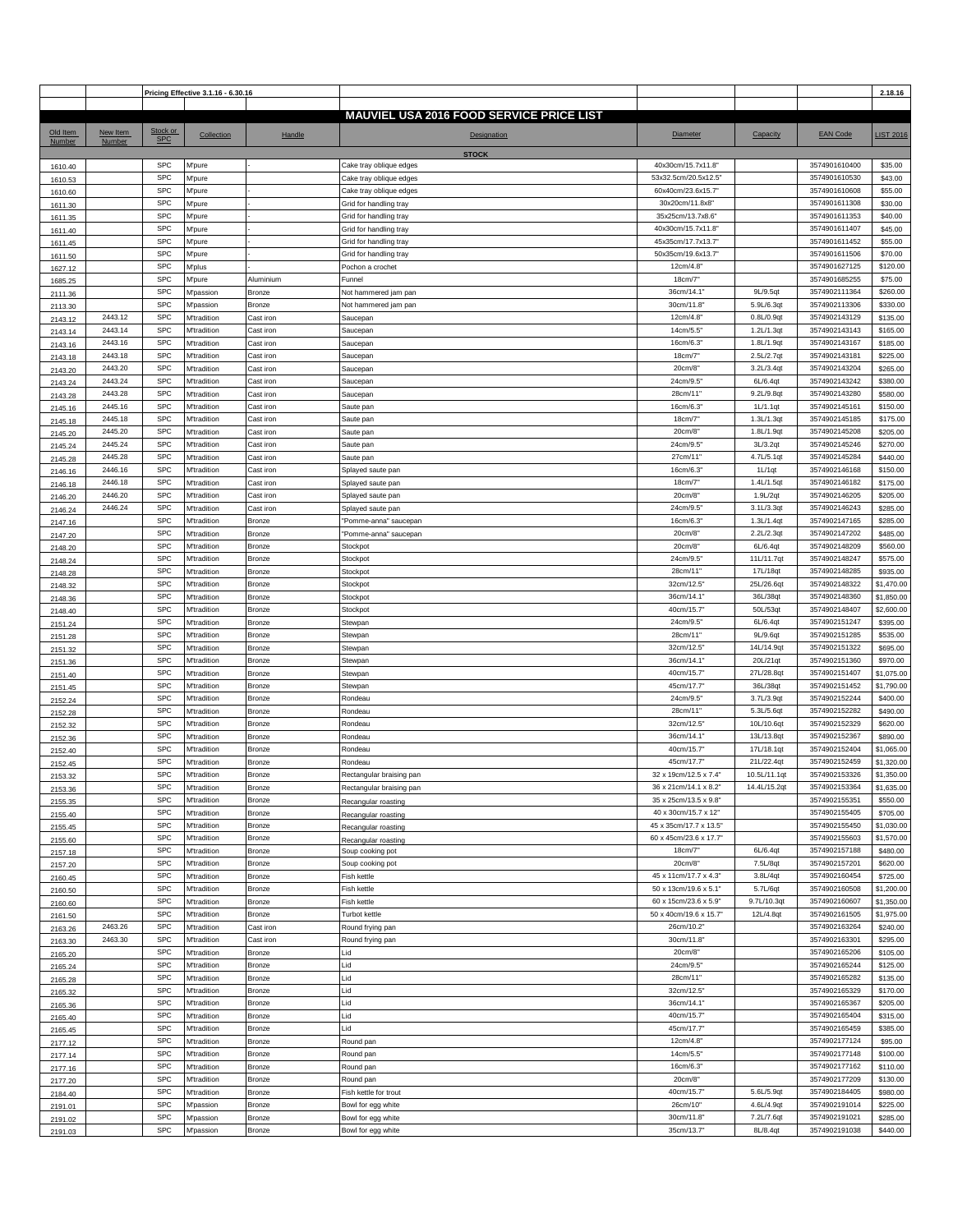|          |          |                          | Pricing Effective 3.1.16 - 6.30.16 |               |                                                 |                        |              |                                | 2.18.16          |
|----------|----------|--------------------------|------------------------------------|---------------|-------------------------------------------------|------------------------|--------------|--------------------------------|------------------|
|          |          |                          |                                    |               |                                                 |                        |              |                                |                  |
|          |          |                          |                                    |               | <b>MAUVIEL USA 2016 FOOD SERVICE PRICE LIST</b> |                        |              |                                |                  |
| Old Item | New Item | Stock or                 | Collection                         | Handle        | <b>Designation</b>                              | <b>Diameter</b>        | Capacity     | <b>EAN Code</b>                | <b>LIST 2016</b> |
| Number   | Number   | <b>SPC</b>               |                                    |               |                                                 |                        |              |                                |                  |
|          |          |                          |                                    |               | <b>STOCK</b>                                    |                        |              |                                |                  |
| 1610.40  |          | <b>SPC</b>               | M'pure                             |               | Cake tray oblique edges                         | 40x30cm/15.7x11.8"     |              | 3574901610400                  | \$35.00          |
| 1610.53  |          | <b>SPC</b>               | <b>M'pure</b>                      |               | Cake tray oblique edges                         | 53x32.5cm/20.5x12.5"   |              | 3574901610530                  | \$43.00          |
| 1610.60  |          | <b>SPC</b>               | M'pure                             |               | Cake tray oblique edges                         | 60x40cm/23.6x15.7"     |              | 3574901610608                  | \$55.00          |
| 1611.30  |          | <b>SPC</b>               | M'pure                             |               | Grid for handling tray                          | 30x20cm/11.8x8'        |              | 3574901611308                  | \$30.00          |
| 1611.35  |          | <b>SPC</b>               | <b>M</b> 'pure                     |               | Grid for handling tray                          | 35x25cm/13.7x8.6"      |              | 3574901611353                  | \$40.00          |
| 1611.40  |          | <b>SPC</b>               | M'pure                             |               | Grid for handling tray                          | 40x30cm/15.7x11.8      |              | 3574901611407                  | \$45.00          |
| 1611.45  |          | <b>SPC</b>               | <b>M'pure</b>                      |               | Grid for handling tray                          | 45x35cm/17.7x13.7      |              | 3574901611452                  | \$55.00          |
|          |          | <b>SPC</b>               | M'pure                             |               | Grid for handling tray                          | 50x35cm/19.6x13.7"     |              | 3574901611506                  | \$70.00          |
| 1611.50  |          | <b>SPC</b>               | M'plus                             |               | Pochon a crochet                                | 12cm/4.8"              |              | 3574901627125                  | \$120.00         |
| 1627.12  |          |                          |                                    |               |                                                 |                        |              |                                |                  |
| 1685.25  |          | <b>SPC</b><br><b>SPC</b> | M'pure                             | Aluminium     | Funnel                                          | 18cm/7                 |              | 3574901685255<br>3574902111364 | \$75.00          |
| 2111.36  |          |                          | M'passion                          | Bronze        | Not hammered jam pan                            | 36cm/14.1              | 9L/9.5qt     |                                | \$260.00         |
| 2113.30  |          | <b>SPC</b>               | <b>M'passion</b>                   | Bronze        | Not hammered jam pan                            | 30cm/11.8              | 5.9L/6.3qt   | 3574902113306                  | \$330.00         |
| 2143.12  | 2443.12  | <b>SPC</b>               | M'tradition                        | Cast iron     | Saucepan                                        | 12cm/4.8               | 0.8L/0.9qt   | 3574902143129                  | \$135.00         |
| 2143.14  | 2443.14  | <b>SPC</b>               | M'tradition                        | Cast iron     | Saucepan                                        | 14cm/5.5               | 1.2L/1.3qt   | 3574902143143                  | \$165.00         |
| 2143.16  | 2443.16  | <b>SPC</b>               | <b>M'tradition</b>                 | Cast iron     | Saucepan                                        | 16cm/6.3               | 1.8L/1.9qt   | 3574902143167                  | \$185.00         |
| 2143.18  | 2443.18  | <b>SPC</b>               | <b>M'tradition</b>                 | Cast iron     | Saucepan                                        | 18cm/7"                | 2.5L/2.7qt   | 3574902143181                  | \$225.00         |
| 2143.20  | 2443.20  | <b>SPC</b>               | M'tradition                        | Cast iron     | Saucepan                                        | 20cm/8                 | 3.2L/3.4qt   | 3574902143204                  | \$265.00         |
| 2143.24  | 2443.24  | <b>SPC</b>               | M'tradition                        | Cast iron     | Saucepan                                        | 24cm/9.5               | 6L/6.4qt     | 3574902143242                  | \$380.00         |
| 2143.28  | 2443.28  | <b>SPC</b>               | M'tradition                        | Cast iron     | Saucepan                                        | 28cm/11'               | 9.2L/9.8qt   | 3574902143280                  | \$580.00         |
| 2145.16  | 2445.16  | <b>SPC</b>               | M'tradition                        | Cast iron     | Saute pan                                       | 16cm/6.3               | 1L/1.1qt     | 3574902145161                  | \$150.00         |
| 2145.18  | 2445.18  | <b>SPC</b>               | <b>M'tradition</b>                 | Cast iron     | Saute pan                                       | 18cm/7                 | 1.3L/1.3qt   | 3574902145185                  | \$175.00         |
| 2145.20  | 2445.20  | <b>SPC</b>               | M'tradition                        | Cast iron     | Saute pan                                       | 20cm/8"                | 1.8L/1.9qt   | 3574902145208                  | \$205.00         |
| 2145.24  | 2445.24  | <b>SPC</b>               | <b>M'tradition</b>                 | Cast iron     | Saute pan                                       | 24cm/9.5'              | 3L/3.2qt     | 3574902145246                  | \$270.00         |
|          | 2445.28  | <b>SPC</b>               | M'tradition                        | Cast iron     | Saute pan                                       | 27cm/11'               | 4.7L/5.1qt   | 3574902145284                  | \$440.00         |
| 2145.28  | 2446.16  | <b>SPC</b>               | M'tradition                        | Cast iron     |                                                 | 16cm/6.3               | 1L/1qt       | 3574902146168                  | \$150.00         |
| 2146.16  |          |                          |                                    |               | Splayed saute pan                               |                        |              |                                |                  |
| 2146.18  | 2446.18  | <b>SPC</b>               | <b>M'tradition</b>                 | Cast iron     | Splayed saute pan                               | 18cm/7"                | 1.4L/1.5qt   | 3574902146182                  | \$175.00         |
| 2146.20  | 2446.20  | <b>SPC</b>               | <b>M'tradition</b>                 | Cast iron     | Splayed saute pan                               | 20cm/8"                | 1.9L/2qt     | 3574902146205                  | \$205.00         |
| 2146.24  | 2446.24  | <b>SPC</b>               | <b>M'tradition</b>                 | Cast iron     | Splayed saute pan                               | 24cm/9.5               | 3.1L/3.3qt   | 3574902146243                  | \$285.00         |
| 2147.16  |          | <b>SPC</b>               | M'tradition                        | Bronze        | "Pomme-anna" saucepan                           | 16cm/6.3               | 1.3L/1.4qt   | 3574902147165                  | \$285.00         |
| 2147.20  |          | <b>SPC</b>               | M'tradition                        | Bronze        | 'Pomme-anna" saucepan                           | 20cm/8"                | 2.2L/2.3qt   | 3574902147202                  | \$485.00         |
| 2148.20  |          | <b>SPC</b>               | M'tradition                        | Bronze        | Stockpot                                        | 20cm/8"                | 6L/6.4qt     | 3574902148209                  | \$560.00         |
| 2148.24  |          | <b>SPC</b>               | M'tradition                        | Bronze        | Stockpot                                        | 24cm/9.5               | 11L/11.7qt   | 3574902148247                  | \$575.00         |
| 2148.28  |          | <b>SPC</b>               | M'tradition                        | Bronze        | Stockpot                                        | 28cm/11'               | 17L/18qt     | 3574902148285                  | \$935.00         |
| 2148.32  |          | <b>SPC</b>               | <b>M'tradition</b>                 | <b>Bronze</b> | Stockpot                                        | 32cm/12.5'             | 25L/26.6qt   | 3574902148322                  | \$1,470.00       |
| 2148.36  |          | <b>SPC</b>               | <b>M'tradition</b>                 | Bronze        | Stockpot                                        | 36cm/14.1              | 36L/38qt     | 3574902148360                  | \$1,850.00       |
| 2148.40  |          | <b>SPC</b>               | M'tradition                        | Bronze        | Stockpot                                        | 40cm/15.7              | 50L/53qt     | 3574902148407                  | \$2,600.00       |
| 2151.24  |          | <b>SPC</b>               | <b>M'tradition</b>                 | Bronze        | Stewpan                                         | 24cm/9.5'              | 6L/6.4qt     | 3574902151247                  | \$395.00         |
| 2151.28  |          | <b>SPC</b>               | M'tradition                        | Bronze        | Stewpan                                         | 28cm/11'               | 9L/9.6qt     | 3574902151285                  | \$535.00         |
|          |          | <b>SPC</b>               | M'tradition                        | Bronze        | Stewpan                                         | 32cm/12.5"             | 14L/14.9qt   | 3574902151322                  | \$695.00         |
| 2151.32  |          | <b>SPC</b>               |                                    |               |                                                 |                        |              |                                |                  |
| 2151.36  |          | <b>SPC</b>               | <b>M'tradition</b>                 | Bronze        | Stewpan                                         | 36cm/14.1'             | 20L/21qt     | 3574902151360                  | \$970.00         |
| 2151.40  |          |                          | <b>M'tradition</b>                 | Bronze        | Stewpan                                         | 40cm/15.7              | 27L/28.8qt   | 3574902151407                  | \$1,075.00       |
| 2151.45  |          | <b>SPC</b>               | M'tradition                        | Bronze        | Stewpan                                         | 45cm/17.7              | 36L/38qt     | 3574902151452                  | \$1,790.00       |
| 2152.24  |          | <b>SPC</b>               | M'tradition                        | Bronze        | Rondeau                                         | 24cm/9.5               | 3.7L/3.9qt   | 3574902152244                  | \$400.00         |
| 2152.28  |          | <b>SPC</b>               | <b>M'tradition</b>                 | Bronze        | Rondeau                                         | 28cm/11'               | 5.3L/5.6qt   | 3574902152282                  | \$490.00         |
| 2152.32  |          | <b>SPC</b>               | M'tradition                        | Bronze        | Rondeau                                         | 32cm/12.5'             | 10L/10.6qt   | 3574902152329                  | \$620.00         |
| 2152.36  |          | <b>SPC</b>               | <b>M'tradition</b>                 | Bronze        | Rondeau                                         | 36cm/14.1'             | 13L/13.8qt   | 3574902152367                  | \$890.00         |
| 2152.40  |          | <b>SPC</b>               | M'tradition                        | Bronze        | Rondeau                                         | 40cm/15.7              | 17L/18.1qt   | 3574902152404                  | \$1,065.00       |
| 2152.45  |          | <b>SPC</b>               | <b>M'tradition</b>                 | Bronze        | Rondeau                                         | 45cm/17.7"             | 21L/22.4qt   | 3574902152459                  | \$1,320.00       |
| 2153.32  |          | <b>SPC</b>               | M'tradition                        | Bronze        | Rectangular braising pan                        | 32 x 19cm/12.5 x 7.4"  | 10.5L/11.1qt | 3574902153326                  | \$1,350.00       |
| 2153.36  |          | <b>SPC</b>               | <b>M'tradition</b>                 | Bronze        | Rectangular braising pan                        | 36 x 21cm/14.1 x 8.2"  | 14.4L/15.2qt | 3574902153364                  | \$1,635.00       |
| 2155.35  |          | <b>SPC</b>               | M'tradition                        | Bronze        | Recangular roasting                             | 35 x 25cm/13.5 x 9.8"  |              | 3574902155351                  | \$550.00         |
| 2155.40  |          | <b>SPC</b>               | <b>M'tradition</b>                 | Bronze        | Recangular roasting                             | 40 x 30cm/15.7 x 12"   |              | 3574902155405                  | \$705.00         |
| 2155.45  |          | <b>SPC</b>               | M'tradition                        | Bronze        | Recangular roasting                             | 45 x 35cm/17.7 x 13.5" |              | 3574902155450                  | \$1,030.00       |
| 2155.60  |          | <b>SPC</b>               | M'tradition                        | Bronze        | Recangular roasting                             | 60 x 45cm/23.6 x 17.7" |              | 3574902155603                  | \$1,570.00       |
| 2157.18  |          | <b>SPC</b>               | <b>M'tradition</b>                 | Bronze        | Soup cooking pot                                | 18cm/7"                | 6L/6.4qt     | 3574902157188                  | \$480.00         |
| 2157.20  |          | <b>SPC</b>               | M'tradition                        | Bronze        | Soup cooking pot                                | 20cm/8"                | 7.5L/8qt     | 3574902157201                  | \$620.00         |
|          |          | <b>SPC</b>               | M'tradition                        | Bronze        | Fish kettle                                     | 45 x 11cm/17.7 x 4.3"  | 3.8L/4qt     | 3574902160454                  | \$725.00         |
| 2160.45  |          | <b>SPC</b>               | M'tradition                        | Bronze        | Fish kettle                                     | 50 x 13cm/19.6 x 5.1"  | 5.7L/6qt     | 3574902160508                  | \$1,200.00       |
| 2160.50  |          | <b>SPC</b>               |                                    |               | Fish kettle                                     | 60 x 15cm/23.6 x 5.9"  | 9.7L/10.3qt  | 3574902160607                  |                  |
| 2160.60  |          |                          | <b>M'tradition</b>                 | Bronze        |                                                 |                        |              |                                | \$1,350.00       |
| 2161.50  |          | <b>SPC</b>               | M'tradition                        | Bronze        | Turbot kettle                                   | 50 x 40cm/19.6 x 15.7  | 12L/4.8qt    | 3574902161505                  | \$1,975.00       |
| 2163.26  | 2463.26  | <b>SPC</b>               | M'tradition                        | Cast iron     | Round frying pan                                | 26cm/10.2"             |              | 3574902163264                  | \$240.00         |
| 2163.30  | 2463.30  | <b>SPC</b>               | <b>M'tradition</b>                 | Cast iron     | Round frying pan                                | 30cm/11.8"             |              | 3574902163301                  | \$295.00         |
| 2165.20  |          | <b>SPC</b>               | M'tradition                        | Bronze        | Lid                                             | 20cm/8                 |              | 3574902165206                  | \$105.00         |
| 2165.24  |          | <b>SPC</b>               | M'tradition                        | Bronze        | Lid                                             | 24cm/9.5               |              | 3574902165244                  | \$125.00         |
| 2165.28  |          | <b>SPC</b>               | M'tradition                        | Bronze        | Lid                                             | 28cm/11"               |              | 3574902165282                  | \$135.00         |
| 2165.32  |          | <b>SPC</b>               | M'tradition                        | Bronze        | Lid                                             | 32cm/12.5'             |              | 3574902165329                  | \$170.00         |
| 2165.36  |          | <b>SPC</b>               | M'tradition                        | Bronze        | Lid                                             | 36cm/14.1              |              | 3574902165367                  | \$205.00         |
| 2165.40  |          | <b>SPC</b>               | M'tradition                        | Bronze        | Lid                                             | 40cm/15.7              |              | 3574902165404                  | \$315.00         |
| 2165.45  |          | <b>SPC</b>               | <b>M'tradition</b>                 | Bronze        | Lid                                             | 45cm/17.7              |              | 3574902165459                  | \$385.00         |
| 2177.12  |          | <b>SPC</b>               | <b>M'tradition</b>                 | Bronze        | Round pan                                       | 12cm/4.8'              |              | 3574902177124                  | \$95.00          |
| 2177.14  |          | <b>SPC</b>               | M'tradition                        | Bronze        | Round pan                                       | 14cm/5.5               |              | 3574902177148                  | \$100.00         |
| 2177.16  |          | <b>SPC</b>               | M'tradition                        | Bronze        | Round pan                                       | 16cm/6.3               |              | 3574902177162                  | \$110.00         |
| 2177.20  |          | <b>SPC</b>               | M'tradition                        | Bronze        | Round pan                                       | 20cm/8"                |              | 3574902177209                  | \$130.00         |
| 2184.40  |          | <b>SPC</b>               | M'tradition                        | Bronze        | Fish kettle for trout                           | 40cm/15.7              | 5.6L/5.9qt   | 3574902184405                  | \$980.00         |
|          |          | <b>SPC</b>               | M'passion                          | Bronze        | Bowl for egg white                              | 26cm/10"               | 4.6L/4.9qt   | 3574902191014                  | \$225.00         |
| 2191.01  |          | <b>SPC</b>               |                                    |               |                                                 | 30cm/11.8              | 7.2L/7.6qt   | 3574902191021                  |                  |
| 2191.02  |          |                          | M'passion                          | Bronze        | Bowl for egg white                              |                        |              |                                | \$285.00         |
| 2191.03  |          | <b>SPC</b>               | <b>M'passion</b>                   | Bronze        | Bowl for egg white                              | 35cm/13.7"             | 8L/8.4qt     | 3574902191038                  | \$440.00         |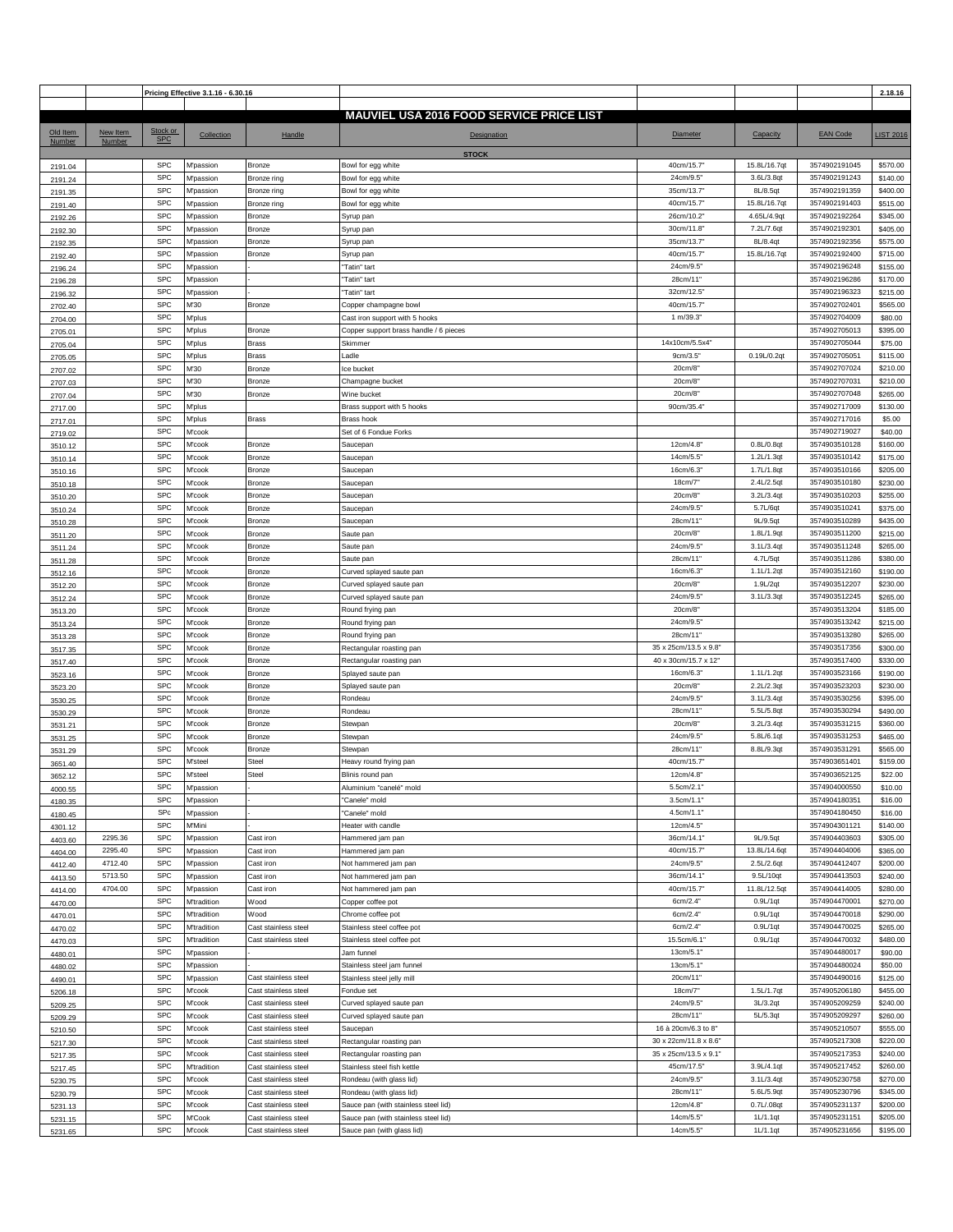|          |          |            | Pricing Effective 3.1.16 - 6.30.16 |                      |                                                 |                       |              |                 | 2.18.16          |
|----------|----------|------------|------------------------------------|----------------------|-------------------------------------------------|-----------------------|--------------|-----------------|------------------|
|          |          |            |                                    |                      |                                                 |                       |              |                 |                  |
|          |          |            |                                    |                      | <b>MAUVIEL USA 2016 FOOD SERVICE PRICE LIST</b> |                       |              |                 |                  |
| Old Item | New Item | Stock or   | Collection                         | Handle               | Designation                                     | Diameter              | Capacity     | <b>EAN Code</b> | <b>LIST 2016</b> |
| Number   | Number   | <b>SPC</b> |                                    |                      |                                                 |                       |              |                 |                  |
|          |          |            |                                    |                      | <b>STOCK</b>                                    |                       |              |                 |                  |
| 2191.04  |          | <b>SPC</b> | M'passion                          | Bronze               | Bowl for egg white                              | 40cm/15.7             | 15.8L/16.7qt | 3574902191045   | \$570.00         |
| 2191.24  |          | <b>SPC</b> | <b>M'passion</b>                   | Bronze ring          | Bowl for egg white                              | 24cm/9.5"             | 3.6L/3.8at   | 3574902191243   | \$140.00         |
| 2191.35  |          | <b>SPC</b> | W'passion                          | Bronze ring          | Bowl for egg white                              | 35cm/13.7             | 8L/8.5qt     | 3574902191359   | \$400.00         |
| 2191.40  |          | <b>SPC</b> | <b>M'passion</b>                   | Bronze ring          | Bowl for egg white                              | 40cm/15.7             | 15.8L/16.7qt | 3574902191403   | \$515.00         |
| 2192.26  |          | <b>SPC</b> | <b>M'passion</b>                   | Bronze               | Syrup pan                                       | 26cm/10.2             | 4.65L/4.9qt  | 3574902192264   | \$345.00         |
| 2192.30  |          | <b>SPC</b> | M'passion                          | Bronze               | Syrup pan                                       | 30cm/11.8             | 7.2L/7.6qt   | 3574902192301   | \$405.00         |
| 2192.35  |          | <b>SPC</b> | <b>M'passion</b>                   | Bronze               | Syrup pan                                       | 35cm/13.7'            | 8L/8.4qt     | 3574902192356   | \$575.00         |
|          |          | <b>SPC</b> | <b>M'passion</b>                   | Bronze               | Syrup pan                                       | 40cm/15.7             | 15.8L/16.7qt | 3574902192400   | \$715.00         |
| 2192.40  |          | <b>SPC</b> | <b>M'passion</b>                   |                      | 'Tatin" tart                                    | 24cm/9.5'             |              | 3574902196248   | \$155.00         |
| 2196.24  |          | <b>SPC</b> |                                    |                      |                                                 |                       |              |                 |                  |
| 2196.28  |          |            | M'passion                          |                      | 'Tatin" tart                                    | 28cm/11'              |              | 3574902196286   | \$170.00         |
| 2196.32  |          | <b>SPC</b> | <b>M'passion</b>                   |                      | 'Tatin" tart                                    | 32cm/12.5'            |              | 3574902196323   | \$215.00         |
| 2702.40  |          | <b>SPC</b> | M'30                               | Bronze               | Copper champagne bowl                           | 40cm/15.7             |              | 3574902702401   | \$565.00         |
| 2704.00  |          | <b>SPC</b> | M'plus                             |                      | Cast iron support with 5 hooks                  | 1 m/39.3"             |              | 3574902704009   | \$80.00          |
| 2705.01  |          | <b>SPC</b> | M'plus                             | Bronze               | Copper support brass handle / 6 pieces          |                       |              | 3574902705013   | \$395.00         |
| 2705.04  |          | <b>SPC</b> | <b>M'plus</b>                      | <b>Brass</b>         | Skimmer                                         | 14x10cm/5.5x4"        |              | 3574902705044   | \$75.00          |
| 2705.05  |          | <b>SPC</b> | <b>M'plus</b>                      | <b>Brass</b>         | Ladle                                           | 9cm/3.5"              | 0.19L/0.2qt  | 3574902705051   | \$115.00         |
| 2707.02  |          | <b>SPC</b> | M'30                               | Bronze               | ce bucket                                       | 20cm/8                |              | 3574902707024   | \$210.00         |
| 2707.03  |          | <b>SPC</b> | M'30                               | Bronze               | Champagne bucket                                | 20cm/8                |              | 3574902707031   | \$210.00         |
| 2707.04  |          | <b>SPC</b> | M'30                               | Bronze               | Wine bucket                                     | 20cm/8"               |              | 3574902707048   | \$265.00         |
| 2717.00  |          | <b>SPC</b> | <b>M'plus</b>                      |                      | Brass support with 5 hooks                      | 90cm/35.4             |              | 3574902717009   | \$130.00         |
| 2717.01  |          | <b>SPC</b> | M'plus                             | <b>Brass</b>         | Brass hook                                      |                       |              | 3574902717016   | \$5.00           |
| 2719.02  |          | <b>SPC</b> | M'cook                             |                      | Set of 6 Fondue Forks                           |                       |              | 3574902719027   | \$40.00          |
| 3510.12  |          | <b>SPC</b> | M'cook                             | Bronze               | Saucepan                                        | 12cm/4.8              | 0.8L/0.8qt   | 3574903510128   | \$160.00         |
|          |          | <b>SPC</b> | M'cook                             | Bronze               | Saucepan                                        | 14cm/5.5              | 1.2L/1.3qt   | 3574903510142   | \$175.00         |
| 3510.14  |          | <b>SPC</b> |                                    |                      |                                                 | 16cm/6.3              | 1.7L/1.8qt   | 3574903510166   | \$205.00         |
| 3510.16  |          |            | M'cook                             | Bronze               | Saucepan                                        |                       |              |                 |                  |
| 3510.18  |          | <b>SPC</b> | M'cook                             | Bronze               | Saucepan                                        | 18cm/7"               | 2.4L/2.5qt   | 3574903510180   | \$230.00         |
| 3510.20  |          | <b>SPC</b> | M'cook                             | Bronze               | Saucepan                                        | 20cm/8"               | 3.2L/3.4qt   | 3574903510203   | \$255.00         |
| 3510.24  |          | <b>SPC</b> | M'cook                             | Bronze               | Saucepan                                        | 24cm/9.5              | 5.7L/6qt     | 3574903510241   | \$375.00         |
| 3510.28  |          | <b>SPC</b> | M'cook                             | Bronze               | Saucepan                                        | 28cm/11'              | 9L/9.5qt     | 3574903510289   | \$435.00         |
| 3511.20  |          | <b>SPC</b> | M'cook                             | Bronze               | Saute pan                                       | 20cm/8"               | 1.8L/1.9qt   | 3574903511200   | \$215.00         |
| 3511.24  |          | <b>SPC</b> | M'cook                             | Bronze               | Saute pan                                       | 24cm/9.5'             | 3.1L/3.4qt   | 3574903511248   | \$265.00         |
| 3511.28  |          | <b>SPC</b> | M'cook                             | Bronze               | Saute pan                                       | 28cm/11'              | 4.7L/5qt     | 3574903511286   | \$380.00         |
| 3512.16  |          | <b>SPC</b> | M'cook                             | Bronze               | Curved splayed saute pan                        | 16cm/6.3              | 1.1L/1.2qt   | 3574903512160   | \$190.00         |
| 3512.20  |          | <b>SPC</b> | M'cook                             | Bronze               | Curved splayed saute pan                        | 20cm/8"               | 1.9L/2qt     | 3574903512207   | \$230.00         |
| 3512.24  |          | <b>SPC</b> | M'cook                             | Bronze               | Curved splayed saute pan                        | 24cm/9.5              | 3.1L/3.3qt   | 3574903512245   | \$265.00         |
| 3513.20  |          | <b>SPC</b> | M'cook                             | Bronze               | Round frying pan                                | 20cm/8"               |              | 3574903513204   | \$185.00         |
| 3513.24  |          | <b>SPC</b> | M'cook                             | Bronze               | Round frying pan                                | 24cm/9.5'             |              | 3574903513242   | \$215.00         |
|          |          | <b>SPC</b> | M'cook                             | Bronze               | Round frying pan                                | 28cm/11'              |              | 3574903513280   | \$265.00         |
| 3513.28  |          | <b>SPC</b> | M'cook                             | Bronze               | Rectangular roasting pan                        | 35 x 25cm/13.5 x 9.8" |              | 3574903517356   | \$300.00         |
| 3517.35  |          | <b>SPC</b> | M'cook                             | Bronze               |                                                 | 40 x 30cm/15.7 x 12"  |              | 3574903517400   | \$330.00         |
| 3517.40  |          | <b>SPC</b> |                                    |                      | Rectangular roasting pan                        |                       |              |                 |                  |
| 3523.16  |          |            | M'cook                             | Bronze               | Splayed saute pan                               | 16cm/6.3              | 1.1L/1.2qt   | 3574903523166   | \$190.00         |
| 3523.20  |          | <b>SPC</b> | M'cook                             | Bronze               | Splayed saute pan                               | 20cm/8                | 2.2L/2.3qt   | 3574903523203   | \$230.00         |
| 3530.25  |          | <b>SPC</b> | M'cook                             | Bronze               | Rondeau                                         | 24cm/9.5              | 3.1L/3.4qt   | 3574903530256   | \$395.00         |
| 3530.29  |          | <b>SPC</b> | M'cook                             | Bronze               | Rondeau                                         | 28cm/11"              | 5.5L/5.8qt   | 3574903530294   | \$490.00         |
| 3531.21  |          | <b>SPC</b> | M'cook                             | Bronze               | Stewpan                                         | 20cm/8"               | 3.2L/3.4qt   | 3574903531215   | \$360.00         |
| 3531.25  |          | <b>SPC</b> | M'cook                             | Bronze               | Stewpan                                         | 24cm/9.5              | 5.8L/6.1qt   | 3574903531253   | \$465.00         |
| 3531.29  |          | <b>SPC</b> | M'cook                             | Bronze               | Stewpan                                         | 28cm/11'              | 8.8L/9.3qt   | 3574903531291   | \$565.00         |
| 3651.40  |          | <b>SPC</b> | M'steel                            | Steel                | Heavy round frying pan                          | 40cm/15.7             |              | 3574903651401   | \$159.00         |
| 3652.12  |          | SPC        | M'steel                            | Steel                | Blinis round pan                                | 12cm/4.8"             |              | 3574903652125   | \$22.00          |
| 4000.55  |          | <b>SPC</b> | <b>M'passion</b>                   |                      | Aluminium "canelé" mold                         | 5.5cm/2.1"            |              | 3574904000550   | \$10.00          |
| 4180.35  |          | <b>SPC</b> | <b>M'passion</b>                   |                      | 'Canele" mold                                   | 3.5cm/1.1"            |              | 3574904180351   | \$16.00          |
| 4180.45  |          | SPc        | <b>M</b> 'passion                  |                      | 'Canele" mold                                   | 4.5cm/1.1"            |              | 3574904180450   | \$16.00          |
| 4301.12  |          | <b>SPC</b> | M'Mini                             |                      | Heater with candle                              | 12cm/4.5'             |              | 3574904301121   | \$140.00         |
| 4403.60  | 2295.36  | <b>SPC</b> | <b>M'passion</b>                   | Cast iron            | Hammered jam pan                                | 36cm/14.1'            | 9L/9.5qt     | 3574904403603   | \$305.00         |
| 4404.00  | 2295.40  | <b>SPC</b> | M'passion                          | Cast iron            | Hammered jam pan                                | 40cm/15.7"            | 13.8L/14.6qt | 3574904404006   | \$365.00         |
|          | 4712.40  | <b>SPC</b> | M'passion                          | Cast iron            | Not hammered jam pan                            | 24cm/9.5"             | 2.5L/2.6qt   | 3574904412407   | \$200.00         |
| 4412.40  | 5713.50  | <b>SPC</b> |                                    | Cast iron            |                                                 | 36cm/14.1'            | 9.5L/10qt    | 3574904413503   | \$240.00         |
| 4413.50  |          |            | <b>M'passion</b>                   |                      | Not hammered jam pan                            |                       | 11.8L/12.5qt |                 |                  |
| 4414.00  | 4704.00  | <b>SPC</b> | <b>M'passion</b>                   | Cast iron            | Not hammered jam pan                            | 40cm/15.7             |              | 3574904414005   | \$280.00         |
| 4470.00  |          | <b>SPC</b> | <b>M'tradition</b>                 | Wood                 | Copper coffee pot                               | 6cm/2.4"              | 0.9L/1qt     | 3574904470001   | \$270.00         |
| 4470.01  |          | <b>SPC</b> | M'tradition                        | Wood                 | Chrome coffee pot                               | 6cm/2.4"              | 0.9L/1qt     | 3574904470018   | \$290.00         |
| 4470.02  |          | <b>SPC</b> | M'tradition                        | Cast stainless steel | Stainless steel coffee pot                      | 6cm/2.4"              | 0.9L/1qt     | 3574904470025   | \$265.00         |
| 4470.03  |          | <b>SPC</b> | <b>M'tradition</b>                 | Cast stainless steel | Stainless steel coffee pot                      | 15.5cm/6.1            | 0.9L/1qt     | 3574904470032   | \$480.00         |
| 4480.01  |          | <b>SPC</b> | <b>M'passion</b>                   |                      | Jam funnel                                      | 13cm/5.1              |              | 3574904480017   | \$90.00          |
| 4480.02  |          | <b>SPC</b> | M'passion                          |                      | Stainless steel jam funnel                      | 13cm/5.1              |              | 3574904480024   | \$50.00          |
| 4490.01  |          | <b>SPC</b> | <b>M'passion</b>                   | Cast stainless steel | Stainless steel jelly mill                      | 20cm/11'              |              | 3574904490016   | \$125.00         |
| 5206.18  |          | <b>SPC</b> | M'cook                             | Cast stainless steel | Fondue set                                      | 18cm/7"               | 1.5L/1.7qt   | 3574905206180   | \$455.00         |
| 5209.25  |          | <b>SPC</b> | M'cook                             | Cast stainless steel | Curved splayed saute pan                        | 24cm/9.5'             | 3L/3.2qt     | 3574905209259   | \$240.00         |
| 5209.29  |          | <b>SPC</b> | M'cook                             | Cast stainless steel | Curved splayed saute pan                        | 28cm/11'              | 5L/5.3qt     | 3574905209297   | \$260.00         |
| 5210.50  |          | <b>SPC</b> | M'cook                             | Cast stainless steel | Saucepan                                        | 16 à 20cm/6.3 to 8"   |              | 3574905210507   | \$555.00         |
| 5217.30  |          | <b>SPC</b> | M'cook                             | Cast stainless steel | Rectangular roasting pan                        | 30 x 22cm/11.8 x 8.6" |              | 3574905217308   | \$220.00         |
| 5217.35  |          | <b>SPC</b> | M'cook                             | Cast stainless steel | Rectangular roasting pan                        | 35 x 25cm/13.5 x 9.1" |              | 3574905217353   | \$240.00         |
| 5217.45  |          | <b>SPC</b> | M'tradition                        | Cast stainless steel | Stainless steel fish kettle                     | 45cm/17.5'            | 3.9L/4.1qt   | 3574905217452   | \$260.00         |
| 5230.75  |          | <b>SPC</b> | M'cook                             | Cast stainless steel | Rondeau (with glass lid)                        | 24cm/9.5'             | 3.1L/3.4qt   | 3574905230758   | \$270.00         |
|          |          | <b>SPC</b> | M'cook                             | Cast stainless steel | Rondeau (with glass lid)                        | 28cm/11'              | 5.6L/5.9qt   | 3574905230796   | \$345.00         |
| 5230.79  |          | <b>SPC</b> |                                    |                      |                                                 | 12cm/4.8              |              | 3574905231137   | \$200.00         |
| 5231.13  |          |            | M'cook                             | Cast stainless steel | Sauce pan (with stainless steel lid)            |                       | 0.7L/.08qt   |                 |                  |
| 5231.15  |          | <b>SPC</b> | M'Cook                             | Cast stainless steel | Sauce pan (with stainless steel lid)            | 14cm/5.5              | 1L/1.1qt     | 3574905231151   | \$205.00         |
| 5231.65  |          | <b>SPC</b> | M'cook                             | Cast stainless steel | Sauce pan (with glass lid)                      | 14cm/5.5'             | 1L/1.1qt     | 3574905231656   | \$195.00         |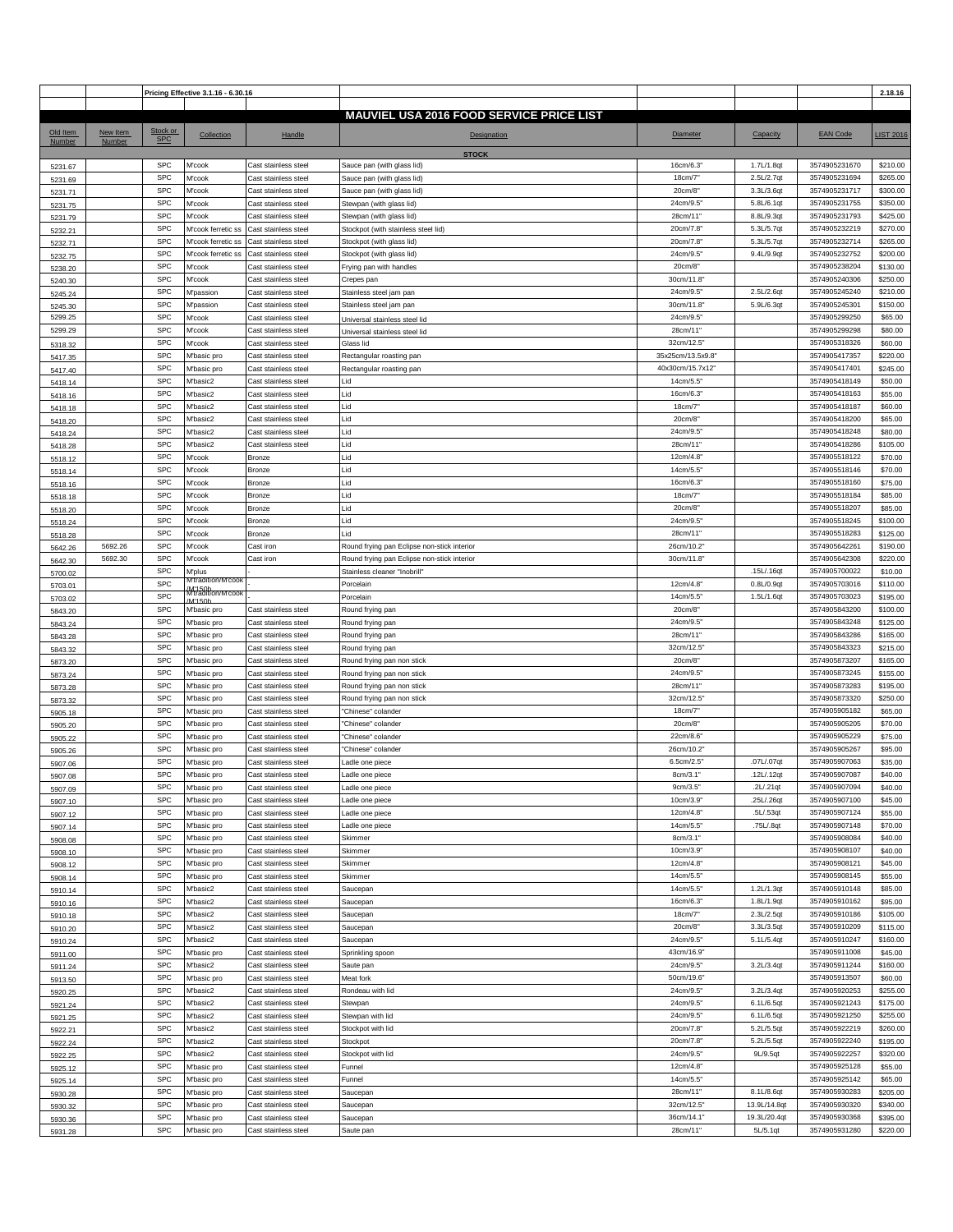|               |          |            | Pricing Effective 3.1.16 - 6.30.16                 |                      |                                                 |                  |              |                 | 2.18.16            |
|---------------|----------|------------|----------------------------------------------------|----------------------|-------------------------------------------------|------------------|--------------|-----------------|--------------------|
|               |          |            |                                                    |                      |                                                 |                  |              |                 |                    |
|               |          |            |                                                    |                      | <b>MAUVIEL USA 2016 FOOD SERVICE PRICE LIST</b> |                  |              |                 |                    |
| Old Item      | New Item | Stock or   | Collection                                         | Handle               | Designation                                     | <b>Diameter</b>  | Capacity     | <b>EAN Code</b> | <b>LIST 2016</b>   |
| <b>Number</b> | Number   | <b>SPC</b> |                                                    |                      |                                                 |                  |              |                 |                    |
|               |          |            |                                                    |                      | <b>STOCK</b>                                    |                  |              |                 |                    |
| 5231.67       |          | <b>SPC</b> | M'cook                                             | Cast stainless steel | Sauce pan (with glass lid)                      | 16cm/6.3         | 1.7L/1.8qt   | 3574905231670   | \$210.00           |
| 5231.69       |          | <b>SPC</b> | M'cook                                             | Cast stainless steel | Sauce pan (with glass lid)                      | 18cm/7           | 2.5L/2.7qt   | 3574905231694   | \$265.00           |
| 5231.71       |          | <b>SPC</b> | M'cook                                             | Cast stainless steel | Sauce pan (with glass lid)                      | 20cm/8           | 3.3L/3.6qt   | 3574905231717   | \$300.00           |
| 5231.75       |          | <b>SPC</b> | M'cook                                             | Cast stainless steel | Stewpan (with glass lid)                        | 24cm/9.5         | 5.8L/6.1qt   | 3574905231755   | \$350.00           |
| 5231.79       |          | <b>SPC</b> | M'cook                                             | Cast stainless steel | Stewpan (with glass lid)                        | 28cm/11'         | 8.8L/9.3qt   | 3574905231793   | \$425.00           |
| 5232.21       |          | <b>SPC</b> | M'cook ferretic ss                                 | Cast stainless steel | Stockpot (with stainless steel lid)             | 20cm/7.8         | 5.3L/5.7qt   | 3574905232219   | \$270.00           |
|               |          | <b>SPC</b> | M'cook ferretic ss                                 | Cast stainless steel | Stockpot (with glass lid)                       | 20cm/7.8         | 5.3L/5.7qt   | 3574905232714   | \$265.00           |
| 5232.71       |          |            |                                                    |                      |                                                 |                  | 9.4L/9.9qt   |                 |                    |
| 5232.75       |          | <b>SPC</b> | M'cook ferretic ss                                 | Cast stainless steel | Stockpot (with glass lid)                       | 24cm/9.5         |              | 3574905232752   | \$200.00           |
| 5238.20       |          | <b>SPC</b> | M'cook                                             | Cast stainless steel | Frying pan with handles                         | 20cm/8"          |              | 3574905238204   | \$130.00           |
| 5240.30       |          | <b>SPC</b> | M'cook                                             | Cast stainless steel | Crepes pan                                      | 30cm/11.8        |              | 3574905240306   | \$250.00           |
| 5245.24       |          | <b>SPC</b> | M'passion                                          | Cast stainless steel | Stainless steel jam pan                         | 24cm/9.5         | 2.5L/2.6qt   | 3574905245240   | \$210.00           |
| 5245.30       |          | <b>SPC</b> | <b>M'passion</b>                                   | Cast stainless steel | Stainless steel jam pan                         | 30cm/11.8        | 5.9L/6.3qt   | 3574905245301   | \$150.00           |
| 5299.25       |          | <b>SPC</b> | M'cook                                             | Cast stainless steel | Universal stainless steel lid                   | 24cm/9.5         |              | 3574905299250   | \$65.00            |
| 5299.29       |          | <b>SPC</b> | M'cook                                             | Cast stainless steel | Jniversal stainless steel lid                   | 28cm/11'         |              | 3574905299298   | \$80.00            |
| 5318.32       |          | <b>SPC</b> | M'cook                                             | Cast stainless steel | Glass lid                                       | 32cm/12.5'       |              | 3574905318326   | \$60.00            |
| 5417.35       |          | <b>SPC</b> | M'basic pro                                        | Cast stainless steel | Rectangular roasting pan                        | 35x25cm/13.5x9.8 |              | 3574905417357   | \$220.00           |
| 5417.40       |          | <b>SPC</b> | M'basic pro                                        | Cast stainless steel | Rectangular roasting pan                        | 40x30cm/15.7x12  |              | 3574905417401   | \$245.00           |
|               |          | <b>SPC</b> | M'basic2                                           | Cast stainless steel | Lid                                             | 14cm/5.5         |              | 3574905418149   | \$50.00            |
| 5418.14       |          | <b>SPC</b> |                                                    |                      |                                                 |                  |              |                 |                    |
| 5418.16       |          |            | M'basic2                                           | Cast stainless steel | Lid                                             | 16cm/6.3         |              | 3574905418163   | \$55.00            |
| 5418.18       |          | <b>SPC</b> | M'basic2                                           | Cast stainless steel | Lid                                             | 18cm/7           |              | 3574905418187   | \$60.00            |
| 5418.20       |          | <b>SPC</b> | M'basic2                                           | Cast stainless steel | Lid                                             | 20cm/8           |              | 3574905418200   | \$65.00            |
| 5418.24       |          | <b>SPC</b> | M'basic2                                           | Cast stainless steel | Lid                                             | 24cm/9.5         |              | 3574905418248   | \$80.00            |
| 5418.28       |          | <b>SPC</b> | M'basic2                                           | Cast stainless steel | Lid                                             | 28cm/11'         |              | 3574905418286   | \$105.00           |
| 5518.12       |          | <b>SPC</b> | M'cook                                             | <b>Bronze</b>        | Lid                                             | 12cm/4.8         |              | 3574905518122   | \$70.00            |
| 5518.14       |          | <b>SPC</b> | M'cook                                             | <b>Bronze</b>        | Lid                                             | 14cm/5.5         |              | 3574905518146   | \$70.00            |
| 5518.16       |          | <b>SPC</b> | M'cook                                             | <b>Bronze</b>        | Lid                                             | 16cm/6.3         |              | 3574905518160   | \$75.00            |
| 5518.18       |          | <b>SPC</b> | M'cook                                             | <b>Bronze</b>        | Lid                                             | 18cm/7"          |              | 3574905518184   | \$85.00            |
|               |          | <b>SPC</b> | M'cook                                             | <b>Bronze</b>        | Lid                                             | 20cm/8           |              | 3574905518207   | \$85.00            |
| 5518.20       |          | <b>SPC</b> |                                                    |                      | Lid                                             | 24cm/9.5         |              | 3574905518245   |                    |
| 5518.24       |          |            | M'cook                                             | <b>Bronze</b>        |                                                 |                  |              |                 | \$100.00           |
| 5518.28       |          | <b>SPC</b> | M'cook                                             | Bronze               | Lid                                             | 28cm/11'         |              | 3574905518283   | \$125.00           |
| 5642.26       | 5692.26  | <b>SPC</b> | M'cook                                             | Cast iron            | Round frying pan Eclipse non-stick interior     | 26cm/10.2        |              | 3574905642261   | \$190.00           |
| 5642.30       | 5692.30  | <b>SPC</b> | M'cook                                             | Cast iron            | Round frying pan Eclipse non-stick interior     | 30cm/11.8        |              | 3574905642308   | \$220.00           |
| 5700.02       |          | <b>SPC</b> | M'plus                                             |                      | Stainless cleaner "Inobrill'                    |                  | .15L/.16qt   | 3574905700022   | \$10.00            |
| 5703.01       |          | <b>SPC</b> | M'tradition/M'coo<br>/M'150b<br>M'tradition/M'cook |                      | Porcelain                                       | 12cm/4.8"        | 0.8L/0.9qt   | 3574905703016   | \$110.00           |
| 5703.02       |          | <b>SPC</b> | <b>M'150K</b>                                      |                      | Porcelain                                       | 14cm/5.5         | 1.5L/1.6qt   | 3574905703023   | \$195.00           |
| 5843.20       |          | <b>SPC</b> | M'basic pro                                        | Cast stainless steel | Round frying pan                                | 20cm/8           |              | 3574905843200   | \$100.00           |
| 5843.24       |          | <b>SPC</b> | M'basic pro                                        | Cast stainless steel | Round frying pan                                | 24cm/9.5         |              | 3574905843248   | \$125.00           |
| 5843.28       |          | <b>SPC</b> | M'basic pro                                        | Cast stainless steel | Round frying pan                                | 28cm/11"         |              | 3574905843286   | \$165.00           |
|               |          | <b>SPC</b> | M'basic pro                                        | Cast stainless steel | Round frying pan                                | 32cm/12.5'       |              | 3574905843323   | \$215.00           |
| 5843.32       |          |            |                                                    |                      |                                                 |                  |              |                 |                    |
| 5873.20       |          | <b>SPC</b> | M'basic pro                                        | Cast stainless steel | Round frying pan non stick                      | 20cm/8           |              | 3574905873207   | \$165.00           |
| 5873.24       |          | <b>SPC</b> | M'basic pro                                        | Cast stainless steel | Round frying pan non stick                      | 24cm/9.5"        |              | 3574905873245   | \$155.00           |
| 5873.28       |          | <b>SPC</b> | M'basic pro                                        | Cast stainless steel | Round frying pan non stick                      | 28cm/11'         |              | 3574905873283   | \$195.00           |
| 5873.32       |          | <b>SPC</b> | M'basic pro                                        | Cast stainless steel | Round frying pan non stick                      | 32cm/12.5        |              | 3574905873320   | \$250.00           |
| 5905.18       |          | <b>SPC</b> | M'basic pro                                        | Cast stainless steel | 'Chinese" colander                              | 18cm/7'          |              | 3574905905182   | \$65.00            |
| 5905.20       |          | <b>SPC</b> | M'basic pro                                        | Cast stainless steel | 'Chinese" colander                              | 20cm/8           |              | 3574905905205   | \$70.00            |
| 5905.22       |          | <b>SPC</b> | M'basic pro                                        | Cast stainless steel | 'Chinese" colander                              | 22cm/8.6         |              | 3574905905229   | \$75.00            |
| 5905.26       |          | <b>SPC</b> | M'basic pro                                        | Cast stainless steel | 'Chinese" colander                              | 26cm/10.2        |              | 3574905905267   | \$95.00            |
| 5907.06       |          | <b>SPC</b> | M'basic pro                                        | Cast stainless steel | Ladle one piece                                 | 6.5cm/2.5"       | .07L/.07qt   | 3574905907063   | \$35.00            |
| 5907.08       |          | <b>SPC</b> | M'basic pro                                        | Cast stainless steel | Ladle one piece                                 | 8cm/3.1"         | .12L/.12qt   | 3574905907087   | \$40.00            |
|               |          | <b>SPC</b> | M'basic pro                                        | Cast stainless steel | Ladle one piece                                 | 9cm/3.5"         | .2L/.21qt    | 3574905907094   | \$40.00            |
| 5907.09       |          | <b>SPC</b> |                                                    |                      |                                                 | 10cm/3.9"        | .25L/.26qt   | 3574905907100   |                    |
| 5907.10       |          |            | M'basic pro                                        | Cast stainless steel | Ladle one piece                                 |                  |              |                 | \$45.00<br>\$55.00 |
| 5907.12       |          | <b>SPC</b> | M'basic pro                                        | Cast stainless steel | Ladle one piece                                 | 12cm/4.8"        | .5L/.53qt    | 3574905907124   |                    |
| 5907.14       |          | <b>SPC</b> | M'basic pro                                        | Cast stainless steel | Ladle one piece                                 | 14cm/5.5         | .75L/.8qt    | 3574905907148   | \$70.00            |
| 5908.08       |          | <b>SPC</b> | M'basic pro                                        | Cast stainless steel | Skimmer                                         | 8cm/3.1"         |              | 3574905908084   | \$40.00            |
| 5908.10       |          | <b>SPC</b> | M'basic pro                                        | Cast stainless steel | Skimmer                                         | 10cm/3.9"        |              | 3574905908107   | \$40.00            |
| 5908.12       |          | <b>SPC</b> | M'basic pro                                        | Cast stainless steel | Skimmer                                         | 12cm/4.8         |              | 3574905908121   | \$45.00            |
| 5908.14       |          | <b>SPC</b> | M'basic pro                                        | Cast stainless steel | Skimmer                                         | 14cm/5.5         |              | 3574905908145   | \$55.00            |
| 5910.14       |          | <b>SPC</b> | M'basic2                                           | Cast stainless steel | Saucepan                                        | 14cm/5.5"        | 1.2L/1.3qt   | 3574905910148   | \$85.00            |
| 5910.16       |          | <b>SPC</b> | M'basic2                                           | Cast stainless steel | Saucepan                                        | 16cm/6.3"        | 1.8L/1.9qt   | 3574905910162   | \$95.00            |
| 5910.18       |          | <b>SPC</b> | M'basic2                                           | Cast stainless steel | Saucepan                                        | 18cm/7           | 2.3L/2.5qt   | 3574905910186   | \$105.00           |
|               |          | <b>SPC</b> | M'basic2                                           | Cast stainless steel | Saucepan                                        | 20cm/8"          | 3.3L/3.5qt   | 3574905910209   | \$115.00           |
| 5910.20       |          | <b>SPC</b> | M'basic2                                           | Cast stainless steel |                                                 | 24cm/9.5"        | 5.1L/5.4qt   | 3574905910247   | \$160.00           |
| 5910.24       |          | <b>SPC</b> |                                                    |                      | Saucepan<br>Sprinkling spoon                    | 43cm/16.9'       |              | 3574905911008   | \$45.00            |
| 5911.00       |          |            | M'basic pro                                        | Cast stainless steel |                                                 |                  |              |                 |                    |
| 5911.24       |          | <b>SPC</b> | M'basic2                                           | Cast stainless steel | Saute pan                                       | 24cm/9.5         | 3.2L/3.4qt   | 3574905911244   | \$160.00           |
| 5913.50       |          | <b>SPC</b> | M'basic pro                                        | Cast stainless steel | Meat fork                                       | 50cm/19.6'       |              | 3574905913507   | \$60.00            |
| 5920.25       |          | <b>SPC</b> | M'basic2                                           | Cast stainless steel | Rondeau with lid                                | 24cm/9.5"        | 3.2L/3.4qt   | 3574905920253   | \$255.00           |
| 5921.24       |          | <b>SPC</b> | M'basic2                                           | Cast stainless steel | Stewpan                                         | 24cm/9.5         | 6.1L/6.5qt   | 3574905921243   | \$175.00           |
| 5921.25       |          | <b>SPC</b> | M'basic2                                           | Cast stainless steel | Stewpan with lid                                | 24cm/9.5         | 6.1L/6.5qt   | 3574905921250   | \$255.00           |
| 5922.21       |          | <b>SPC</b> | M'basic2                                           | Cast stainless steel | Stockpot with lid                               | 20cm/7.8         | 5.2L/5.5qt   | 3574905922219   | \$260.00           |
| 5922.24       |          | <b>SPC</b> | M'basic2                                           | Cast stainless steel | Stockpot                                        | 20cm/7.8         | 5.2L/5.5qt   | 3574905922240   | \$195.00           |
| 5922.25       |          | <b>SPC</b> | M'basic2                                           | Cast stainless steel | Stockpot with lid                               | 24cm/9.5         | 9L/9.5qt     | 3574905922257   | \$320.00           |
| 5925.12       |          | <b>SPC</b> | M'basic pro                                        | Cast stainless steel | Funnel                                          | 12cm/4.8         |              | 3574905925128   | \$55.00            |
| 5925.14       |          | <b>SPC</b> | M'basic pro                                        | Cast stainless steel | Funnel                                          | 14cm/5.5"        |              | 3574905925142   | \$65.00            |
|               |          | <b>SPC</b> | M'basic pro                                        | Cast stainless steel | Saucepan                                        | 28cm/11'         | 8.1L/8.6qt   | 3574905930283   | \$205.00           |
| 5930.28       |          |            |                                                    |                      |                                                 |                  |              |                 |                    |
| 5930.32       |          | <b>SPC</b> | M'basic pro                                        | Cast stainless steel | Saucepan                                        | 32cm/12.5'       | 13.9L/14.8qt | 3574905930320   | \$340.00           |
| 5930.36       |          | <b>SPC</b> | M'basic pro                                        | Cast stainless steel | Saucepan                                        | 36cm/14.1        | 19.3L/20.4qt | 3574905930368   | \$395.00           |
| 5931.28       |          | <b>SPC</b> | M'basic pro                                        | Cast stainless steel | Saute pan                                       | 28cm/11"         | 5L/5.1qt     | 3574905931280   | \$220.00           |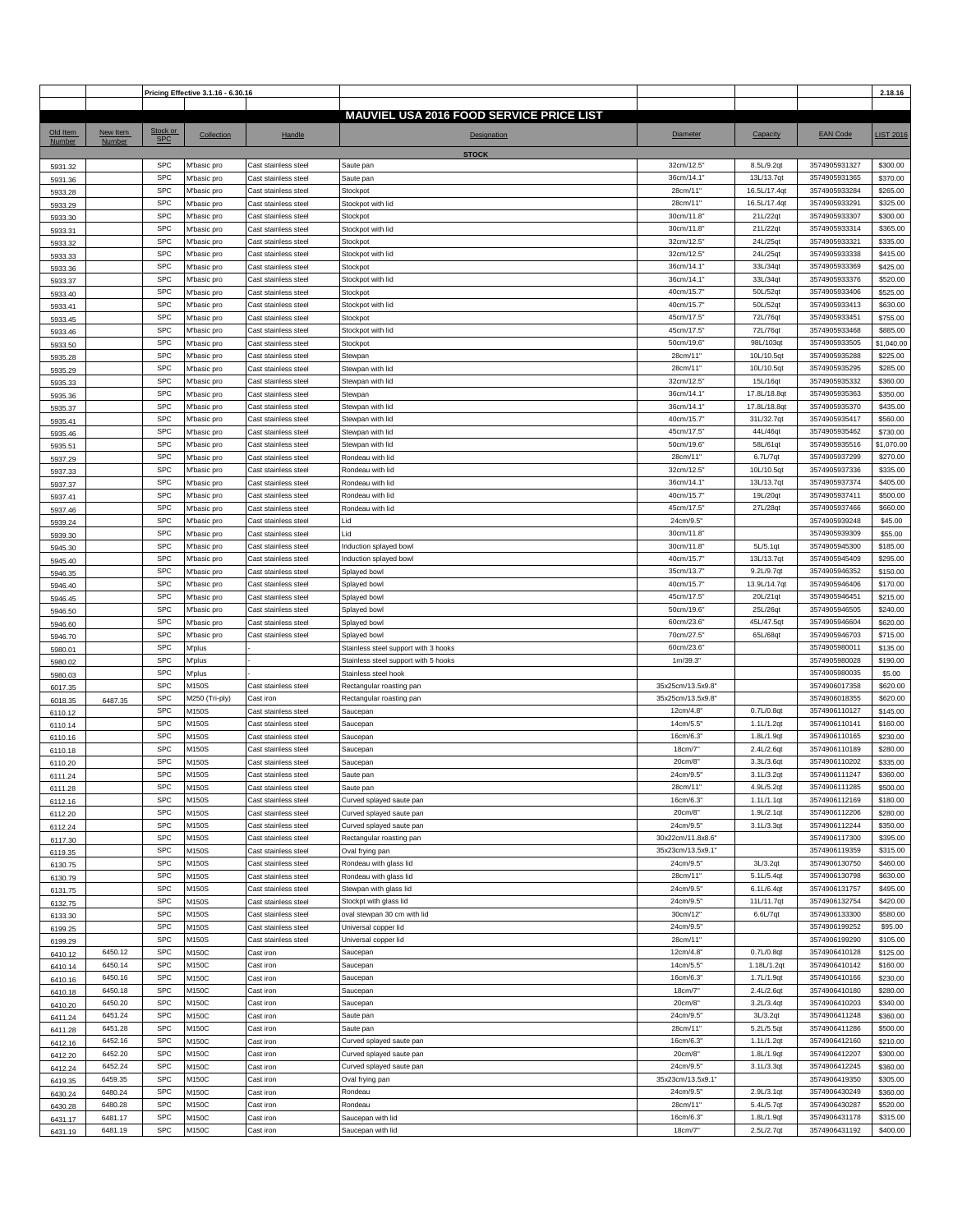|          |          |            | Pricing Effective 3.1.16 - 6.30.16 |                      |                                                 |                   |              |                 | 2.18.16          |
|----------|----------|------------|------------------------------------|----------------------|-------------------------------------------------|-------------------|--------------|-----------------|------------------|
|          |          |            |                                    |                      |                                                 |                   |              |                 |                  |
|          |          |            |                                    |                      | <b>MAUVIEL USA 2016 FOOD SERVICE PRICE LIST</b> |                   |              |                 |                  |
| Old Item | New Item | Stock or   | Collection                         | Handle               | Designation                                     | <b>Diameter</b>   | Capacity     | <b>EAN Code</b> | <b>LIST 2016</b> |
| Number   | Number   | <b>SPC</b> |                                    |                      |                                                 |                   |              |                 |                  |
|          |          |            |                                    |                      | <b>STOCK</b>                                    |                   |              |                 |                  |
| 5931.32  |          | <b>SPC</b> | M'basic pro                        | Cast stainless steel | Saute pan                                       | 32cm/12.5'        | 8.5L/9.2qt   | 3574905931327   | \$300.00         |
| 5931.36  |          | <b>SPC</b> | M'basic pro                        | Cast stainless steel | Saute pan                                       | 36cm/14.1         | 13L/13.7qt   | 3574905931365   | \$370.00         |
| 5933.28  |          | <b>SPC</b> | M'basic pro                        | Cast stainless steel | Stockpot                                        | 28cm/11'          | 16.5L/17.4qt | 3574905933284   | \$265.00         |
| 5933.29  |          | <b>SPC</b> | M'basic pro                        | Cast stainless steel | Stockpot with lid                               | 28cm/11"          | 16.5L/17.4qt | 3574905933291   | \$325.00         |
| 5933.30  |          | <b>SPC</b> | M'basic pro                        | Cast stainless steel | Stockpot                                        | 30cm/11.8         | 21L/22qt     | 3574905933307   | \$300.00         |
| 5933.31  |          | <b>SPC</b> | M'basic pro                        | Cast stainless steel | Stockpot with lid                               | 30cm/11.8         | 21L/22qt     | 3574905933314   | \$365.00         |
| 5933.32  |          | <b>SPC</b> | M'basic pro                        | Cast stainless steel | Stockpot                                        | 32cm/12.5         | 24L/25qt     | 3574905933321   | \$335.00         |
| 5933.33  |          | SPC        | M'basic pro                        | Cast stainless steel | Stockpot with lid                               | 32cm/12.5'        | 24L/25qt     | 3574905933338   | \$415.00         |
| 5933.36  |          | <b>SPC</b> | M'basic pro                        | Cast stainless steel | Stockpot                                        | 36cm/14.1'        | 33L/34qt     | 3574905933369   | \$425.00         |
| 5933.37  |          | <b>SPC</b> | M'basic pro                        | Cast stainless steel | Stockpot with lid                               | 36cm/14.1         | 33L/34qt     | 3574905933376   | \$520.00         |
|          |          | <b>SPC</b> | M'basic pro                        | Cast stainless steel | Stockpot                                        | 40cm/15.7         | 50L/52qt     | 3574905933406   | \$525.00         |
| 5933.40  |          | <b>SPC</b> |                                    |                      |                                                 | 40cm/15.7'        | 50L/52qt     | 3574905933413   | \$630.00         |
| 5933.41  |          | <b>SPC</b> | M'basic pro                        | Cast stainless steel | Stockpot with lid                               |                   |              |                 |                  |
| 5933.45  |          |            | M'basic pro                        | Cast stainless steel | Stockpot                                        | 45cm/17.5'        | 72L/76qt     | 3574905933451   | \$755.00         |
| 5933.46  |          | <b>SPC</b> | M'basic pro                        | Cast stainless steel | Stockpot with lid                               | 45cm/17.5'        | 72L/76qt     | 3574905933468   | \$885.00         |
| 5933.50  |          | <b>SPC</b> | M'basic pro                        | Cast stainless steel | Stockpot                                        | 50cm/19.6         | 98L/103qt    | 3574905933505   | \$1,040.00       |
| 5935.28  |          | <b>SPC</b> | M'basic pro                        | Cast stainless steel | Stewpan                                         | 28cm/11'          | 10L/10.5qt   | 3574905935288   | \$225.00         |
| 5935.29  |          | <b>SPC</b> | M'basic pro                        | Cast stainless steel | Stewpan with lid                                | 28cm/11'          | 10L/10.5qt   | 3574905935295   | \$285.00         |
| 5935.33  |          | <b>SPC</b> | M'basic pro                        | Cast stainless steel | Stewpan with lid                                | 32cm/12.5         | 15L/16qt     | 3574905935332   | \$360.00         |
| 5935.36  |          | <b>SPC</b> | M'basic pro                        | Cast stainless steel | Stewpan                                         | 36cm/14.1'        | 17.8L/18.8qt | 3574905935363   | \$350.00         |
| 5935.37  |          | <b>SPC</b> | M'basic pro                        | Cast stainless steel | Stewpan with lid                                | 36cm/14.1         | 17.8L/18.8qt | 3574905935370   | \$435.00         |
| 5935.41  |          | <b>SPC</b> | M'basic pro                        | Cast stainless steel | Stewpan with lid                                | 40cm/15.7         | 31L/32.7qt   | 3574905935417   | \$560.00         |
| 5935.46  |          | <b>SPC</b> | M'basic pro                        | Cast stainless steel | Stewpan with lid                                | 45cm/17.5'        | 44L/46qt     | 3574905935462   | \$730.00         |
| 5935.51  |          | <b>SPC</b> | M'basic pro                        | Cast stainless steel | Stewpan with lid                                | 50cm/19.6'        | 58L/61qt     | 3574905935516   | \$1,070.00       |
|          |          | <b>SPC</b> | M'basic pro                        | Cast stainless steel | Rondeau with lid                                | 28cm/11'          | 6.7L/7qt     | 3574905937299   | \$270.00         |
| 5937.29  |          | <b>SPC</b> |                                    | Cast stainless steel | Rondeau with lid                                | 32cm/12.5'        | 10L/10.5qt   | 3574905937336   | \$335.00         |
| 5937.33  |          | SPC        | M'basic pro                        |                      |                                                 |                   |              |                 |                  |
| 5937.37  |          |            | M'basic pro                        | Cast stainless steel | Rondeau with lid                                | 36cm/14.1         | 13L/13.7qt   | 3574905937374   | \$405.00         |
| 5937.41  |          | <b>SPC</b> | M'basic pro                        | Cast stainless steel | Rondeau with lid                                | 40cm/15.7         | 19L/20qt     | 3574905937411   | \$500.00         |
| 5937.46  |          | <b>SPC</b> | M'basic pro                        | Cast stainless steel | Rondeau with lid                                | 45cm/17.5'        | 27L/28qt     | 3574905937466   | \$660.00         |
| 5939.24  |          | <b>SPC</b> | M'basic pro                        | Cast stainless steel | Lid                                             | 24cm/9.5          |              | 3574905939248   | \$45.00          |
| 5939.30  |          | <b>SPC</b> | M'basic pro                        | Cast stainless steel | Lid                                             | 30cm/11.8         |              | 3574905939309   | \$55.00          |
| 5945.30  |          | <b>SPC</b> | M'basic pro                        | Cast stainless steel | nduction splayed bowl                           | 30cm/11.8         | 5L/5.1qt     | 3574905945300   | \$185.00         |
| 5945.40  |          | <b>SPC</b> | M'basic pro                        | Cast stainless steel | nduction splayed bowl                           | 40cm/15.7         | 13L/13.7qt   | 3574905945409   | \$295.00         |
| 5946.35  |          | SPC        | M'basic pro                        | Cast stainless steel | Splayed bowl                                    | 35cm/13.7'        | 9.2L/9.7qt   | 3574905946352   | \$150.00         |
| 5946.40  |          | <b>SPC</b> | M'basic pro                        | Cast stainless steel | Splayed bowl                                    | 40cm/15.7'        | 13.9L/14.7qt | 3574905946406   | \$170.00         |
| 5946.45  |          | <b>SPC</b> | M'basic pro                        | Cast stainless steel | Splayed bowl                                    | 45cm/17.5         | 20L/21qt     | 3574905946451   | \$215.00         |
| 5946.50  |          | <b>SPC</b> | M'basic pro                        | Cast stainless steel | Splayed bowl                                    | 50cm/19.6'        | 25L/26qt     | 3574905946505   | \$240.00         |
| 5946.60  |          | <b>SPC</b> | M'basic pro                        | Cast stainless steel | Splayed bowl                                    | 60cm/23.6         | 45L/47.5qt   | 3574905946604   | \$620.00         |
|          |          | <b>SPC</b> | M'basic pro                        | Cast stainless steel | Splayed bowl                                    | 70cm/27.5         | 65L/68qt     | 3574905946703   | \$715.00         |
| 5946.70  |          | <b>SPC</b> | M'plus                             |                      | Stainless steel support with 3 hooks            | 60cm/23.6         |              | 3574905980011   | \$135.00         |
| 5980.01  |          |            |                                    |                      |                                                 |                   |              |                 |                  |
| 5980.02  |          | <b>SPC</b> | M'plus                             |                      | Stainless steel support with 5 hooks            | 1m/39.3"          |              | 3574905980028   | \$190.00         |
| 5980.03  |          | <b>SPC</b> | M'plus                             |                      | Stainless steel hook                            |                   |              | 3574905980035   | \$5.00           |
| 6017.35  |          | <b>SPC</b> | M150S                              | Cast stainless steel | Rectangular roasting pan                        | 35x25cm/13.5x9.8  |              | 3574906017358   | \$620.00         |
| 6018.35  | 6487.35  | <b>SPC</b> | M250 (Tri-ply)                     | Cast iron            | Rectangular roasting pan                        | 35x25cm/13.5x9.8' |              | 3574906018355   | \$620.00         |
| 6110.12  |          | SPC        | M150S                              | Cast stainless steel | Saucepan                                        | 12cm/4.8          | 0.7L/0.8qt   | 3574906110127   | \$145.00         |
| 6110.14  |          | <b>SPC</b> | M150S                              | Cast stainless steel | Saucepan                                        | 14cm/5.5          | 1.1L/1.2qt   | 3574906110141   | \$160.00         |
| 6110.16  |          | <b>SPC</b> | M150S                              | Cast stainless steel | Saucepan                                        | 16cm/6.3          | 1.8L/1.9qt   | 3574906110165   | \$230.00         |
| 6110.18  |          | <b>SPC</b> | M150S                              | Cast stainless steel | Saucepan                                        | 18cm/7            | 2.4L/2.6qt   | 3574906110189   | \$280.00         |
| 6110.20  |          | <b>SPC</b> | M150S                              | Cast stainless steel | Saucepan                                        | 20cm/8'           | 3.3L/3.6qt   | 3574906110202   | \$335.00         |
| 6111.24  |          | <b>SPC</b> | M150S                              | Cast stainless steel | Saute pan                                       | 24cm/9.5          | 3.1L/3.2qt   | 3574906111247   | \$360.00         |
| 6111.28  |          | <b>SPC</b> | M150S                              | Cast stainless steel | Saute pan                                       | 28cm/11"          | 4.9L/5.2qt   | 3574906111285   | \$500.00         |
| 6112.16  |          | <b>SPC</b> | M150S                              | Cast stainless steel | Curved splayed saute pan                        | 16cm/6.3'         | 1.1L/1.1qt   | 3574906112169   | \$180.00         |
| 6112.20  |          | <b>SPC</b> | M150S                              | Cast stainless steel | Curved splayed saute pan                        | 20cm/8"           | 1.9L/2.1qt   | 3574906112206   | \$280.00         |
| 6112.24  |          | <b>SPC</b> | M150S                              | Cast stainless steel | Curved splayed saute pan                        | 24cm/9.5          | 3.1L/3.3qt   | 3574906112244   | \$350.00         |
|          |          | <b>SPC</b> | M150S                              | Cast stainless steel | Rectangular roasting pan                        | 30x22cm/11.8x8.6' |              | 3574906117300   | \$395.00         |
| 6117.30  |          | <b>SPC</b> |                                    |                      |                                                 | 35x23cm/13.5x9.1" |              | 3574906119359   | \$315.00         |
| 6119.35  |          |            | M150S                              | Cast stainless steel | Oval frying pan                                 |                   |              |                 |                  |
| 6130.75  |          | <b>SPC</b> | M150S                              | Cast stainless steel | Rondeau with glass lid                          | 24cm/9.5          | 3L/3.2qt     | 3574906130750   | \$460.00         |
| 6130.79  |          | <b>SPC</b> | M150S                              | Cast stainless steel | Rondeau with glass lid                          | 28cm/11'          | 5.1L/5.4qt   | 3574906130798   | \$630.00         |
| 6131.75  |          | SPC        | M150S                              | Cast stainless steel | Stewpan with glass lid                          | 24cm/9.5'         | 6.1L/6.4qt   | 3574906131757   | \$495.00         |
| 6132.75  |          | <b>SPC</b> | M150S                              | Cast stainless steel | Stockpt with glass lid                          | 24cm/9.5"         | 11L/11.7qt   | 3574906132754   | \$420.00         |
| 6133.30  |          | <b>SPC</b> | M150S                              | Cast stainless steel | oval stewpan 30 cm with lid                     | 30cm/12'          | 6.6L/7qt     | 3574906133300   | \$580.00         |
| 6199.25  |          | <b>SPC</b> | M150S                              | Cast stainless steel | Universal copper lid                            | 24cm/9.5'         |              | 3574906199252   | \$95.00          |
| 6199.29  |          | <b>SPC</b> | M150S                              | Cast stainless steel | Universal copper lid                            | 28cm/11'          |              | 3574906199290   | \$105.00         |
| 6410.12  | 6450.12  | <b>SPC</b> | M150C                              | Cast iron            | Saucepan                                        | 12cm/4.8          | 0.7L/0.8qt   | 3574906410128   | \$125.00         |
| 6410.14  | 6450.14  | <b>SPC</b> | M150C                              | Cast iron            | Saucepan                                        | 14cm/5.5          | 1.18L/1.2qt  | 3574906410142   | \$160.00         |
| 6410.16  | 6450.16  | <b>SPC</b> | M150C                              | Cast iron            | Saucepan                                        | 16cm/6.3          | 1.7L/1.9qt   | 3574906410166   | \$230.00         |
| 6410.18  | 6450.18  | <b>SPC</b> | M150C                              | Cast iron            | Saucepan                                        | 18cm/7"           | 2.4L/2.6qt   | 3574906410180   | \$280.00         |
| 6410.20  | 6450.20  | <b>SPC</b> | M150C                              | Cast iron            | Saucepan                                        | 20cm/8            | 3.2L/3.4qt   | 3574906410203   | \$340.00         |
| 6411.24  | 6451.24  | <b>SPC</b> | M150C                              | Cast iron            | Saute pan                                       | 24cm/9.5          | 3L/3.2qt     | 3574906411248   | \$360.00         |
|          | 6451.28  | SPC        | M150C                              | Cast iron            | Saute pan                                       | 28cm/11'          | 5.2L/5.5qt   | 3574906411286   | \$500.00         |
| 6411.28  | 6452.16  | <b>SPC</b> | M150C                              |                      | Curved splayed saute pan                        | 16cm/6.3          | 1.1L/1.2qt   | 3574906412160   | \$210.00         |
| 6412.16  |          | <b>SPC</b> |                                    | Cast iron            |                                                 |                   |              |                 |                  |
| 6412.20  | 6452.20  |            | M150C                              | Cast iron            | Curved splayed saute pan                        | 20cm/8            | 1.8L/1.9qt   | 3574906412207   | \$300.00         |
| 6412.24  | 6452.24  | <b>SPC</b> | M150C                              | Cast iron            | Curved splayed saute pan                        | 24cm/9.5'         | 3.1L/3.3qt   | 3574906412245   | \$360.00         |
| 6419.35  | 6459.35  | <b>SPC</b> | M150C                              | Cast iron            | Oval frying pan                                 | 35x23cm/13.5x9.1" |              | 3574906419350   | \$305.00         |
| 6430.24  | 6480.24  | <b>SPC</b> | M150C                              | Cast iron            | Rondeau                                         | 24cm/9.5          | 2.9L/3.1qt   | 3574906430249   | \$360.00         |
| 6430.28  | 6480.28  | <b>SPC</b> | M150C                              | Cast iron            | Rondeau                                         | 28cm/11'          | 5.4L/5.7qt   | 3574906430287   | \$520.00         |
| 6431.17  | 6481.17  | <b>SPC</b> | M150C                              | Cast iron            | Saucepan with lid                               | 16cm/6.3          | 1.8L/1.9qt   | 3574906431178   | \$315.00         |
| 6431.19  | 6481.19  | <b>SPC</b> | M150C                              | Cast iron            | Saucepan with lid                               | 18cm/7"           | 2.5L/2.7qt   | 3574906431192   | \$400.00         |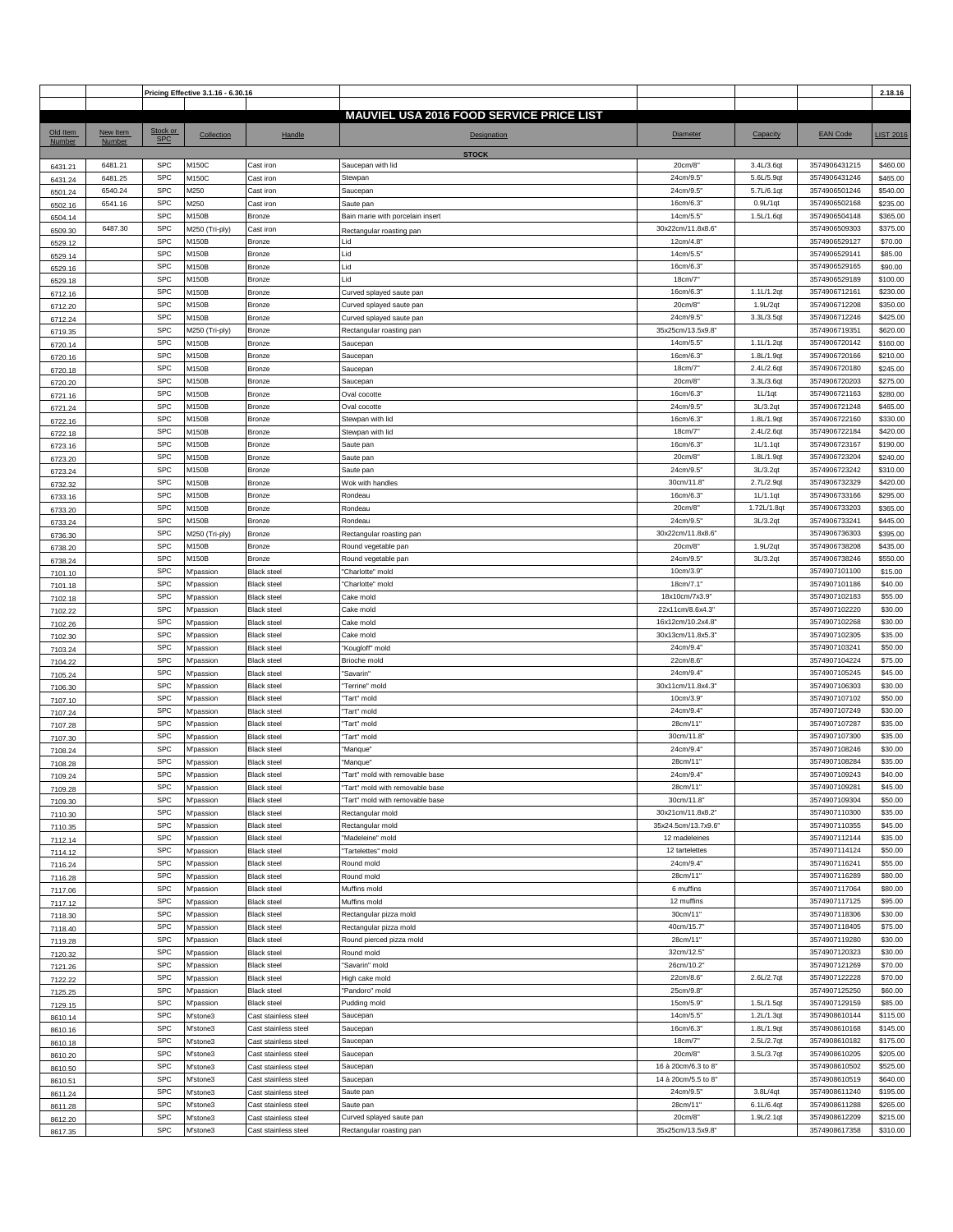|          |          |            | Pricing Effective 3.1.16 - 6.30.16 |                      |                                                 |                     |             |                 | 2.18.16          |
|----------|----------|------------|------------------------------------|----------------------|-------------------------------------------------|---------------------|-------------|-----------------|------------------|
|          |          |            |                                    |                      |                                                 |                     |             |                 |                  |
|          |          |            |                                    |                      | <b>MAUVIEL USA 2016 FOOD SERVICE PRICE LIST</b> |                     |             |                 |                  |
| Old Item | New Item | Stock or   | Collection                         | Handle               | <b>Designation</b>                              | <b>Diameter</b>     | Capacity    | <b>EAN Code</b> | <b>LIST 2016</b> |
| Number   | Number   | <b>SPC</b> |                                    |                      |                                                 |                     |             |                 |                  |
|          |          |            |                                    |                      | <b>STOCK</b>                                    |                     |             |                 |                  |
| 6431.21  | 6481.21  | <b>SPC</b> | M150C                              | Cast iron            | Saucepan with lid                               | 20cm/8              | 3.4L/3.6qt  | 3574906431215   | \$460.00         |
| 6431.24  | 6481.25  | <b>SPC</b> | M150C                              | Cast iron            | Stewpan                                         | 24cm/9.5            | 5.6L/5.9qt  | 3574906431246   | \$465.00         |
| 6501.24  | 6540.24  | <b>SPC</b> | M250                               | Cast iron            | Saucepan                                        | 24cm/9.5            | 5.7L/6.1qt  | 3574906501246   | \$540.00         |
| 6502.16  | 6541.16  | <b>SPC</b> | M250                               | Cast iron            | Saute pan                                       | 16cm/6.3            | 0.9L/1qt    | 3574906502168   | \$235.00         |
| 6504.14  |          | <b>SPC</b> | M150B                              | Bronze               | Bain marie with porcelain insert                | 14cm/5.5"           | 1.5L/1.6qt  | 3574906504148   | \$365.00         |
| 6509.30  | 6487.30  | <b>SPC</b> | M250 (Tri-ply)                     | Cast iron            | Rectangular roasting pan                        | 30x22cm/11.8x8.6'   |             | 3574906509303   | \$375.00         |
|          |          | <b>SPC</b> | M150B                              | <b>Bronze</b>        | Lid                                             | 12cm/4.8"           |             | 3574906529127   | \$70.00          |
| 6529.12  |          | <b>SPC</b> |                                    |                      |                                                 |                     |             |                 |                  |
| 6529.14  |          |            | M150B                              | Bronze               | Lid                                             | 14cm/5.5            |             | 3574906529141   | \$85.00          |
| 6529.16  |          | <b>SPC</b> | M150B                              | Bronze               | Lid                                             | 16cm/6.3"           |             | 3574906529165   | \$90.00          |
| 6529.18  |          | <b>SPC</b> | M150B                              | Bronze               | Lid                                             | 18cm/7              |             | 3574906529189   | \$100.00         |
| 6712.16  |          | <b>SPC</b> | M150B                              | <b>Bronze</b>        | Curved splayed saute pan                        | 16cm/6.3            | 1.1L/1.2qt  | 3574906712161   | \$230.00         |
| 6712.20  |          | <b>SPC</b> | M150B                              | <b>Bronze</b>        | Curved splayed saute pan                        | 20cm/8"             | 1.9L/2qt    | 3574906712208   | \$350.00         |
| 6712.24  |          | <b>SPC</b> | M150B                              | <b>Bronze</b>        | Curved splayed saute pan                        | 24cm/9.5            | 3.3L/3.5qt  | 3574906712246   | \$425.00         |
| 6719.35  |          | <b>SPC</b> | M250 (Tri-ply)                     | <b>Bronze</b>        | Rectangular roasting pan                        | 35x25cm/13.5x9.8"   |             | 3574906719351   | \$620.00         |
| 6720.14  |          | <b>SPC</b> | M150B                              | Bronze               | Saucepan                                        | 14cm/5.5"           | 1.1L/1.2qt  | 3574906720142   | \$160.00         |
| 6720.16  |          | <b>SPC</b> | M150B                              | Bronze               | Saucepan                                        | 16cm/6.3"           | 1.8L/1.9qt  | 3574906720166   | \$210.00         |
| 6720.18  |          | <b>SPC</b> | M150B                              | Bronze               | Saucepan                                        | 18cm/7              | 2.4L/2.6qt  | 3574906720180   | \$245.00         |
| 6720.20  |          | <b>SPC</b> | M150B                              | <b>Bronze</b>        | Saucepan                                        | 20cm/8              | 3.3L/3.6qt  | 3574906720203   | \$275.00         |
|          |          | <b>SPC</b> | M150B                              | Bronze               | Oval cocotte                                    | 16cm/6.3            | 1L/1qt      | 3574906721163   | \$280.00         |
| 6721.16  |          | <b>SPC</b> | M150B                              | Bronze               | Oval cocotte                                    | 24cm/9.5            | 3L/3.2qt    | 3574906721248   | \$465.00         |
| 6721.24  |          |            |                                    |                      |                                                 |                     |             |                 |                  |
| 6722.16  |          | <b>SPC</b> | M150B                              | Bronze               | Stewpan with lid                                | 16cm/6.3            | 1.8L/1.9qt  | 3574906722160   | \$330.00         |
| 6722.18  |          | <b>SPC</b> | M150B                              | Bronze               | Stewpan with lid                                | 18cm/7"             | 2.4L/2.6qt  | 3574906722184   | \$420.00         |
| 6723.16  |          | <b>SPC</b> | M150B                              | <b>Bronze</b>        | Saute pan                                       | 16cm/6.3"           | 1L/1.1qt    | 3574906723167   | \$190.00         |
| 6723.20  |          | <b>SPC</b> | M150B                              | <b>Bronze</b>        | Saute pan                                       | 20cm/8              | 1.8L/1.9qt  | 3574906723204   | \$240.00         |
| 6723.24  |          | <b>SPC</b> | M150B                              | <b>Bronze</b>        | Saute pan                                       | 24cm/9.5            | 3L/3.2qt    | 3574906723242   | \$310.00         |
| 6732.32  |          | <b>SPC</b> | M150B                              | Bronze               | Wok with handles                                | 30cm/11.8           | 2.7L/2.9qt  | 3574906732329   | \$420.00         |
| 6733.16  |          | <b>SPC</b> | M150B                              | Bronze               | Rondeau                                         | 16cm/6.3"           | 1L/1.1qt    | 3574906733166   | \$295.00         |
| 6733.20  |          | <b>SPC</b> | M150B                              | Bronze               | Rondeau                                         | 20cm/8              | 1.72L/1.8qt | 3574906733203   | \$365.00         |
|          |          | <b>SPC</b> | M150B                              | <b>Bronze</b>        | Rondeau                                         | 24cm/9.5            | 3L/3.2qt    | 3574906733241   | \$445.00         |
| 6733.24  |          | <b>SPC</b> | M250 (Tri-ply)                     | Bronze               | Rectangular roasting pan                        | 30x22cm/11.8x8.6'   |             | 3574906736303   | \$395.00         |
| 6736.30  |          | <b>SPC</b> | M150B                              | Bronze               | Round vegetable pan                             | 20cm/8              | 1.9L/2qt    | 3574906738208   | \$435.00         |
| 6738.20  |          | <b>SPC</b> |                                    |                      |                                                 |                     |             |                 |                  |
| 6738.24  |          |            | M150B                              | Bronze               | Round vegetable pan                             | 24cm/9.5            | 3L/3.2qt    | 3574906738246   | \$550.00         |
| 7101.10  |          | <b>SPC</b> | M'passion                          | <b>Black steel</b>   | "Charlotte" mold                                | 10cm/3.9            |             | 3574907101100   | \$15.00          |
| 7101.18  |          | <b>SPC</b> | M'passion                          | <b>Black steel</b>   | 'Charlotte" mold                                | 18cm/7.1            |             | 3574907101186   | \$40.00          |
| 7102.18  |          | <b>SPC</b> | M'passion                          | <b>Black steel</b>   | Cake mold                                       | 18x10cm/7x3.9       |             | 3574907102183   | \$55.00          |
| 7102.22  |          | <b>SPC</b> | M'passion                          | <b>Black steel</b>   | Cake mold                                       | 22x11cm/8.6x4.3     |             | 3574907102220   | \$30.00          |
| 7102.26  |          | <b>SPC</b> | M'passion                          | <b>Black steel</b>   | Cake mold                                       | 16x12cm/10.2x4.8'   |             | 3574907102268   | \$30.00          |
| 7102.30  |          | <b>SPC</b> | M'passion                          | <b>Black steel</b>   | Cake mold                                       | 30x13cm/11.8x5.3    |             | 3574907102305   | \$35.00          |
| 7103.24  |          | <b>SPC</b> | M'passion                          | <b>Black steel</b>   | "Kougloff" mold                                 | 24cm/9.4            |             | 3574907103241   | \$50.00          |
| 7104.22  |          | <b>SPC</b> | M'passion                          | <b>Black steel</b>   | Brioche mold                                    | 22cm/8.6            |             | 3574907104224   | \$75.00          |
| 7105.24  |          | <b>SPC</b> | M'passion                          | <b>Black steel</b>   | "Savarin"                                       | 24cm/9.4            |             | 3574907105245   | \$45.00          |
|          |          | <b>SPC</b> | M'passion                          | <b>Black steel</b>   | "Terrine" mold                                  | 30x11cm/11.8x4.3'   |             | 3574907106303   | \$30.00          |
| 7106.30  |          | <b>SPC</b> | M'passion                          | <b>Black steel</b>   | "Tart" mold                                     | 10cm/3.9            |             | 3574907107102   | \$50.00          |
| 7107.10  |          |            |                                    |                      |                                                 |                     |             |                 |                  |
| 7107.24  |          | <b>SPC</b> | M'passion                          | <b>Black steel</b>   | "Tart" mold                                     | 24cm/9.4            |             | 3574907107249   | \$30.00          |
| 7107.28  |          | <b>SPC</b> | M'passion                          | <b>Black steel</b>   | "Tart" mold                                     | 28cm/11'            |             | 3574907107287   | \$35.00          |
| 7107.30  |          | <b>SPC</b> | M'passion                          | <b>Black steel</b>   | "Tart" mold                                     | 30cm/11.8           |             | 3574907107300   | \$35.00          |
| 7108.24  |          | <b>SPC</b> | M'passion                          | <b>Black steel</b>   | "Manque"                                        | 24cm/9.4            |             | 3574907108246   | \$30.00          |
| 7108.28  |          | <b>SPC</b> | M'passion                          | <b>Black steel</b>   | "Manque"                                        | 28cm/11'            |             | 3574907108284   | \$35.00          |
| 7109.24  |          | <b>SPC</b> | M'passion                          | <b>Black steel</b>   | "Tart" mold with removable base                 | 24cm/9.4            |             | 3574907109243   | \$40.00          |
| 7109.28  |          | <b>SPC</b> | M'passion                          | <b>Black steel</b>   | "Tart" mold with removable base                 | 28cm/11"            |             | 3574907109281   | \$45.00          |
| 7109.30  |          | <b>SPC</b> | M'passion                          | <b>Black steel</b>   | 'Tart" mold with removable base                 | 30cm/11.8           |             | 3574907109304   | \$50.00          |
| 7110.30  |          | <b>SPC</b> | M'passion                          | <b>Black steel</b>   | Rectangular mold                                | 30x21cm/11.8x8.2'   |             | 3574907110300   | \$35.00          |
| 7110.35  |          | <b>SPC</b> | M'passion                          | <b>Black steel</b>   | Rectangular mold                                | 35x24.5cm/13.7x9.6' |             | 3574907110355   | \$45.00          |
| 7112.14  |          | <b>SPC</b> | M'passion                          | <b>Black steel</b>   | "Madeleine" mold                                | 12 madeleines       |             | 3574907112144   | \$35.00          |
| 7114.12  |          | <b>SPC</b> | M'passion                          | <b>Black steel</b>   | "Tartelettes" mold                              | 12 tartelettes      |             | 3574907114124   | \$50.00          |
|          |          | <b>SPC</b> | M'passion                          | <b>Black steel</b>   | Round mold                                      | 24cm/9.4"           |             | 3574907116241   | \$55.00          |
| 7116.24  |          | <b>SPC</b> |                                    |                      |                                                 | 28cm/11'            |             | 3574907116289   | \$80.00          |
| 7116.28  |          |            | M'passion                          | <b>Black steel</b>   | Round mold                                      |                     |             |                 |                  |
| 7117.06  |          | <b>SPC</b> | M'passion                          | <b>Black steel</b>   | Muffins mold                                    | 6 muffins           |             | 3574907117064   | \$80.00          |
| 7117.12  |          | <b>SPC</b> | M'passion                          | <b>Black steel</b>   | Muffins mold                                    | 12 muffins          |             | 3574907117125   | \$95.00          |
| 7118.30  |          | <b>SPC</b> | M'passion                          | <b>Black steel</b>   | Rectangular pizza mold                          | 30cm/11'            |             | 3574907118306   | \$30.00          |
| 7118.40  |          | <b>SPC</b> | M'passion                          | <b>Black steel</b>   | Rectangular pizza mold                          | 40cm/15.7           |             | 3574907118405   | \$75.00          |
| 7119.28  |          | <b>SPC</b> | <b>M'passion</b>                   | <b>Black steel</b>   | Round pierced pizza mold                        | 28cm/11"            |             | 3574907119280   | \$30.00          |
| 7120.32  |          | <b>SPC</b> | M'passion                          | <b>Black steel</b>   | Round mold                                      | 32cm/12.5           |             | 3574907120323   | \$30.00          |
| 7121.26  |          | <b>SPC</b> | M'passion                          | <b>Black steel</b>   | "Savarin" mold                                  | 26cm/10.2           |             | 3574907121269   | \$70.00          |
| 7122.22  |          | <b>SPC</b> | M'passion                          | <b>Black steel</b>   | High cake mold                                  | 22cm/8.6"           | 2.6L/2.7qt  | 3574907122228   | \$70.00          |
| 7125.25  |          | <b>SPC</b> | M'passion                          | <b>Black steel</b>   | 'Pandoro" mold                                  | 25cm/9.8"           |             | 3574907125250   | \$60.00          |
| 7129.15  |          | <b>SPC</b> | M'passion                          | <b>Black steel</b>   | Pudding mold                                    | 15cm/5.9            | 1.5L/1.5qt  | 3574907129159   | \$85.00          |
|          |          | <b>SPC</b> | M'stone3                           | Cast stainless steel | Saucepan                                        | 14cm/5.5            | 1.2L/1.3qt  | 3574908610144   | \$115.00         |
| 8610.14  |          | <b>SPC</b> |                                    |                      |                                                 |                     | 1.8L/1.9qt  | 3574908610168   | \$145.00         |
| 8610.16  |          | <b>SPC</b> | M'stone3                           | Cast stainless steel | Saucepan                                        | 16cm/6.3            |             |                 |                  |
| 8610.18  |          |            | M'stone3                           | Cast stainless steel | Saucepan                                        | 18cm/7"             | 2.5L/2.7qt  | 3574908610182   | \$175.00         |
| 8610.20  |          | <b>SPC</b> | M'stone3                           | Cast stainless steel | Saucepan                                        | 20cm/8              | 3.5L/3.7qt  | 3574908610205   | \$205.00         |
| 8610.50  |          | <b>SPC</b> | M'stone3                           | Cast stainless steel | Saucepan                                        | 16 à 20cm/6.3 to 8" |             | 3574908610502   | \$525.00         |
| 8610.51  |          | <b>SPC</b> | M'stone3                           | Cast stainless steel | Saucepan                                        | 14 à 20cm/5.5 to 8" |             | 3574908610519   | \$640.00         |
| 8611.24  |          | <b>SPC</b> | M'stone3                           | Cast stainless steel | Saute pan                                       | 24cm/9.5            | 3.8L/4qt    | 3574908611240   | \$195.00         |
| 8611.28  |          | <b>SPC</b> | M'stone3                           | Cast stainless steel | Saute pan                                       | 28cm/11'            | 6.1L/6.4qt  | 3574908611288   | \$265.00         |
| 8612.20  |          | <b>SPC</b> | M'stone3                           | Cast stainless steel | Curved splayed saute pan                        | 20cm/8"             | 1.9L/2.1qt  | 3574908612209   | \$215.00         |
| 8617.35  |          | <b>SPC</b> | M'stone3                           | Cast stainless steel | Rectangular roasting pan                        | 35x25cm/13.5x9.8'   |             | 3574908617358   | \$310.00         |